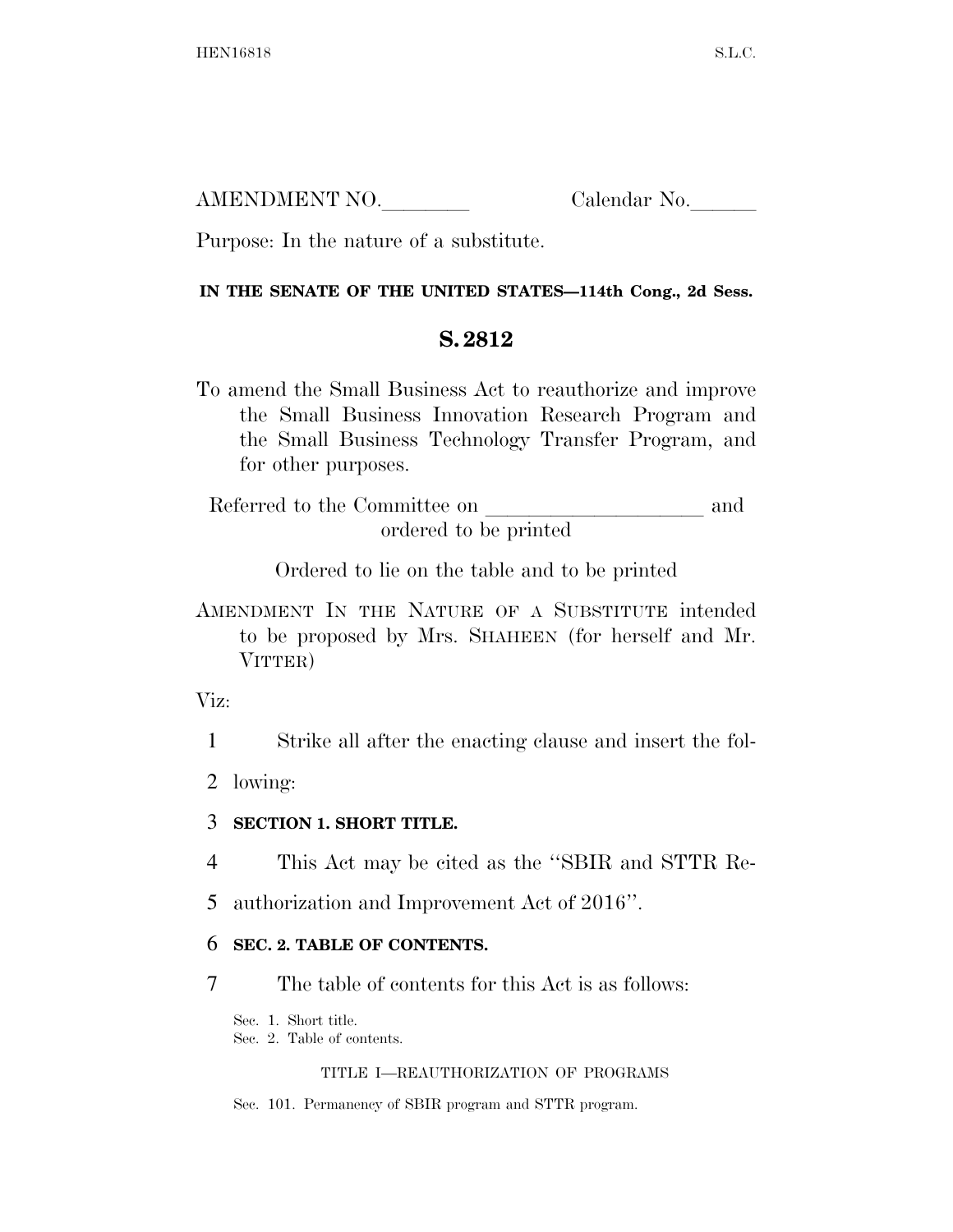AMENDMENT NO. Calendar No.

Purpose: In the nature of a substitute.

### **IN THE SENATE OF THE UNITED STATES—114th Cong., 2d Sess.**

## **S. 2812**

To amend the Small Business Act to reauthorize and improve the Small Business Innovation Research Program and the Small Business Technology Transfer Program, and for other purposes.

Referred to the Committee on and ordered to be printed

Ordered to lie on the table and to be printed

AMENDMENT IN THE NATURE OF A SUBSTITUTE intended to be proposed by Mrs. SHAHEEN (for herself and Mr. VITTER)

Viz:

1 Strike all after the enacting clause and insert the fol-

2 lowing:

## 3 **SECTION 1. SHORT TITLE.**

- 4 This Act may be cited as the ''SBIR and STTR Re-
- 5 authorization and Improvement Act of 2016''.

## 6 **SEC. 2. TABLE OF CONTENTS.**

7 The table of contents for this Act is as follows:

Sec. 1. Short title.

Sec. 2. Table of contents.

### TITLE I—REAUTHORIZATION OF PROGRAMS

Sec. 101. Permanency of SBIR program and STTR program.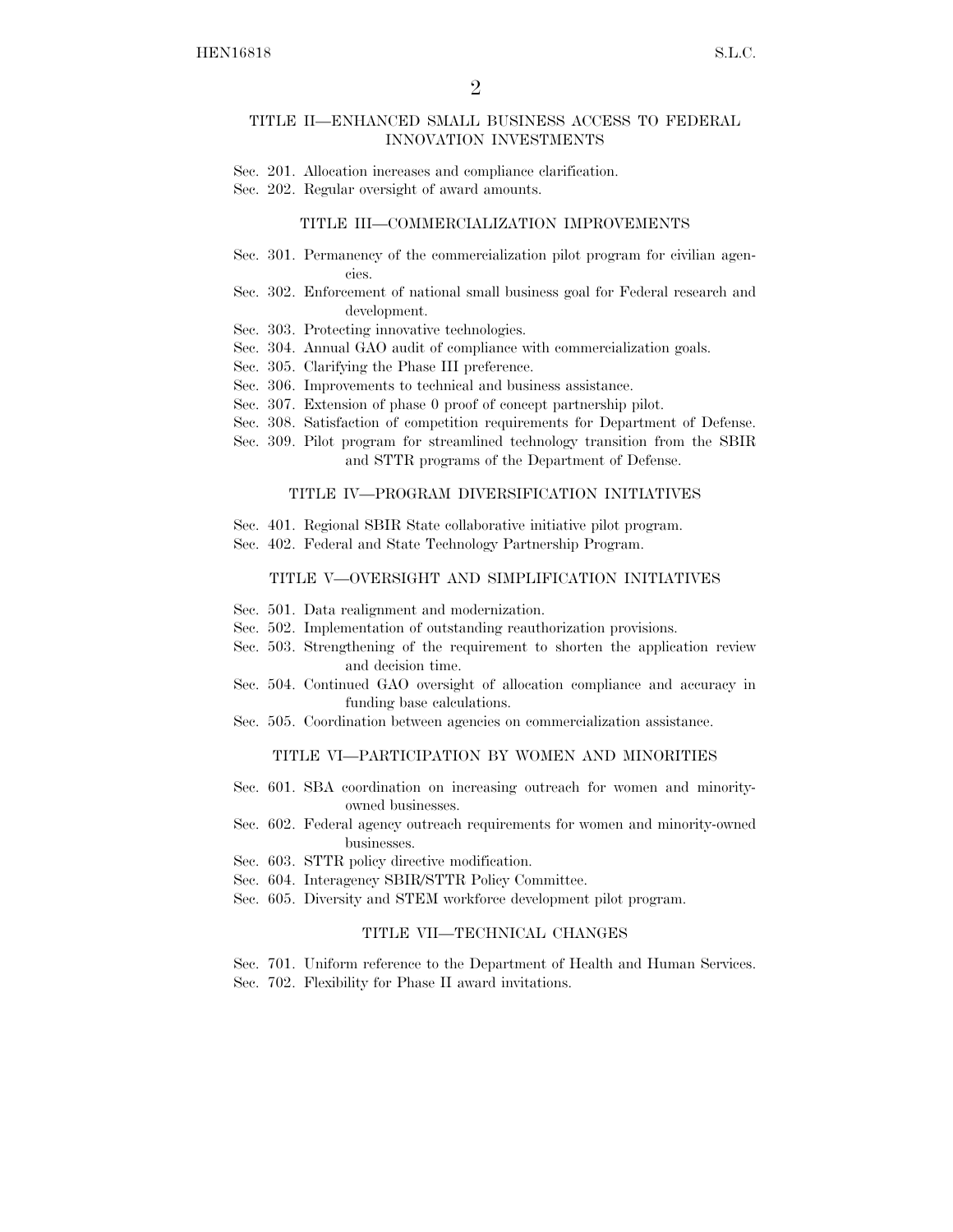#### TITLE II—ENHANCED SMALL BUSINESS ACCESS TO FEDERAL INNOVATION INVESTMENTS

- Sec. 201. Allocation increases and compliance clarification.
- Sec. 202. Regular oversight of award amounts.

#### TITLE III—COMMERCIALIZATION IMPROVEMENTS

- Sec. 301. Permanency of the commercialization pilot program for civilian agencies.
- Sec. 302. Enforcement of national small business goal for Federal research and development.
- Sec. 303. Protecting innovative technologies.
- Sec. 304. Annual GAO audit of compliance with commercialization goals.
- Sec. 305. Clarifying the Phase III preference.
- Sec. 306. Improvements to technical and business assistance.
- Sec. 307. Extension of phase 0 proof of concept partnership pilot.
- Sec. 308. Satisfaction of competition requirements for Department of Defense.
- Sec. 309. Pilot program for streamlined technology transition from the SBIR and STTR programs of the Department of Defense.

#### TITLE IV—PROGRAM DIVERSIFICATION INITIATIVES

- Sec. 401. Regional SBIR State collaborative initiative pilot program.
- Sec. 402. Federal and State Technology Partnership Program.

#### TITLE V—OVERSIGHT AND SIMPLIFICATION INITIATIVES

- Sec. 501. Data realignment and modernization.
- Sec. 502. Implementation of outstanding reauthorization provisions.
- Sec. 503. Strengthening of the requirement to shorten the application review and decision time.
- Sec. 504. Continued GAO oversight of allocation compliance and accuracy in funding base calculations.
- Sec. 505. Coordination between agencies on commercialization assistance.

#### TITLE VI—PARTICIPATION BY WOMEN AND MINORITIES

- Sec. 601. SBA coordination on increasing outreach for women and minorityowned businesses.
- Sec. 602. Federal agency outreach requirements for women and minority-owned businesses.
- Sec. 603. STTR policy directive modification.
- Sec. 604. Interagency SBIR/STTR Policy Committee.
- Sec. 605. Diversity and STEM workforce development pilot program.

#### TITLE VII—TECHNICAL CHANGES

Sec. 701. Uniform reference to the Department of Health and Human Services. Sec. 702. Flexibility for Phase II award invitations.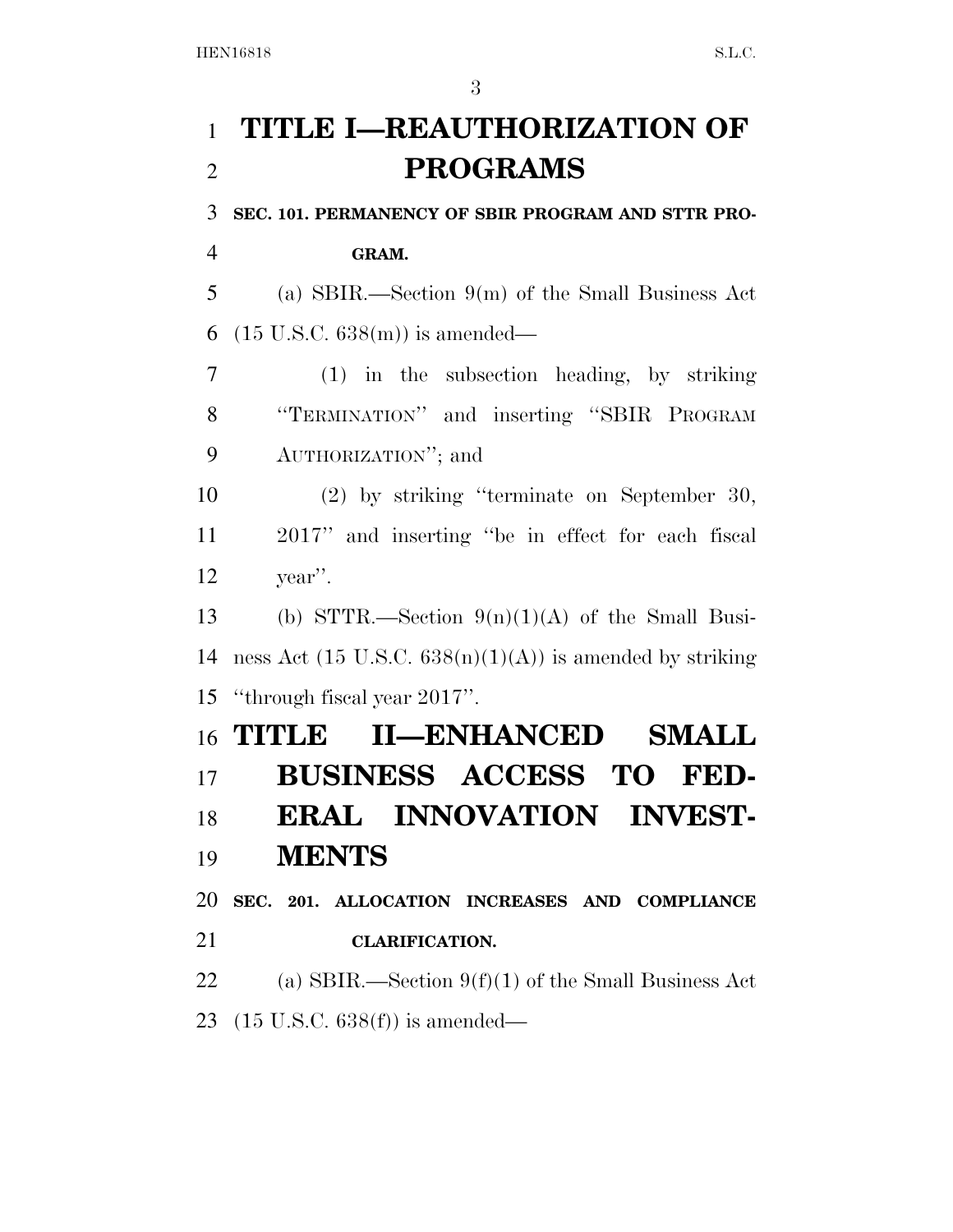## **TITLE I—REAUTHORIZATION OF PROGRAMS**

**SEC. 101. PERMANENCY OF SBIR PROGRAM AND STTR PRO-**

**GRAM.** 

 (a) SBIR.—Section 9(m) of the Small Business Act 6  $(15 \text{ U.S.C. } 638(\text{m}))$  is amended—

 (1) in the subsection heading, by striking ''TERMINATION'' and inserting ''SBIR PROGRAM AUTHORIZATION''; and

 (2) by striking ''terminate on September 30, 2017'' and inserting ''be in effect for each fiscal year''.

13 (b) STTR.—Section  $9(n)(1)(A)$  of the Small Busi-14 ness Act  $(15 \text{ U.S.C. } 638(n)(1)(\text{A}))$  is amended by striking ''through fiscal year 2017''.

# **TITLE II—ENHANCED SMALL BUSINESS ACCESS TO FED- ERAL INNOVATION INVEST- MENTS SEC. 201. ALLOCATION INCREASES AND COMPLIANCE**

**CLARIFICATION.** 

22 (a) SBIR.—Section  $9(f)(1)$  of the Small Business Act (15 U.S.C. 638(f)) is amended—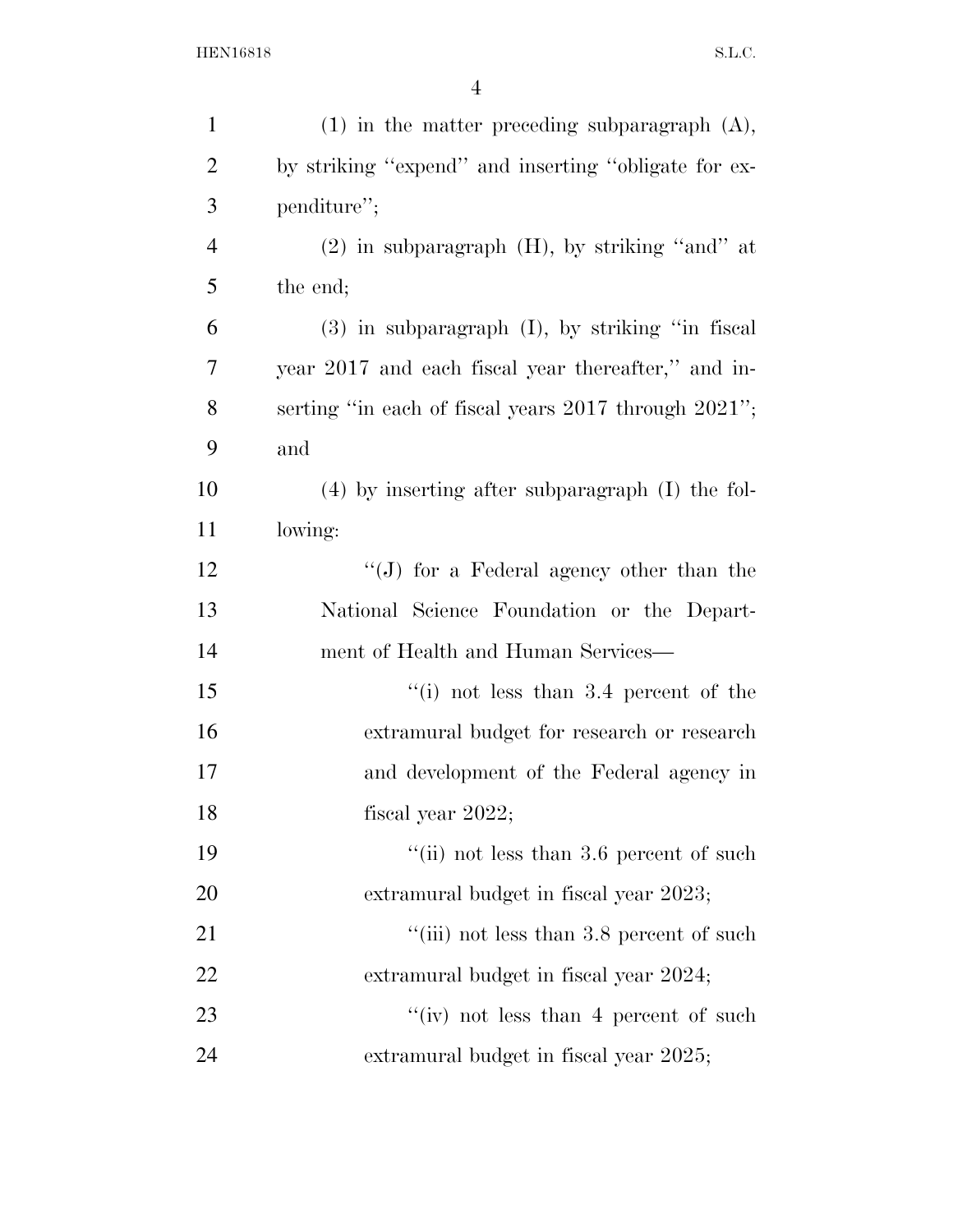| $\mathbf{1}$   | $(1)$ in the matter preceding subparagraph $(A)$ ,   |
|----------------|------------------------------------------------------|
| $\overline{2}$ | by striking "expend" and inserting "obligate for ex- |
| 3              | penditure";                                          |
| $\overline{4}$ | $(2)$ in subparagraph $(H)$ , by striking "and" at   |
| 5              | the end;                                             |
| 6              | $(3)$ in subparagraph $(I)$ , by striking "in fiscal |
| 7              | year 2017 and each fiscal year thereafter," and in-  |
| 8              | serting "in each of fiscal years 2017 through 2021"; |
| 9              | and                                                  |
| 10             | $(4)$ by inserting after subparagraph $(I)$ the fol- |
| 11             | lowing:                                              |
| 12             | "(J) for a Federal agency other than the             |
| 13             | National Science Foundation or the Depart-           |
| 14             | ment of Health and Human Services—                   |
| 15             | "(i) not less than $3.4$ percent of the              |
| 16             | extramural budget for research or research           |
| 17             | and development of the Federal agency in             |
| 18             | fiscal year $2022$ ;                                 |
| 19             | "(ii) not less than $3.6$ percent of such            |
| 20             | extramural budget in fiscal year 2023;               |
| 21             | "(iii) not less than 3.8 percent of such             |
| 22             | extramural budget in fiscal year 2024;               |
| 23             | "(iv) not less than 4 percent of such                |
| 24             | extramural budget in fiscal year 2025;               |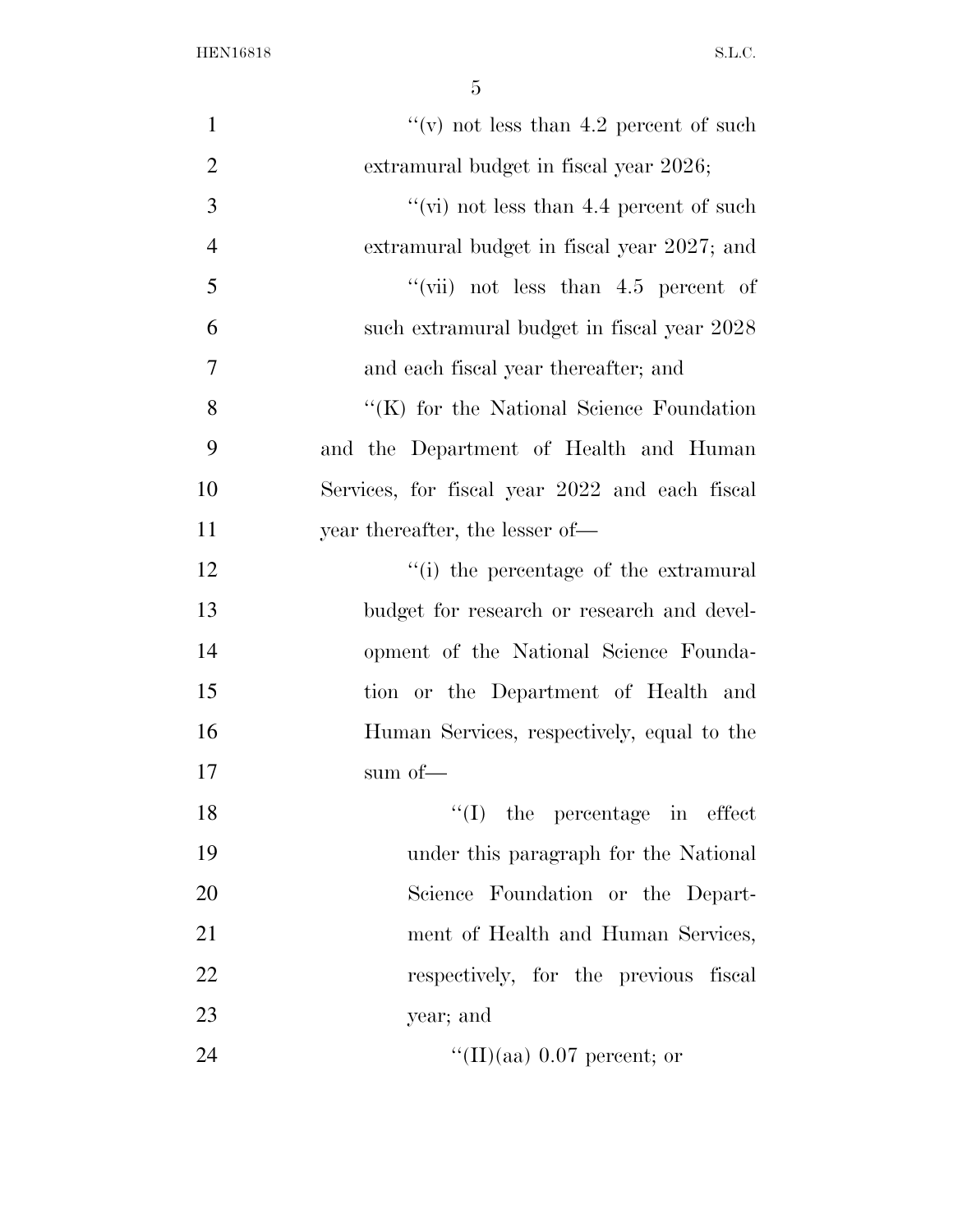| $\mathbf{1}$   | "(v) not less than 4.2 percent of such           |
|----------------|--------------------------------------------------|
| $\overline{2}$ | extramural budget in fiscal year 2026;           |
| 3              | $``$ (vi) not less than 4.4 percent of such      |
| $\overline{4}$ | extramural budget in fiscal year 2027; and       |
| 5              | "(vii) not less than $4.5$ percent of            |
| 6              | such extramural budget in fiscal year 2028       |
| 7              | and each fiscal year thereafter; and             |
| 8              | $\lq\lq$ (K) for the National Science Foundation |
| 9              | and the Department of Health and Human           |
| 10             | Services, for fiscal year 2022 and each fiscal   |
| 11             | year thereafter, the lesser of—                  |
| 12             | "(i) the percentage of the extramural            |
| 13             | budget for research or research and devel-       |
| 14             | opment of the National Science Founda-           |
| 15             | tion or the Department of Health and             |
| 16             | Human Services, respectively, equal to the       |
| 17             | sum of—                                          |
| 18             | $\lq\lq$ (I) the percentage in effect            |
| 19             | under this paragraph for the National            |
| 20             | Science Foundation or the Depart-                |
| 21             | ment of Health and Human Services,               |
| 22             | respectively, for the previous fiscal            |
| 23             | year; and                                        |
| 24             | "(II)(aa) $0.07$ percent; or                     |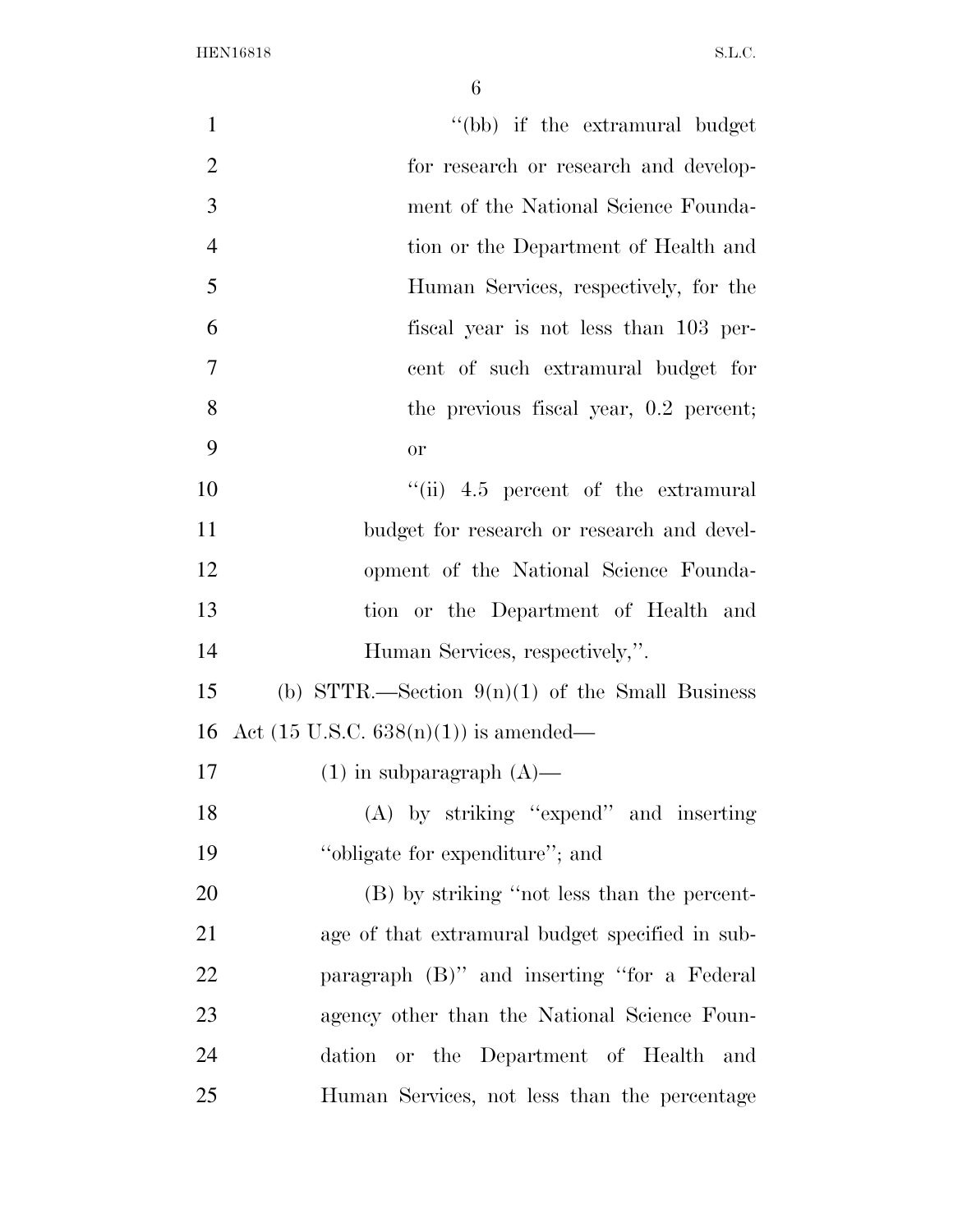| $\mathbf{1}$   | "(bb) if the extramural budget                    |
|----------------|---------------------------------------------------|
| $\overline{2}$ | for research or research and develop-             |
| 3              | ment of the National Science Founda-              |
| $\overline{4}$ | tion or the Department of Health and              |
| 5              | Human Services, respectively, for the             |
| 6              | fiscal year is not less than 103 per-             |
| $\overline{7}$ | cent of such extramural budget for                |
| 8              | the previous fiscal year, 0.2 percent;            |
| 9              | <b>or</b>                                         |
| 10             | $``(ii)$ 4.5 percent of the extramural            |
| 11             | budget for research or research and devel-        |
| 12             | opment of the National Science Founda-            |
| 13             | tion or the Department of Health and              |
| 14             | Human Services, respectively,".                   |
| 15             | (b) STTR.—Section $9(n)(1)$ of the Small Business |
| 16             | Act $(15 \text{ U.S.C. } 638(n)(1))$ is amended—  |
| 17             | $(1)$ in subparagraph $(A)$ —                     |
| 18             | (A) by striking "expend" and inserting            |
| 19             | "obligate for expenditure"; and                   |
| 20             | (B) by striking "not less than the percent-       |
| 21             | age of that extramural budget specified in sub-   |
| 22             | paragraph (B)" and inserting "for a Federal       |
| 23             | agency other than the National Science Foun-      |
| 24             | dation or the Department of Health and            |
| 25             | Human Services, not less than the percentage      |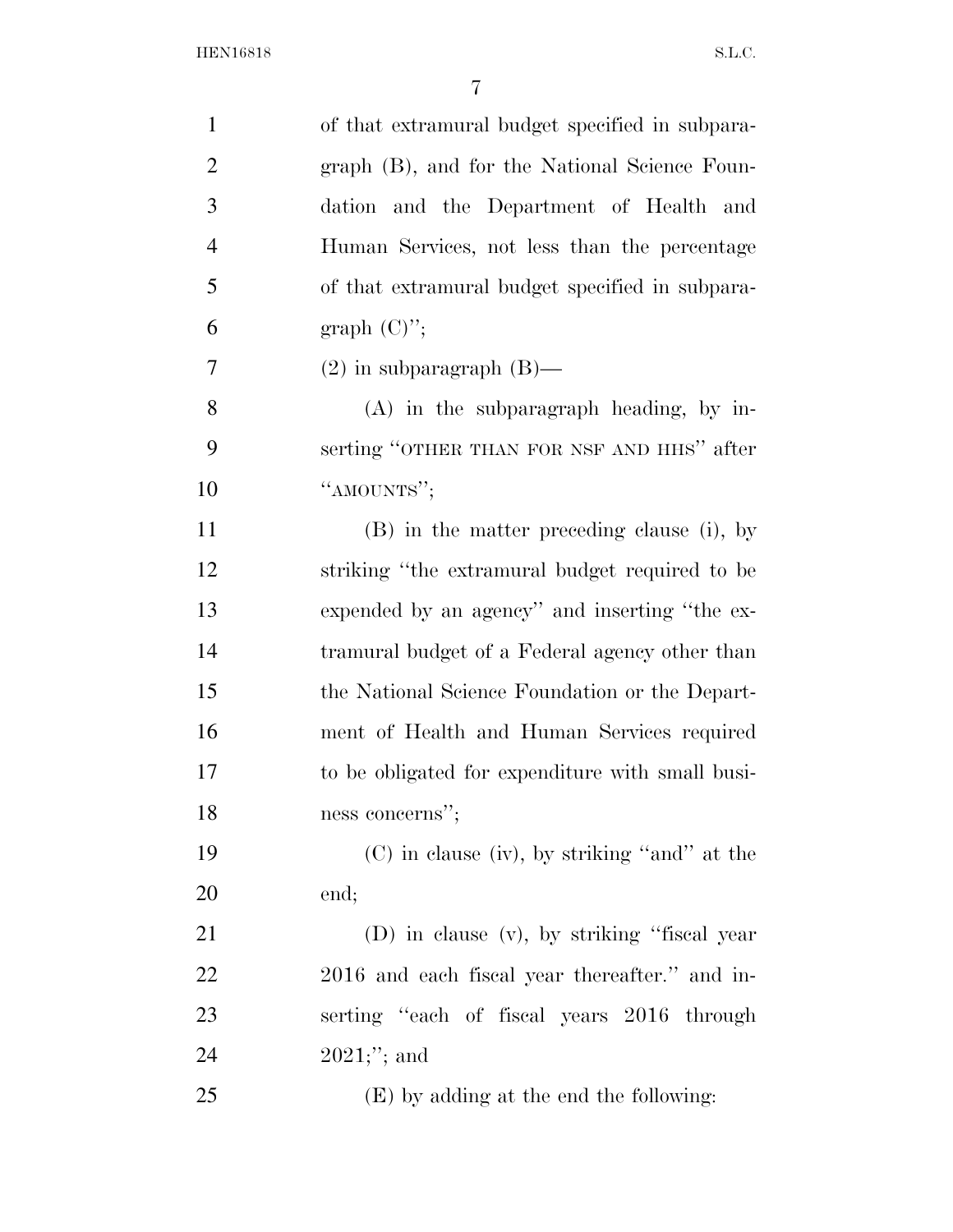| $\mathbf{1}$   | of that extramural budget specified in subpara-  |
|----------------|--------------------------------------------------|
| $\overline{2}$ | graph (B), and for the National Science Foun-    |
| 3              | dation and the Department of Health and          |
| $\overline{4}$ | Human Services, not less than the percentage     |
| 5              | of that extramural budget specified in subpara-  |
| 6              | graph $(C)$ ";                                   |
| 7              | $(2)$ in subparagraph $(B)$ —                    |
| 8              | $(A)$ in the subparagraph heading, by in-        |
| 9              | serting "OTHER THAN FOR NSF AND HHS" after       |
| 10             | "AMOUNTS";                                       |
| 11             | (B) in the matter preceding clause (i), by       |
| 12             | striking "the extramural budget required to be   |
| 13             | expended by an agency" and inserting "the ex-    |
| 14             | tramural budget of a Federal agency other than   |
| 15             | the National Science Foundation or the Depart-   |
| 16             | ment of Health and Human Services required       |
| 17             | to be obligated for expenditure with small busi- |
| 18             | ness concerns";                                  |
| 19             | $(C)$ in clause (iv), by striking "and" at the   |
| 20             | end;                                             |
| 21             | (D) in clause (v), by striking "fiscal year      |
| 22             | 2016 and each fiscal year thereafter." and in-   |
| 23             | serting "each of fiscal years 2016 through       |
| 24             | $2021;$ "; and                                   |
| 25             | (E) by adding at the end the following:          |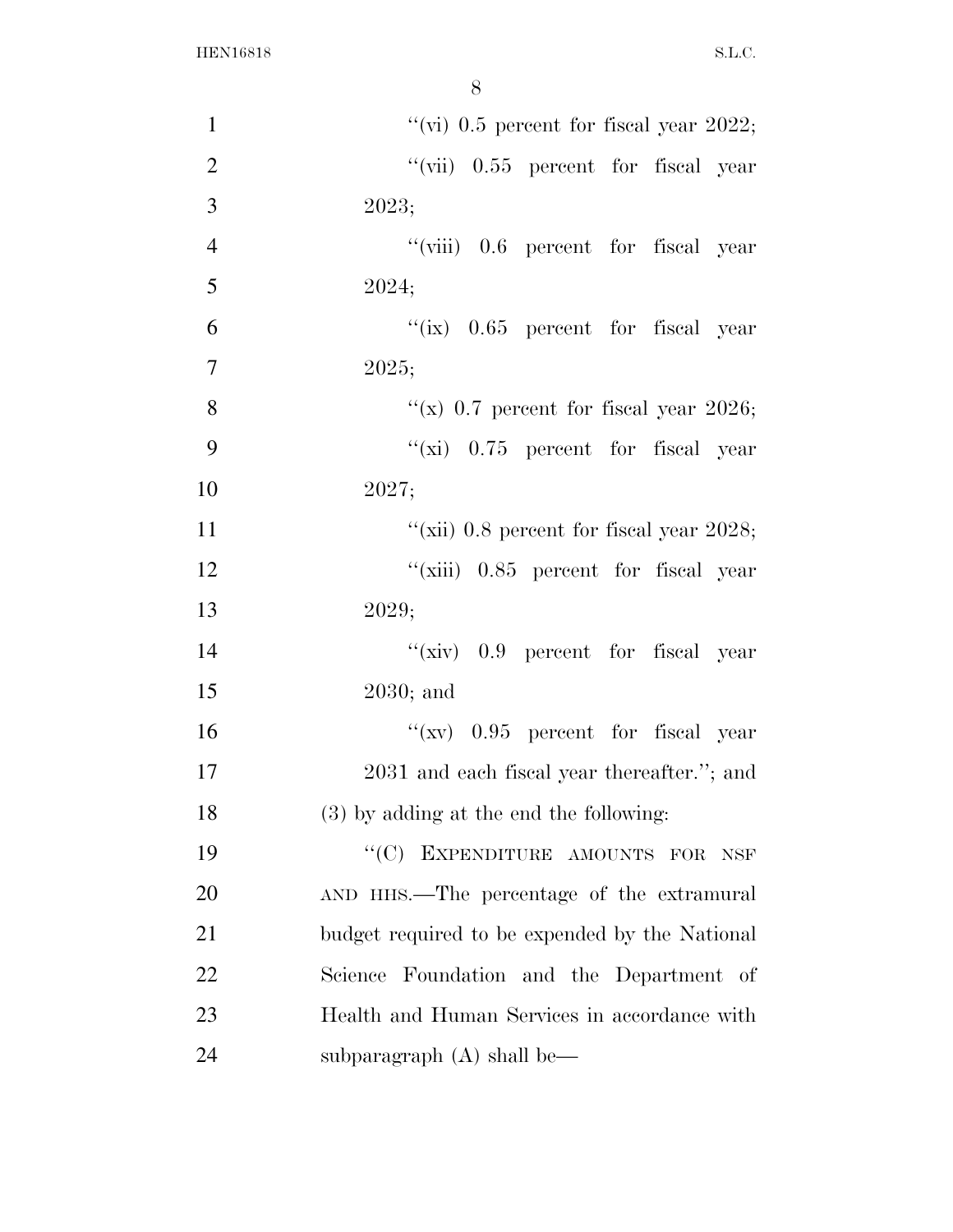| $\mathbf{1}$   | "(vi) $0.5$ percent for fiscal year 2022;      |
|----------------|------------------------------------------------|
| $\overline{2}$ | "(vii) 0.55 percent for fiscal year            |
| 3              | 2023;                                          |
| $\overline{4}$ | "(viii) 0.6 percent for fiscal year            |
| 5              | 2024;                                          |
| 6              | "(ix) $0.65$ percent for fiscal year           |
| $\overline{7}$ | 2025;                                          |
| 8              | "(x) $0.7$ percent for fiscal year 2026;       |
| 9              | "(xi) $0.75$ percent for fiscal year           |
| 10             | 2027;                                          |
| 11             | "(xii) $0.8$ percent for fiscal year $2028$ ;  |
| 12             | "(xiii) 0.85 percent for fiscal year           |
| 13             | 2029;                                          |
| 14             | " $(xiv)$ 0.9 percent for fiscal year          |
| 15             | $2030$ ; and                                   |
| 16             | " $(xv)$ 0.95 percent for fiscal year          |
| 17             | 2031 and each fiscal year thereafter."; and    |
| 18             | (3) by adding at the end the following:        |
| 19             | "(C) EXPENDITURE AMOUNTS FOR<br>NSF            |
| 20             | AND HHS.—The percentage of the extramural      |
| 21             | budget required to be expended by the National |
| 22             | Science Foundation and the Department of       |
| 23             | Health and Human Services in accordance with   |
| 24             | subparagraph $(A)$ shall be—                   |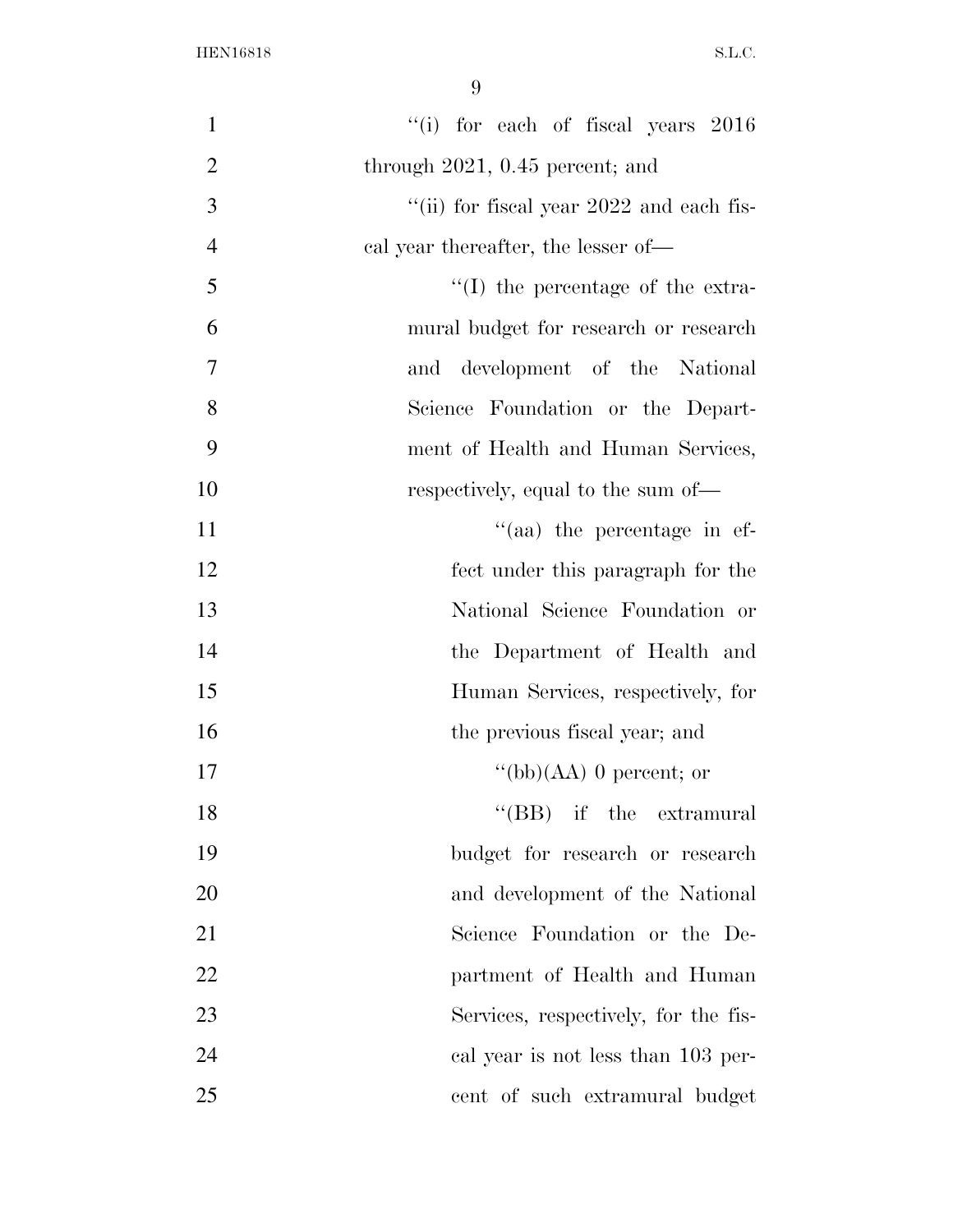| $\mathbf{1}$   | "(i) for each of fiscal years $2016$       |
|----------------|--------------------------------------------|
| $\overline{2}$ | through $2021$ , $0.45$ percent; and       |
| 3              | "(ii) for fiscal year $2022$ and each fis- |
| $\overline{4}$ | cal year thereafter, the lesser of—        |
| 5              | $\lq\lq$ (I) the percentage of the extra-  |
| 6              | mural budget for research or research      |
| 7              | and development of the National            |
| 8              | Science Foundation or the Depart-          |
| 9              | ment of Health and Human Services,         |
| 10             | respectively, equal to the sum of-         |
| 11             | $\cdot$ (aa) the percentage in ef-         |
| 12             | fect under this paragraph for the          |
| 13             | National Science Foundation or             |
| 14             | the Department of Health and               |
| 15             | Human Services, respectively, for          |
| 16             | the previous fiscal year; and              |
| 17             | "(bb) $(AA)$ 0 percent; or                 |
| 18             | $\lq\lq$ (BB) if the extramural            |
| 19             | budget for research or research            |
| 20             | and development of the National            |
| 21             | Science Foundation or the De-              |
| 22             | partment of Health and Human               |
| 23             | Services, respectively, for the fis-       |
| 24             | cal year is not less than 103 per-         |
| 25             | cent of such extramural budget             |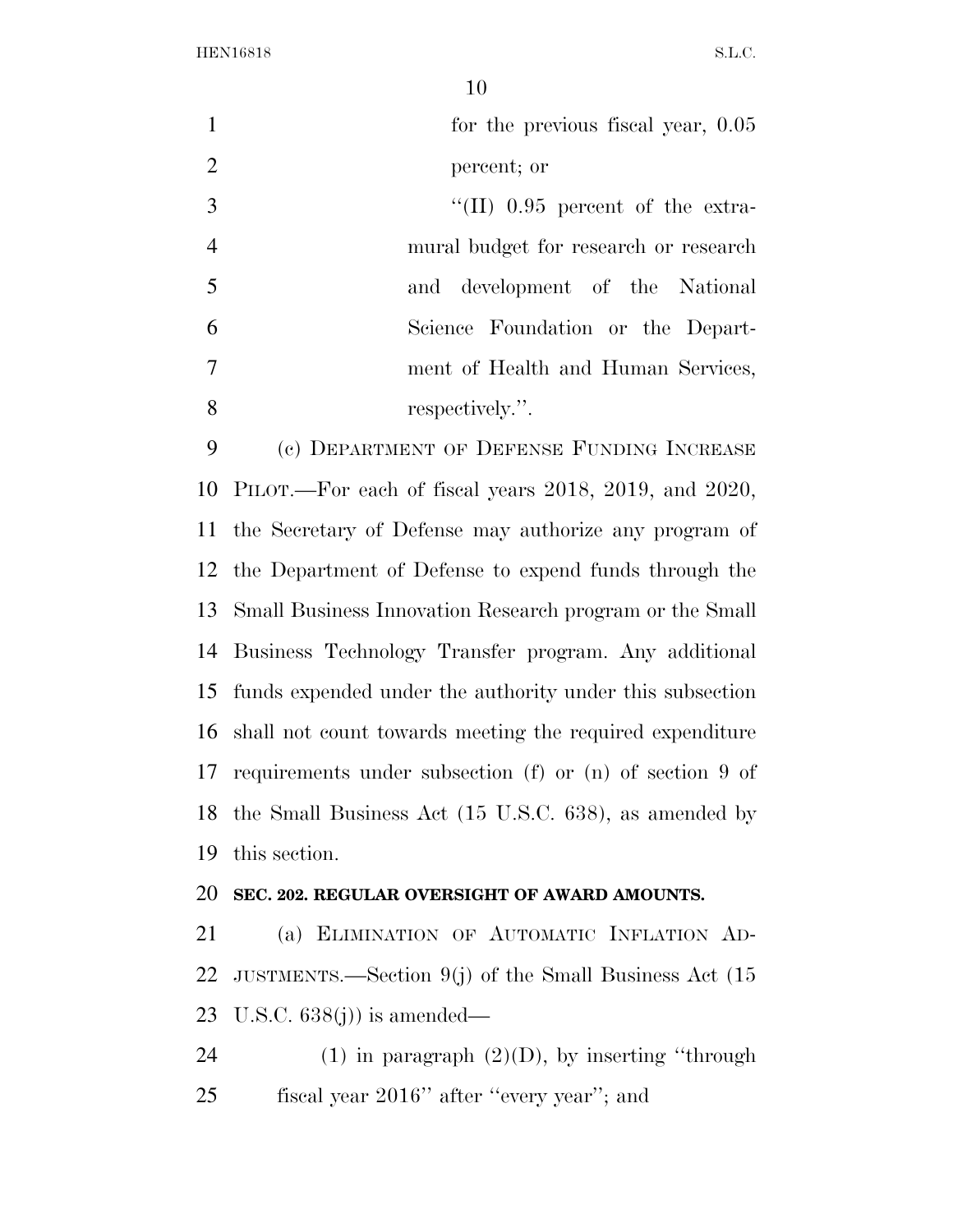| $\mathbf{1}$   | for the previous fiscal year, $0.05$                        |
|----------------|-------------------------------------------------------------|
| $\overline{2}$ | percent; or                                                 |
| 3              | $\lq$ (II) 0.95 percent of the extra-                       |
| $\overline{4}$ | mural budget for research or research                       |
| 5              | and development of the National                             |
| 6              | Science Foundation or the Depart-                           |
| 7              | ment of Health and Human Services,                          |
| 8              | respectively.".                                             |
| 9              | (c) DEPARTMENT OF DEFENSE FUNDING INCREASE                  |
| 10             | PILOT.—For each of fiscal years 2018, 2019, and 2020,       |
| 11             | the Secretary of Defense may authorize any program of       |
| 12             | the Department of Defense to expend funds through the       |
| 13             | Small Business Innovation Research program or the Small     |
| 14             | Business Technology Transfer program. Any additional        |
| 15             | funds expended under the authority under this subsection    |
| 16             | shall not count towards meeting the required expenditure    |
|                | 17 requirements under subsection (f) or (n) of section 9 of |
| 18             | the Small Business Act (15 U.S.C. 638), as amended by       |
| 19             | this section.                                               |
| 20             | SEC. 202. REGULAR OVERSIGHT OF AWARD AMOUNTS.               |
| 21             | (a) ELIMINATION OF AUTOMATIC INFLATION AD-                  |
| 22             | JUSTMENTS.—Section 9(j) of the Small Business Act $(15$     |
| 23             | U.S.C. $638(j)$ is amended—                                 |
| 24             | (1) in paragraph $(2)(D)$ , by inserting "through           |
| 25             | fiscal year 2016" after "every year"; and                   |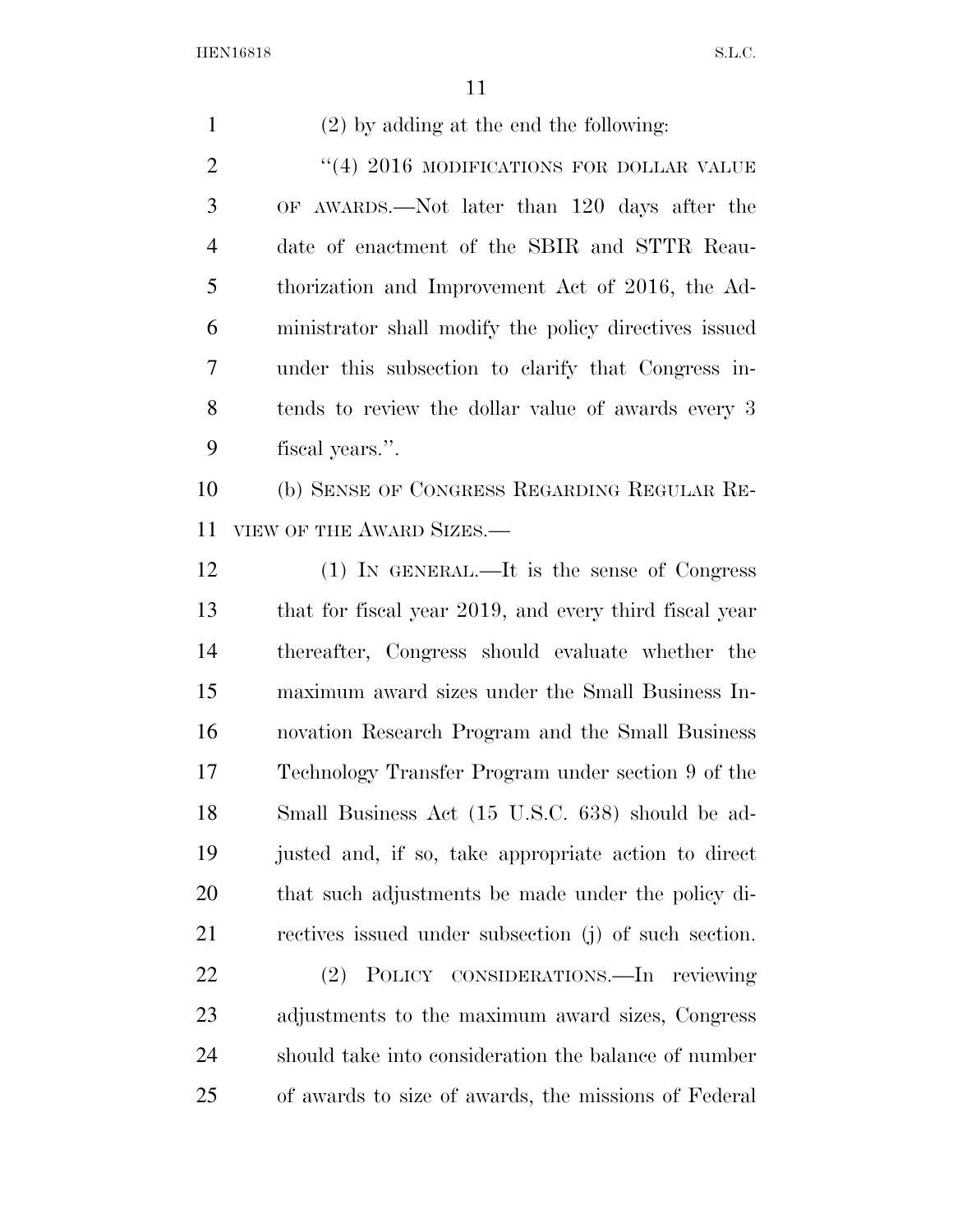| $\mathbf{1}$   | $(2)$ by adding at the end the following:              |
|----------------|--------------------------------------------------------|
| $\overline{2}$ | $``(4)$ 2016 MODIFICATIONS FOR DOLLAR VALUE            |
| 3              | OF AWARDS.—Not later than 120 days after the           |
| $\overline{4}$ | date of enactment of the SBIR and STTR Reau-           |
| 5              | thorization and Improvement Act of 2016, the Ad-       |
| 6              | ministrator shall modify the policy directives issued  |
| 7              | under this subsection to clarify that Congress in-     |
| 8              | tends to review the dollar value of awards every 3     |
| 9              | fiscal years.".                                        |
| 10             | (b) SENSE OF CONGRESS REGARDING REGULAR RE-            |
| 11             | VIEW OF THE AWARD SIZES.—                              |
| 12             | (1) IN GENERAL.—It is the sense of Congress            |
| 13             | that for fiscal year 2019, and every third fiscal year |
| 14             | thereafter, Congress should evaluate whether the       |
| 15             | maximum award sizes under the Small Business In-       |
| 16             | novation Research Program and the Small Business       |
| 17             | Technology Transfer Program under section 9 of the     |
| 18             | Small Business Act (15 U.S.C. 638) should be ad-       |
| 19             | justed and, if so, take appropriate action to direct   |
| 20             | that such adjustments be made under the policy di-     |
| 21             | rectives issued under subsection (j) of such section.  |
| 22             | POLICY CONSIDERATIONS.—In reviewing<br>(2)             |
| 23             | adjustments to the maximum award sizes, Congress       |
| 24             | should take into consideration the balance of number   |
| 25             | of awards to size of awards, the missions of Federal   |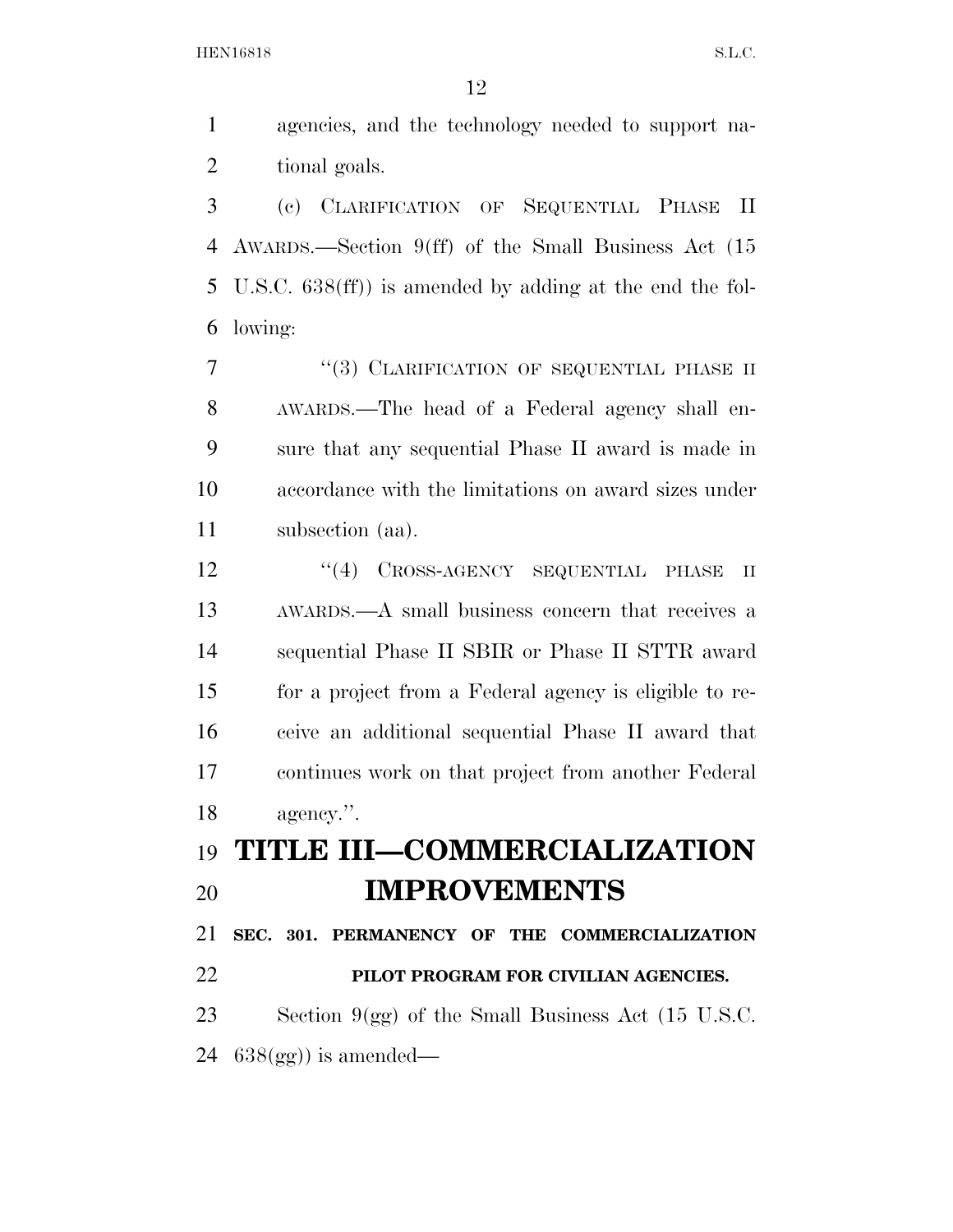agencies, and the technology needed to support na- tional goals. (c) CLARIFICATION OF SEQUENTIAL PHASE II

 AWARDS.—Section 9(ff) of the Small Business Act (15 U.S.C. 638(ff)) is amended by adding at the end the fol-lowing:

7 "(3) CLARIFICATION OF SEQUENTIAL PHASE II AWARDS.—The head of a Federal agency shall en- sure that any sequential Phase II award is made in accordance with the limitations on award sizes under subsection (aa).

12 ''(4) CROSS-AGENCY SEQUENTIAL PHASE II AWARDS.—A small business concern that receives a sequential Phase II SBIR or Phase II STTR award for a project from a Federal agency is eligible to re- ceive an additional sequential Phase II award that continues work on that project from another Federal agency.''.

## **TITLE III—COMMERCIALIZATION IMPROVEMENTS**

 **SEC. 301. PERMANENCY OF THE COMMERCIALIZATION PILOT PROGRAM FOR CIVILIAN AGENCIES.**  Section 9(gg) of the Small Business Act (15 U.S.C.

 $638(gg)$  is amended—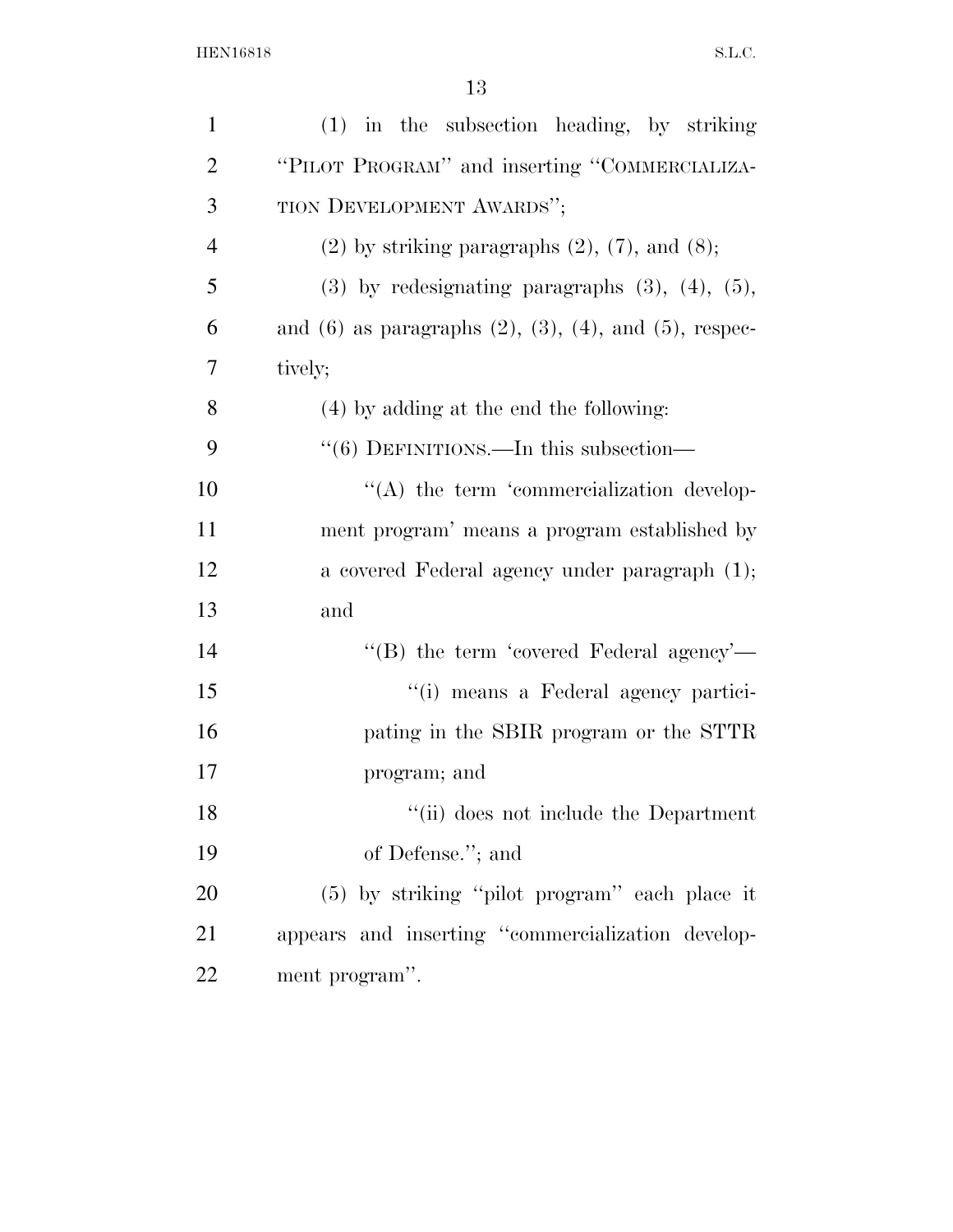| $\mathbf{1}$   | $(1)$ in the subsection heading, by striking                        |
|----------------|---------------------------------------------------------------------|
| 2              | "PILOT PROGRAM" and inserting "COMMERCIALIZA-                       |
| 3              | TION DEVELOPMENT AWARDS";                                           |
| $\overline{4}$ | $(2)$ by striking paragraphs $(2)$ , $(7)$ , and $(8)$ ;            |
| 5              | $(3)$ by redesignating paragraphs $(3)$ , $(4)$ , $(5)$ ,           |
| 6              | and $(6)$ as paragraphs $(2)$ , $(3)$ , $(4)$ , and $(5)$ , respec- |
| 7              | tively;                                                             |
| 8              | (4) by adding at the end the following:                             |
| 9              | $\cdot\cdot$ (6) DEFINITIONS.—In this subsection—                   |
| 10             | $\lq\lq$ the term 'commercialization develop-                       |
| 11             | ment program' means a program established by                        |
| 12             | a covered Federal agency under paragraph (1);                       |
| 13             | and                                                                 |
| 14             | "(B) the term 'covered Federal agency'—                             |
| 15             | "(i) means a Federal agency partici-                                |
| 16             | pating in the SBIR program or the STTR                              |
| 17             | program; and                                                        |
| 18             | "(ii) does not include the Department                               |
| 19             | of Defense."; and                                                   |
| 20             | (5) by striking "pilot program" each place it                       |
| 21             | appears and inserting "commercialization develop-                   |
| 22             | ment program".                                                      |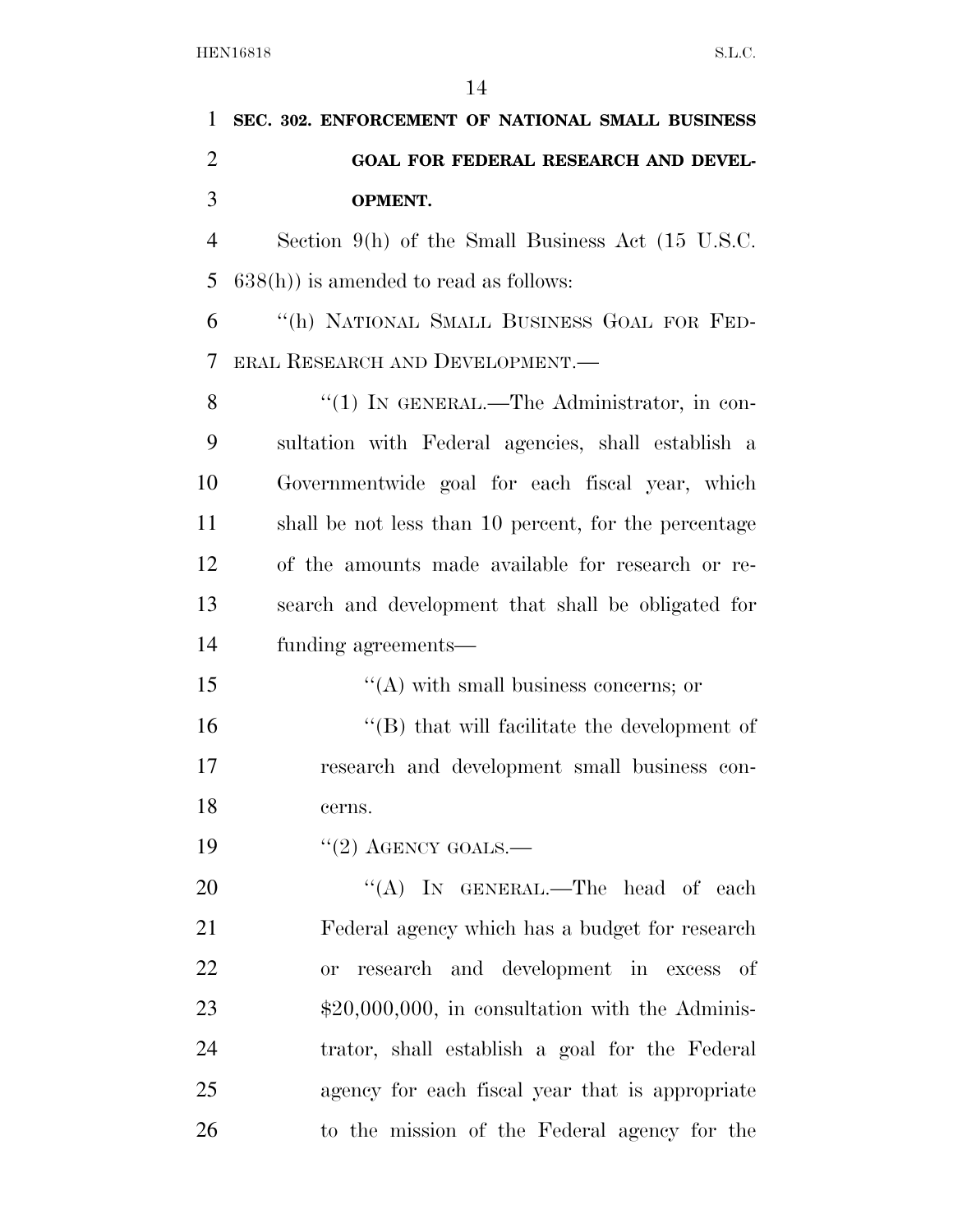| 1              | SEC. 302. ENFORCEMENT OF NATIONAL SMALL BUSINESS             |
|----------------|--------------------------------------------------------------|
| $\overline{2}$ | GOAL FOR FEDERAL RESEARCH AND DEVEL-                         |
| 3              | <b>OPMENT.</b>                                               |
| $\overline{4}$ | Section 9(h) of the Small Business Act $(15 \text{ U.S.C.})$ |
| 5              | $638(h)$ ) is amended to read as follows:                    |
| 6              | "(h) NATIONAL SMALL BUSINESS GOAL FOR FED-                   |
| 7              | ERAL RESEARCH AND DEVELOPMENT.                               |
| 8              | " $(1)$ IN GENERAL.—The Administrator, in con-               |
| 9              | sultation with Federal agencies, shall establish a           |
| 10             | Governmentwide goal for each fiscal year, which              |
| 11             | shall be not less than 10 percent, for the percentage        |
| 12             | of the amounts made available for research or re-            |
| 13             | search and development that shall be obligated for           |
| 14             | funding agreements-                                          |
| 15             | $\lq\lq$ with small business concerns; or                    |
| 16             | $\lq\lq$ that will facilitate the development of             |
| 17             | research and development small business con-                 |
| 18             | cerns.                                                       |
| 19             | $"(2)$ AGENCY GOALS.—                                        |
| 20             | "(A) IN GENERAL.—The head of each                            |
| 21             | Federal agency which has a budget for research               |
| 22             | research and development in excess of<br><b>or</b>           |
| 23             | $$20,000,000$ , in consultation with the Adminis-            |
| 24             | trator, shall establish a goal for the Federal               |
| 25             | agency for each fiscal year that is appropriate              |
| 26             | to the mission of the Federal agency for the                 |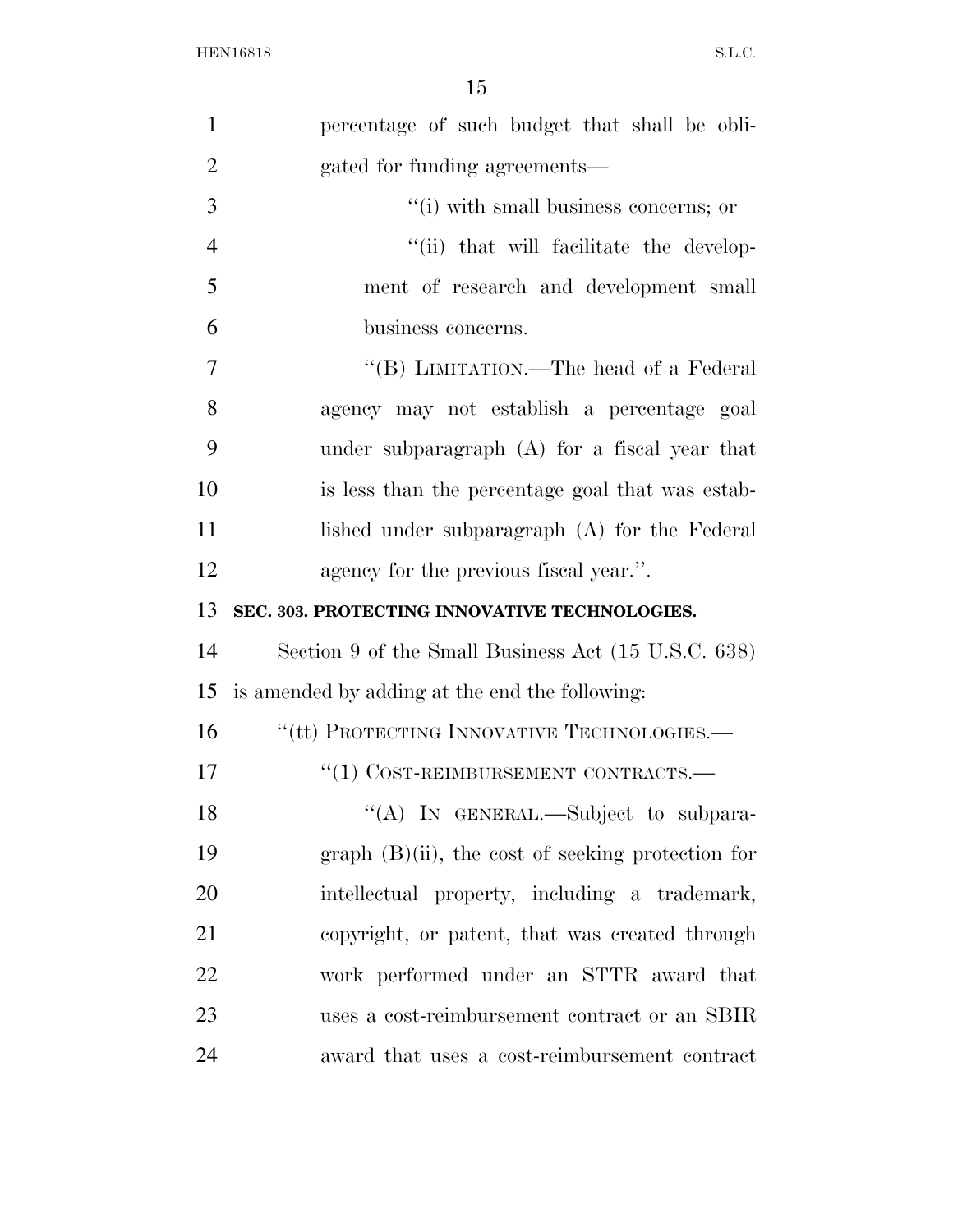| $\mathbf{1}$   | percentage of such budget that shall be obli-       |
|----------------|-----------------------------------------------------|
| $\overline{2}$ | gated for funding agreements—                       |
| 3              | $\cdot$ (i) with small business concerns; or        |
| $\overline{4}$ | "(ii) that will facilitate the develop-             |
| 5              | ment of research and development small              |
| 6              | business concerns.                                  |
| $\overline{7}$ | "(B) LIMITATION.—The head of a Federal              |
| 8              | agency may not establish a percentage goal          |
| 9              | under subparagraph $(A)$ for a fiscal year that     |
| 10             | is less than the percentage goal that was estab-    |
| 11             | lished under subparagraph (A) for the Federal       |
| 12             | agency for the previous fiscal year.".              |
| 13             | SEC. 303. PROTECTING INNOVATIVE TECHNOLOGIES.       |
| 14             | Section 9 of the Small Business Act (15 U.S.C. 638) |
|                |                                                     |
| 15             | is amended by adding at the end the following:      |
| 16             | "(tt) PROTECTING INNOVATIVE TECHNOLOGIES.—          |
| 17             | $``(1)$ COST-REIMBURSEMENT CONTRACTS.—              |
| 18             | "(A) IN GENERAL.—Subject to subpara-                |
| 19             | $graph$ (B)(ii), the cost of seeking protection for |
| 20             | intellectual property, including a trademark,       |
| 21             | copyright, or patent, that was created through      |
| 22             | work performed under an STTR award that             |
| 23             | uses a cost-reimbursement contract or an SBIR       |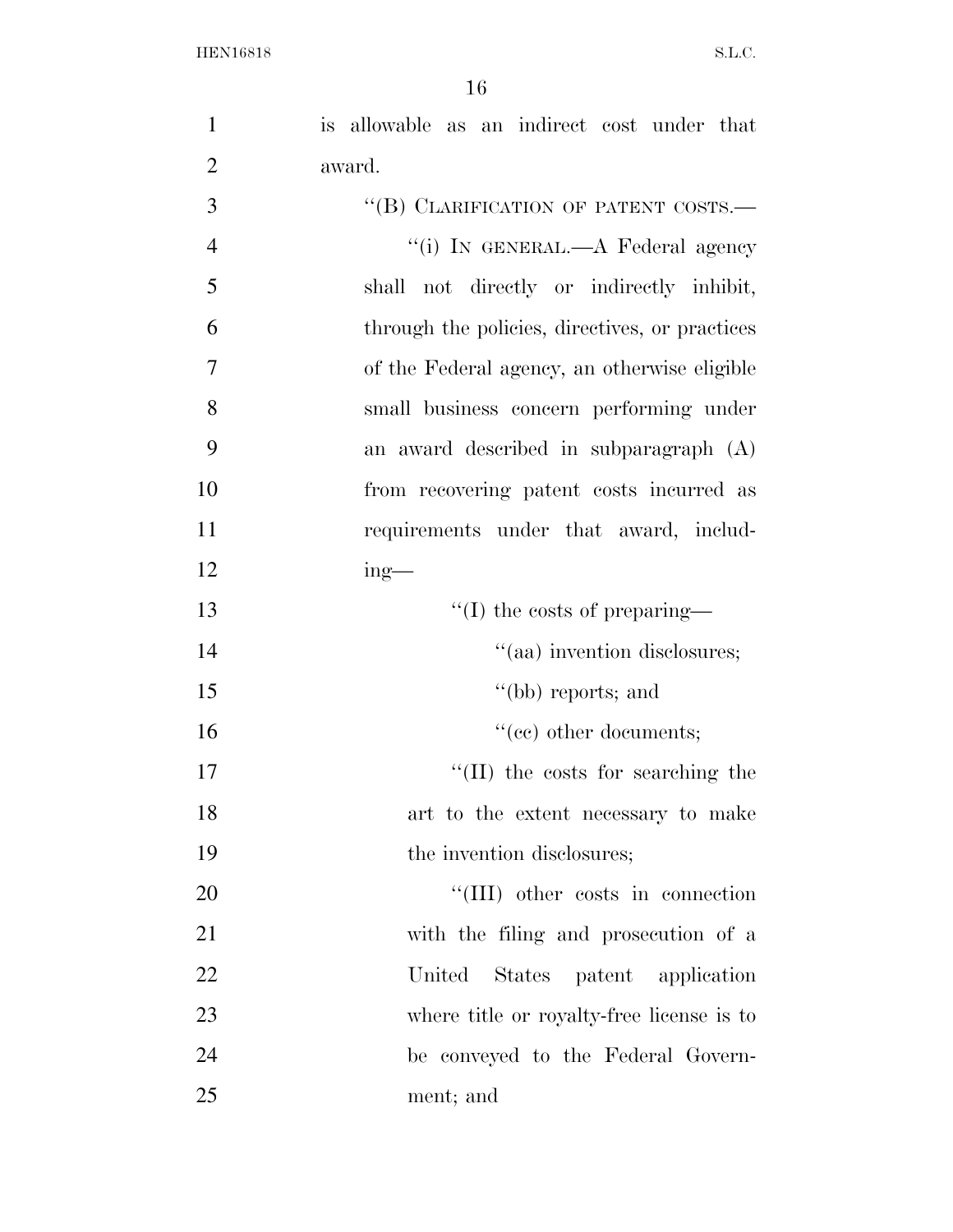| $\mathbf{1}$   | is allowable as an indirect cost under that    |
|----------------|------------------------------------------------|
| $\overline{2}$ | award.                                         |
| 3              | "(B) CLARIFICATION OF PATENT COSTS.-           |
| $\overline{4}$ | "(i) IN GENERAL.—A Federal agency              |
| 5              | shall not directly or indirectly inhibit,      |
| 6              | through the policies, directives, or practices |
| 7              | of the Federal agency, an otherwise eligible   |
| 8              | small business concern performing under        |
| 9              | an award described in subparagraph (A)         |
| 10             | from recovering patent costs incurred as       |
| 11             | requirements under that award, includ-         |
| 12             | $ing$ —                                        |
| 13             | $\lq\lq$ (I) the costs of preparing—           |
| 14             | "(aa) invention disclosures;                   |
| 15             | $"$ (bb) reports; and                          |
| 16             | $``(ee)$ other documents;                      |
| 17             | "(II) the costs for searching the              |
| 18             | art to the extent necessary to make            |
| 19             | the invention disclosures;                     |
| 20             | "(III) other costs in connection               |
| 21             | with the filing and prosecution of a           |
| 22             | United<br>States patent application            |
| 23             | where title or royalty-free license is to      |
| 24             | be conveyed to the Federal Govern-             |
| 25             | ment; and                                      |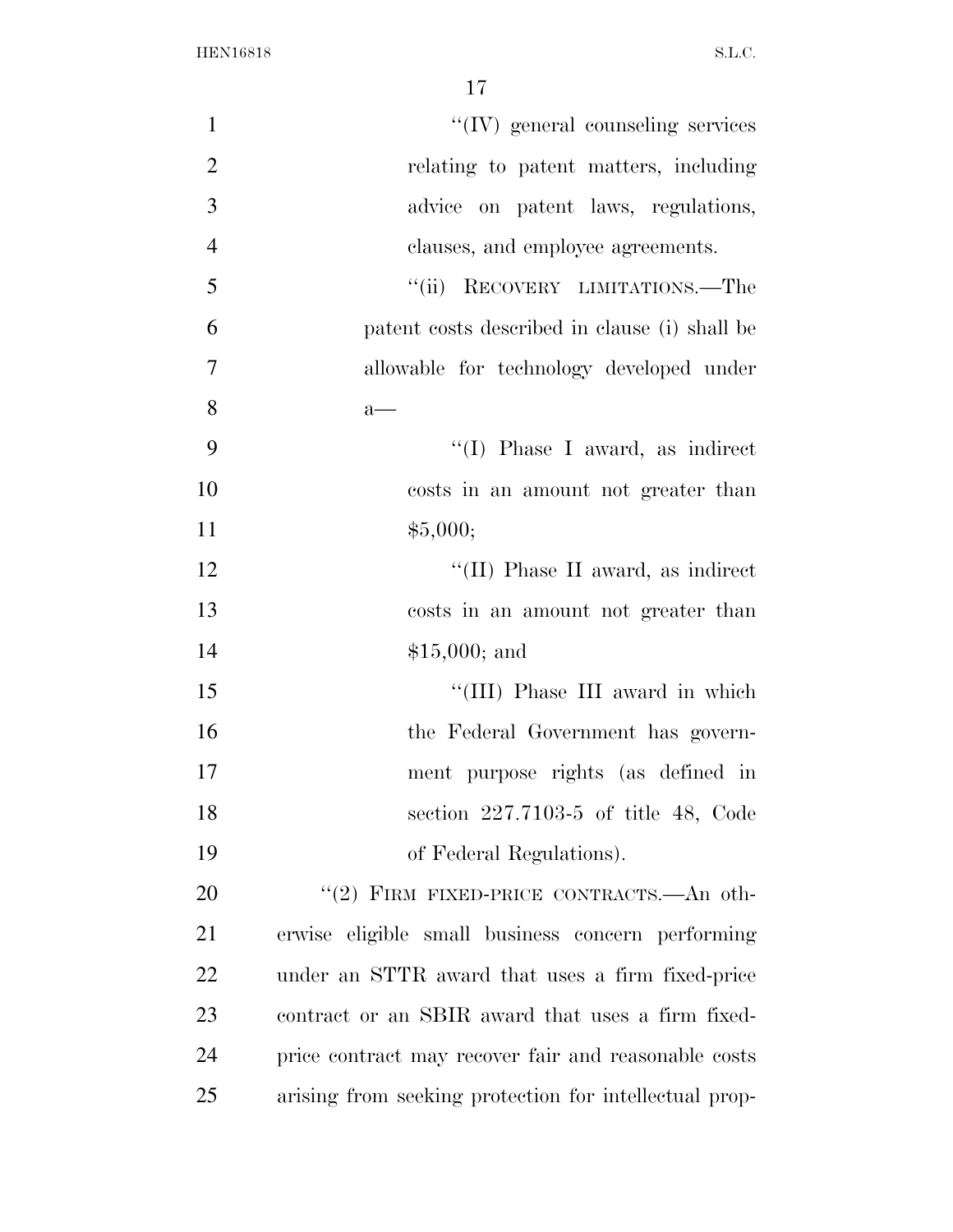| $\mathbf{1}$   | $\lq\lq$ (IV) general counseling services              |
|----------------|--------------------------------------------------------|
| $\overline{2}$ | relating to patent matters, including                  |
| 3              | advice on patent laws, regulations,                    |
| $\overline{4}$ | clauses, and employee agreements.                      |
| 5              | RECOVERY LIMITATIONS.—The<br>``(ii)                    |
| 6              | patent costs described in clause (i) shall be          |
| $\overline{7}$ | allowable for technology developed under               |
| 8              | $a$ —                                                  |
| 9              | $\lq\lq$ (I) Phase I award, as indirect                |
| 10             | costs in an amount not greater than                    |
| 11             | \$5,000;                                               |
| 12             | "(II) Phase II award, as indirect                      |
| 13             | costs in an amount not greater than                    |
| 14             | $$15,000;$ and                                         |
| 15             | "(III) Phase III award in which                        |
| 16             | the Federal Government has govern-                     |
| 17             | ment purpose rights (as defined in                     |
| 18             | section $227.7103-5$ of title 48, Code                 |
| 19             | of Federal Regulations).                               |
| 20             | "(2) FIRM FIXED-PRICE CONTRACTS.—An oth-               |
| 21             | erwise eligible small business concern performing      |
| 22             | under an STTR award that uses a firm fixed-price       |
| 23             | contract or an SBIR award that uses a firm fixed-      |
| 24             | price contract may recover fair and reasonable costs   |
| 25             | arising from seeking protection for intellectual prop- |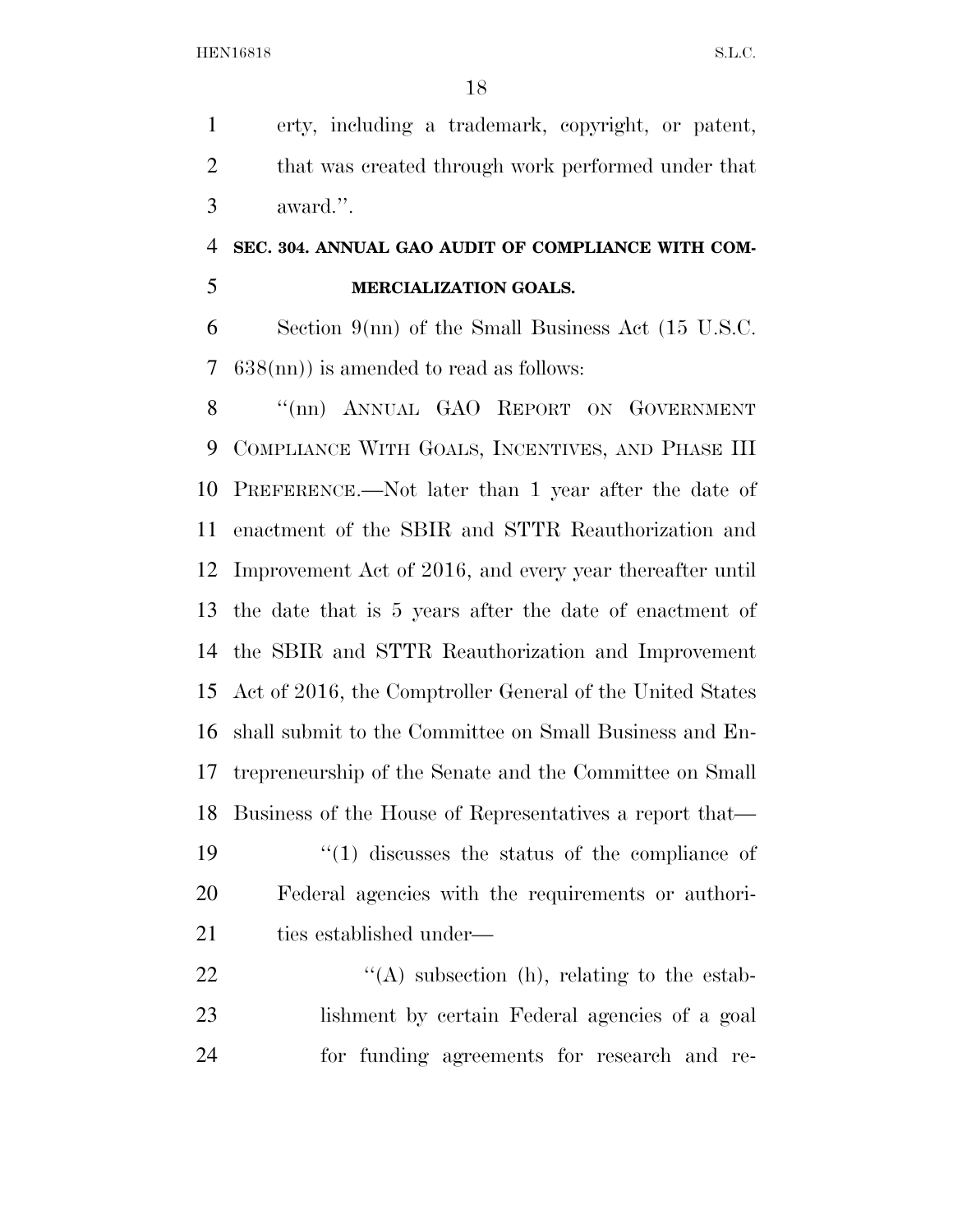erty, including a trademark, copyright, or patent, 2 that was created through work performed under that award.''.

## **SEC. 304. ANNUAL GAO AUDIT OF COMPLIANCE WITH COM-MERCIALIZATION GOALS.**

 Section 9(nn) of the Small Business Act (15 U.S.C. 638(nn)) is amended to read as follows:

8 "(nn) ANNUAL GAO REPORT ON GOVERNMENT COMPLIANCE WITH GOALS, INCENTIVES, AND PHASE III PREFERENCE.—Not later than 1 year after the date of enactment of the SBIR and STTR Reauthorization and Improvement Act of 2016, and every year thereafter until the date that is 5 years after the date of enactment of the SBIR and STTR Reauthorization and Improvement Act of 2016, the Comptroller General of the United States shall submit to the Committee on Small Business and En- trepreneurship of the Senate and the Committee on Small Business of the House of Representatives a report that— 19 ''(1) discusses the status of the compliance of Federal agencies with the requirements or authori-21 ties established under—  $\langle (A) \rangle$  subsection (h), relating to the estab-

 lishment by certain Federal agencies of a goal for funding agreements for research and re-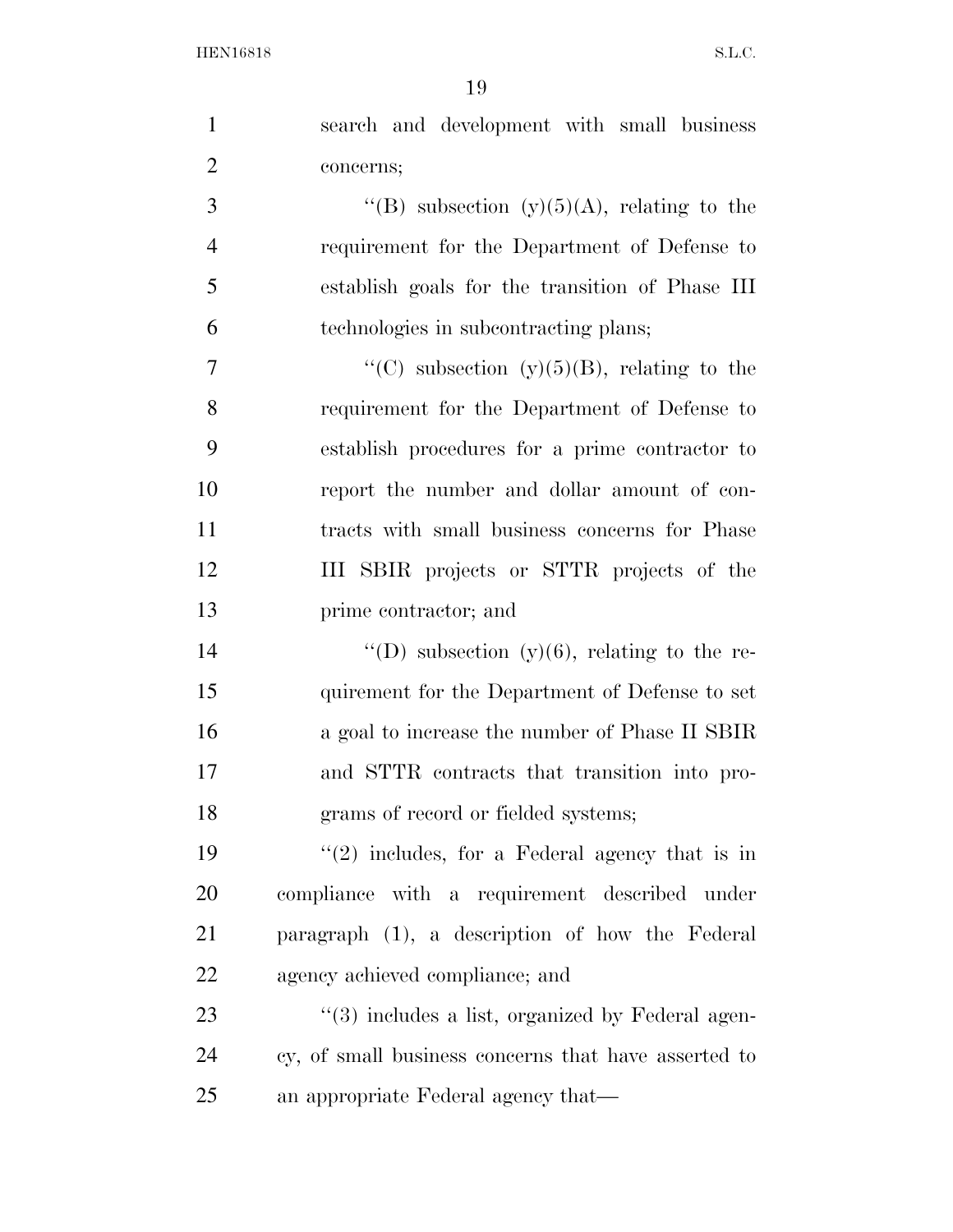| $\mathbf{1}$   | search and development with small business           |
|----------------|------------------------------------------------------|
| $\overline{2}$ | concerns;                                            |
| 3              | "(B) subsection (y)(5)(A), relating to the           |
| $\overline{4}$ | requirement for the Department of Defense to         |
| 5              | establish goals for the transition of Phase III      |
| 6              | technologies in subcontracting plans;                |
| 7              | "(C) subsection (y)(5)(B), relating to the           |
| 8              | requirement for the Department of Defense to         |
| 9              | establish procedures for a prime contractor to       |
| 10             | report the number and dollar amount of con-          |
| 11             | tracts with small business concerns for Phase        |
| 12             | III SBIR projects or STTR projects of the            |
| 13             | prime contractor; and                                |
| 14             | "(D) subsection (y)(6), relating to the re-          |
| 15             | quirement for the Department of Defense to set       |
| 16             | a goal to increase the number of Phase II SBIR       |
| 17             | and STTR contracts that transition into pro-         |
| 18             | grams of record or fielded systems;                  |
| 19             | $"(2)$ includes, for a Federal agency that is in     |
| 20             | compliance with a requirement described under        |
| 21             | paragraph (1), a description of how the Federal      |
| <u>22</u>      | agency achieved compliance; and                      |
| 23             | $\lq(3)$ includes a list, organized by Federal agen- |
| 24             | cy, of small business concerns that have asserted to |
| 25             | an appropriate Federal agency that—                  |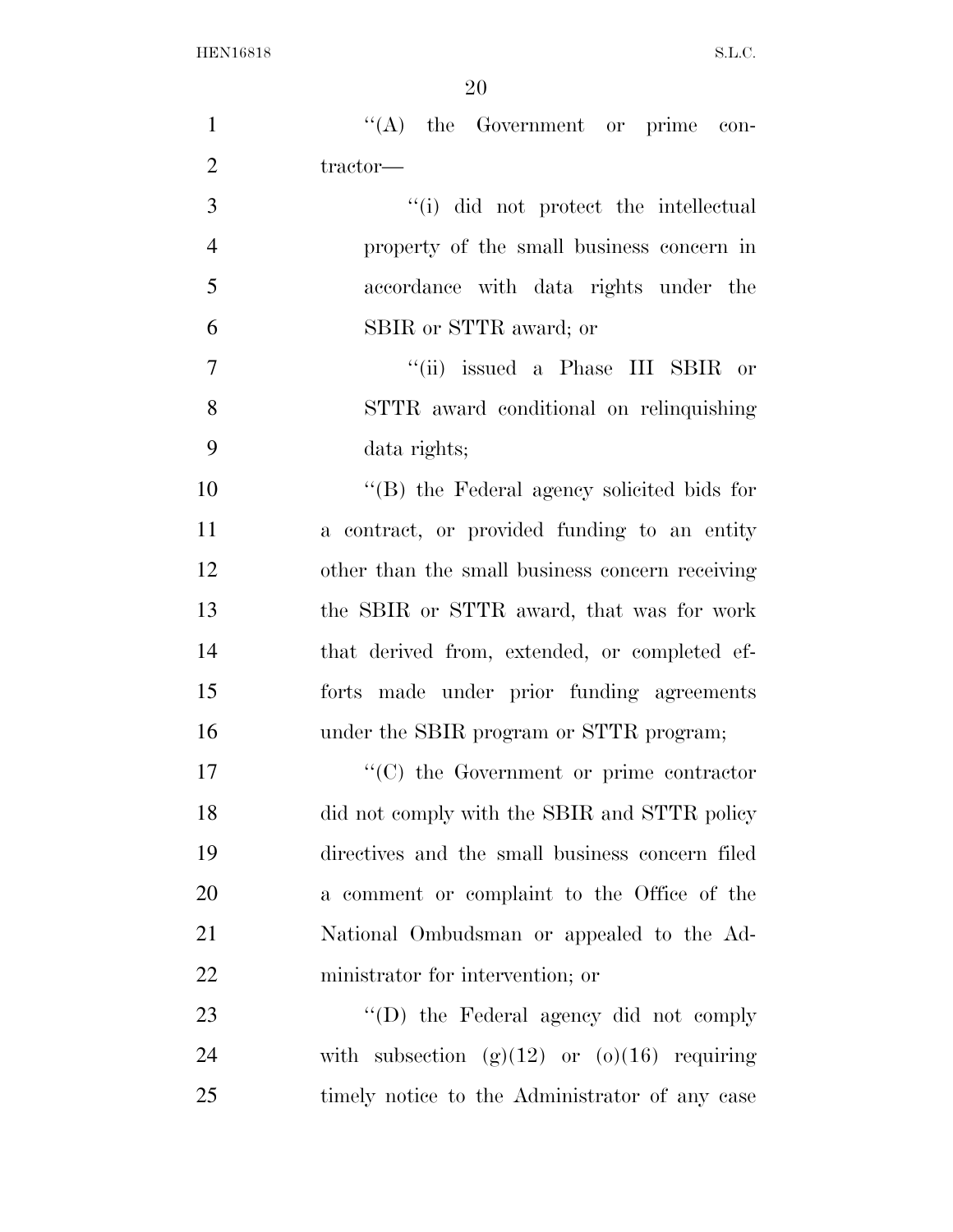| $\mathbf{1}$   | $\lq\lq$ the Government or prime con-            |
|----------------|--------------------------------------------------|
| $\overline{2}$ | tractor-                                         |
| 3              | "(i) did not protect the intellectual            |
| $\overline{4}$ | property of the small business concern in        |
| 5              | accordance with data rights under the            |
| 6              | SBIR or STTR award; or                           |
| 7              | "(ii) issued a Phase III SBIR or                 |
| 8              | STTR award conditional on relinquishing          |
| 9              | data rights;                                     |
| 10             | "(B) the Federal agency solicited bids for       |
| 11             | a contract, or provided funding to an entity     |
| 12             | other than the small business concern receiving  |
| 13             | the SBIR or STTR award, that was for work        |
| 14             | that derived from, extended, or completed ef-    |
| 15             | forts made under prior funding agreements        |
| 16             | under the SBIR program or STTR program;          |
| 17             | $\cdot$ (C) the Government or prime contractor   |
| 18             | did not comply with the SBIR and STTR policy     |
| 19             | directives and the small business concern filed  |
| 20             | a comment or complaint to the Office of the      |
| 21             | National Ombudsman or appealed to the Ad-        |
| 22             | ministrator for intervention; or                 |
| 23             | "(D) the Federal agency did not comply           |
| 24             | with subsection $(g)(12)$ or $(o)(16)$ requiring |
| 25             | timely notice to the Administrator of any case   |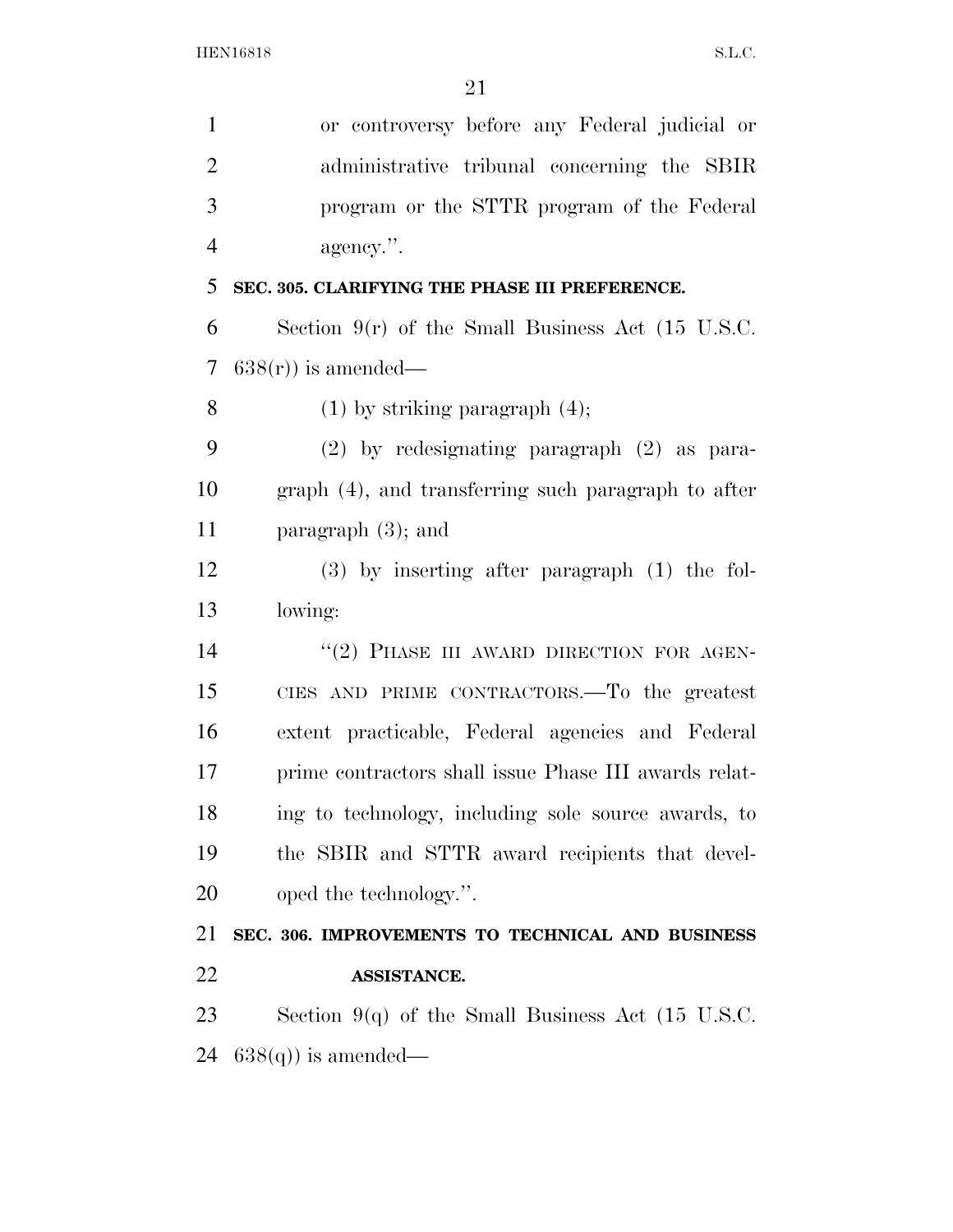| $\mathbf{1}$   | or controversy before any Federal judicial or                |
|----------------|--------------------------------------------------------------|
| $\overline{2}$ | administrative tribunal concerning the SBIR                  |
| 3              | program or the STTR program of the Federal                   |
| $\overline{4}$ | agency.".                                                    |
| 5              | SEC. 305. CLARIFYING THE PHASE III PREFERENCE.               |
| 6              | Section $9(r)$ of the Small Business Act (15 U.S.C.          |
| 7              | $638(r)$ ) is amended—                                       |
| 8              | $(1)$ by striking paragraph $(4)$ ;                          |
| 9              | $(2)$ by redesignating paragraph $(2)$ as para-              |
| 10             | graph (4), and transferring such paragraph to after          |
| 11             | paragraph $(3)$ ; and                                        |
| 12             | $(3)$ by inserting after paragraph $(1)$ the fol-            |
| 13             | lowing:                                                      |
| 14             | "(2) PHASE III AWARD DIRECTION FOR AGEN-                     |
| 15             | CIES AND PRIME CONTRACTORS.—To the greatest                  |
| 16             | extent practicable, Federal agencies and Federal             |
| 17             | prime contractors shall issue Phase III awards relat-        |
| 18             | ing to technology, including sole source awards, to          |
| 19             | the SBIR and STTR award recipients that devel-               |
| 20             | oped the technology.".                                       |
| 21             | SEC. 306. IMPROVEMENTS TO TECHNICAL AND BUSINESS             |
| 22             | ASSISTANCE.                                                  |
| 23             | Section 9(q) of the Small Business Act $(15 \text{ U.S.C.})$ |
| 24             | $638(q)$ is amended—                                         |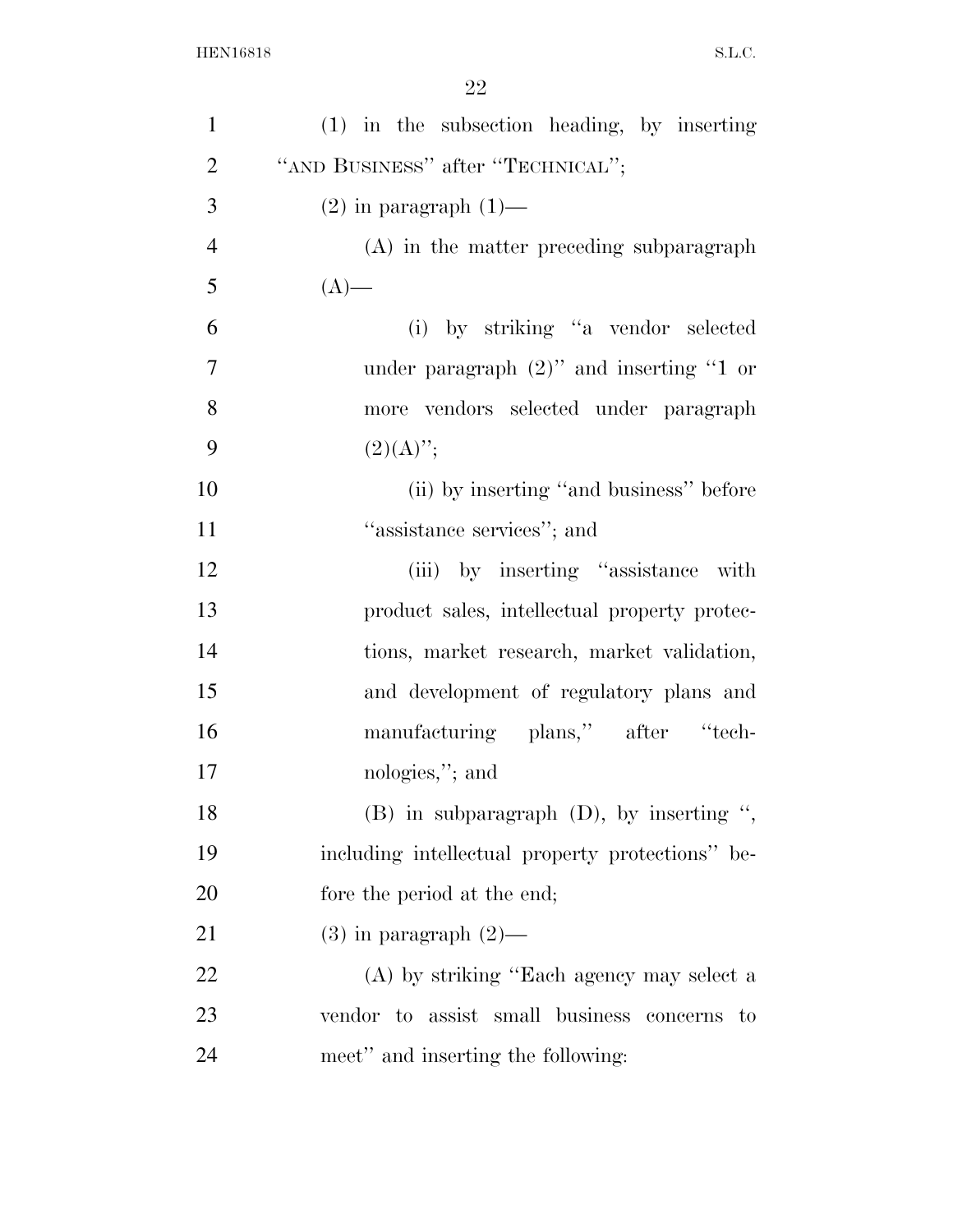| $\mathbf{1}$   | $(1)$ in the subsection heading, by inserting    |
|----------------|--------------------------------------------------|
| $\overline{2}$ | "AND BUSINESS" after "TECHNICAL";                |
| 3              | $(2)$ in paragraph $(1)$ —                       |
| $\overline{4}$ | $(A)$ in the matter preceding subparagraph       |
| 5              | $(A)$ —                                          |
| 6              | (i) by striking "a vendor selected               |
| $\tau$         | under paragraph $(2)$ " and inserting "1 or      |
| 8              | more vendors selected under paragraph            |
| 9              | $(2)(A)$ ";                                      |
| 10             | (ii) by inserting "and business" before          |
| 11             | "assistance services"; and                       |
| 12             | (iii) by inserting "assistance with              |
| 13             | product sales, intellectual property protec-     |
| 14             | tions, market research, market validation,       |
| 15             | and development of regulatory plans and          |
| 16             | manufacturing plans," after "tech-               |
| 17             | nologies,"; and                                  |
| 18             | $(B)$ in subparagraph $(D)$ , by inserting ",    |
| 19             | including intellectual property protections" be- |
| 20             | fore the period at the end;                      |
| 21             | $(3)$ in paragraph $(2)$ —                       |
| 22             | (A) by striking "Each agency may select a        |
| 23             | vendor to assist small business concerns<br>to   |
| 24             | meet" and inserting the following:               |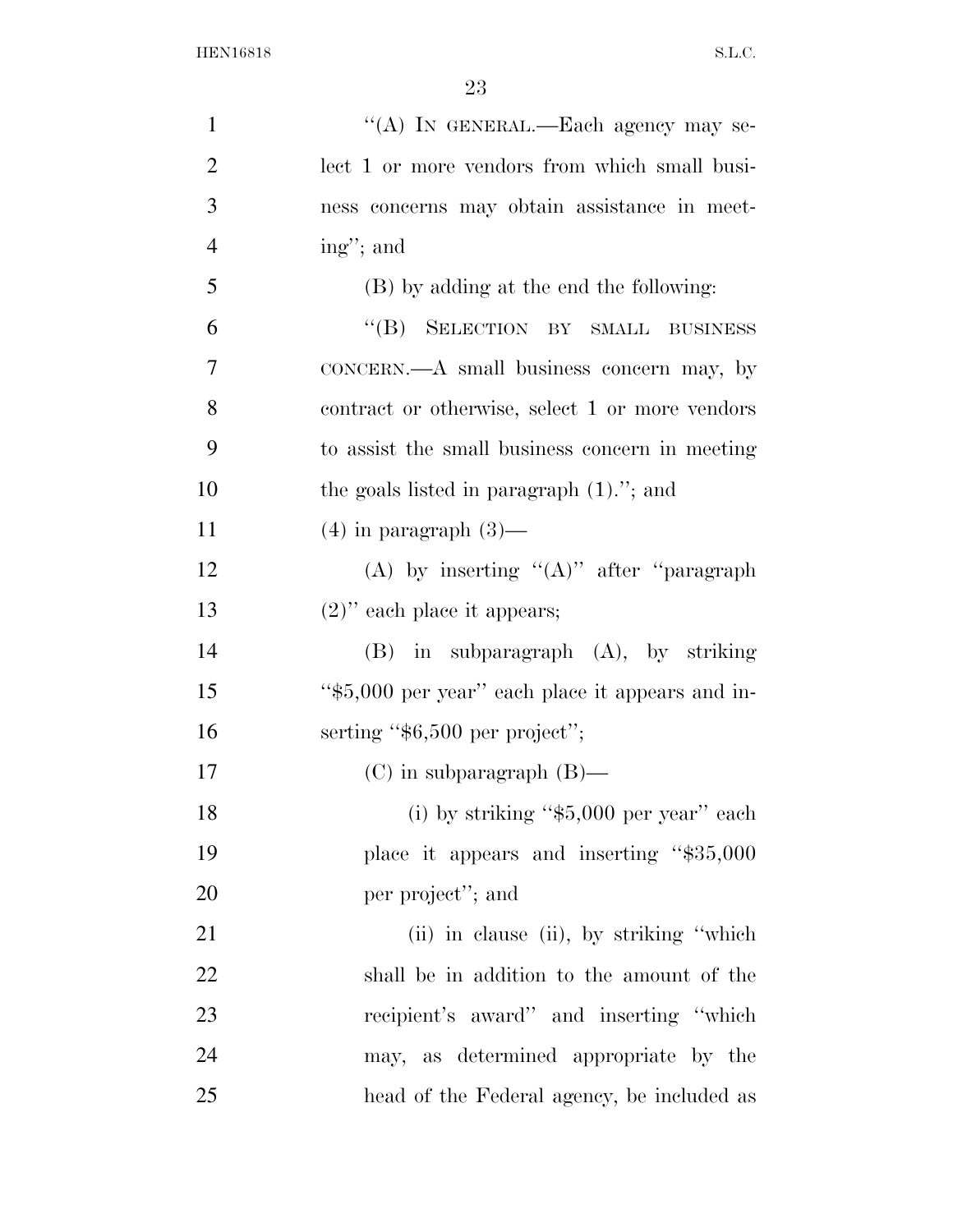| $\mathbf{1}$   | "(A) IN GENERAL.—Each agency may se-             |
|----------------|--------------------------------------------------|
| $\overline{2}$ | lect 1 or more vendors from which small busi-    |
| 3              | ness concerns may obtain assistance in meet-     |
| $\overline{4}$ | ing"; and                                        |
| 5              | (B) by adding at the end the following:          |
| 6              | "(B) SELECTION BY SMALL BUSINESS                 |
| 7              | CONCERN.—A small business concern may, by        |
| 8              | contract or otherwise, select 1 or more vendors  |
| 9              | to assist the small business concern in meeting  |
| 10             | the goals listed in paragraph $(1)$ ."; and      |
| 11             | $(4)$ in paragraph $(3)$ —                       |
| 12             | (A) by inserting " $(A)$ " after "paragraph"     |
| 13             | $(2)$ " each place it appears;                   |
| 14             | $(B)$ in subparagraph $(A)$ , by striking        |
| 15             | "\$5,000 per year" each place it appears and in- |
| 16             | serting " $$6,500$ per project";                 |
| 17             | $(C)$ in subparagraph $(B)$ —                    |
| 18             | (i) by striking " $$5,000$ per year" each        |
| 19             | place it appears and inserting "\$35,000         |
| 20             | per project"; and                                |
| 21             | (ii) in clause (ii), by striking "which          |
| 22             | shall be in addition to the amount of the        |
| 23             | recipient's award" and inserting "which          |
| 24             | may, as determined appropriate by the            |
| 25             | head of the Federal agency, be included as       |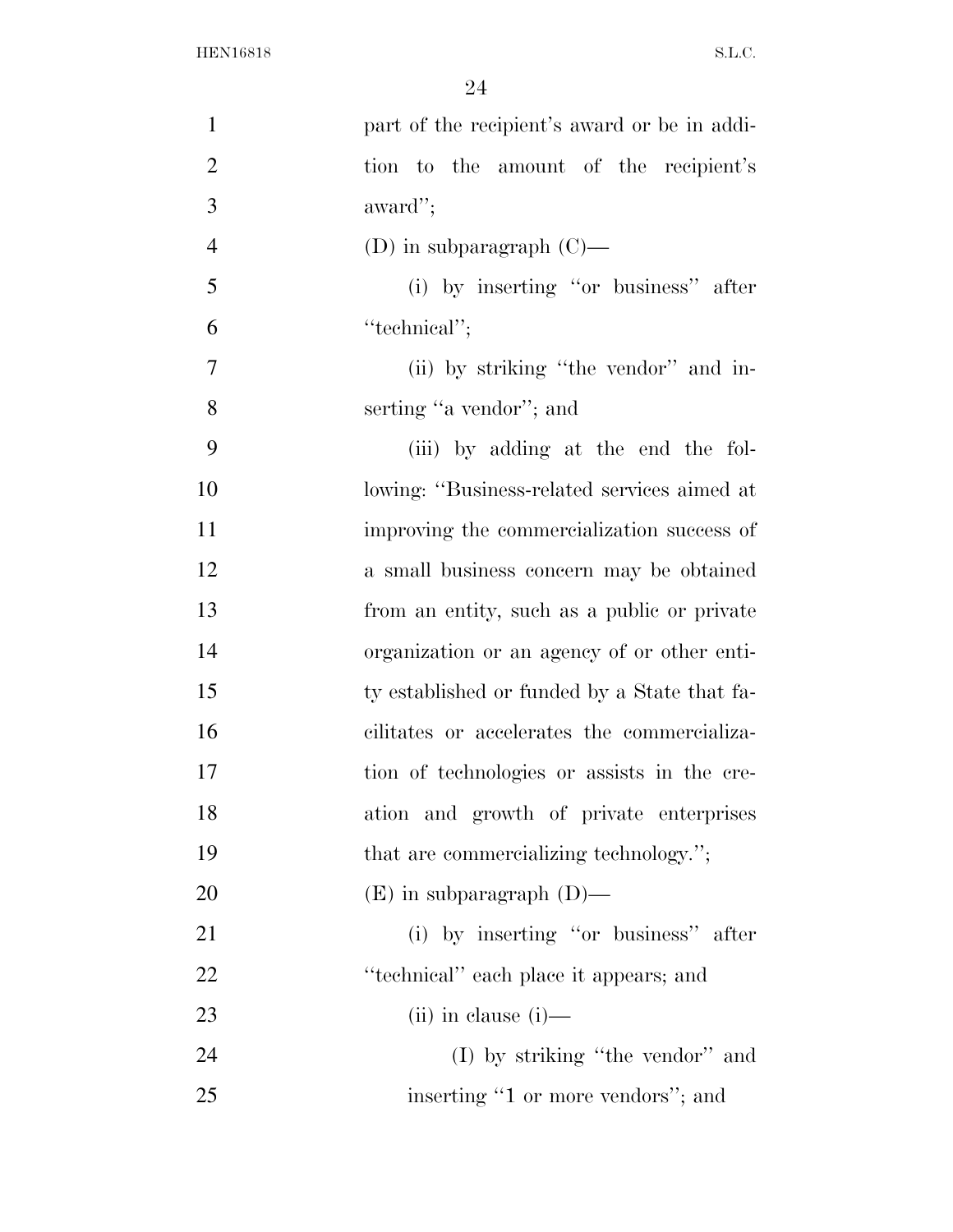| $\mathbf{1}$   | part of the recipient's award or be in addi- |
|----------------|----------------------------------------------|
| $\overline{2}$ | tion to the amount of the recipient's        |
| 3              | award";                                      |
| $\overline{4}$ | (D) in subparagraph $(C)$ —                  |
| 5              | (i) by inserting "or business" after         |
| 6              | "technical";                                 |
| 7              | (ii) by striking "the vendor" and in-        |
| 8              | serting "a vendor"; and                      |
| 9              | (iii) by adding at the end the fol-          |
| 10             | lowing: "Business-related services aimed at  |
| 11             | improving the commercialization success of   |
| 12             | a small business concern may be obtained     |
| 13             | from an entity, such as a public or private  |
| 14             | organization or an agency of or other enti-  |
| 15             | ty established or funded by a State that fa- |
| 16             | cilitates or accelerates the commercializa-  |
| 17             | tion of technologies or assists in the cre-  |
| 18             | ation and growth of private enterprises      |
| 19             | that are commercializing technology.";       |
| 20             | $(E)$ in subparagraph $(D)$ —                |
| 21             | (i) by inserting "or business" after         |
| 22             | "technical" each place it appears; and       |
| 23             | $(ii)$ in clause $(i)$ —                     |
| 24             | $(I)$ by striking "the vendor" and           |
| 25             | inserting "1 or more vendors"; and           |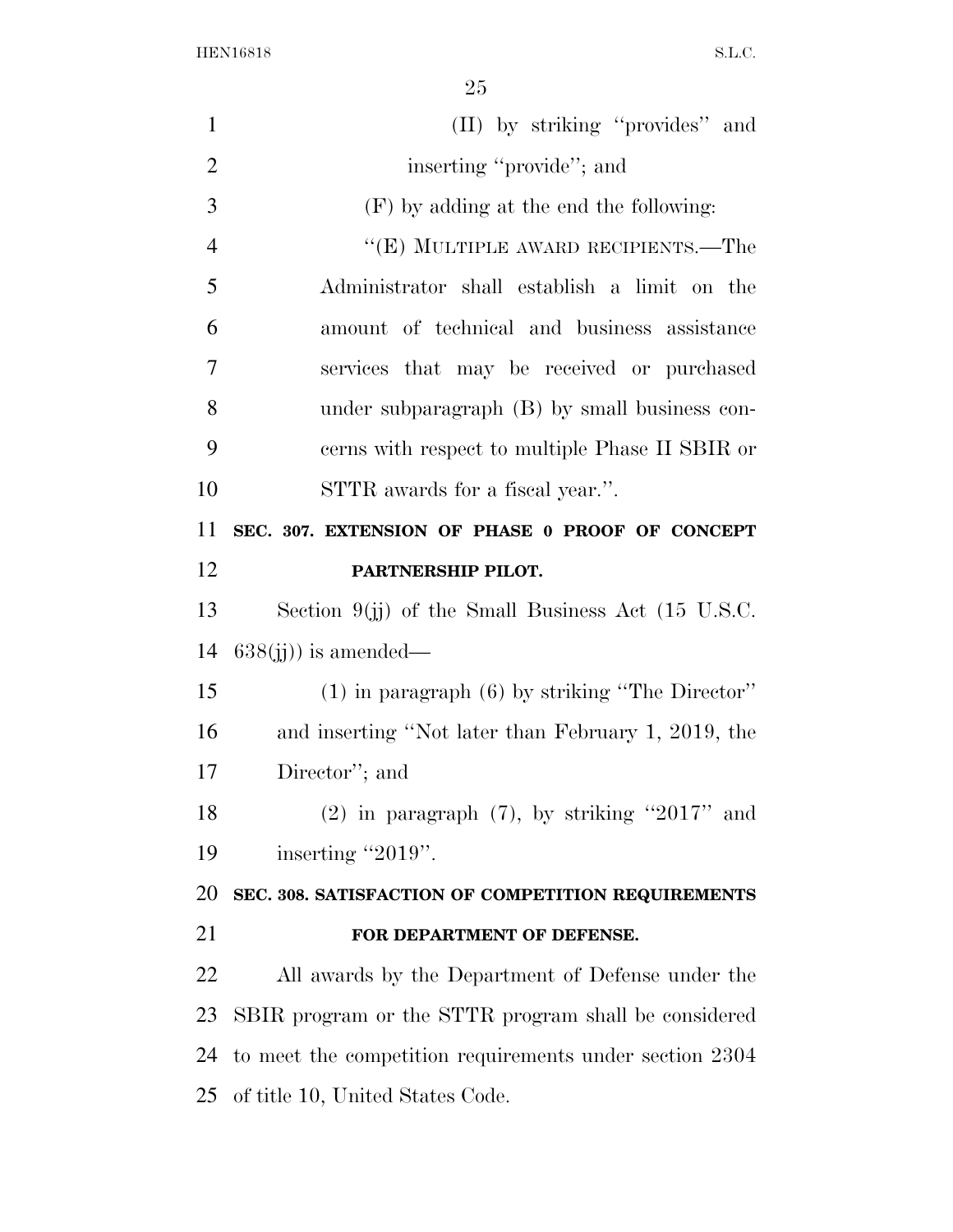| $\mathbf{1}$   | (II) by striking "provides" and                         |
|----------------|---------------------------------------------------------|
| $\overline{2}$ | inserting "provide"; and                                |
| 3              | (F) by adding at the end the following:                 |
| $\overline{4}$ | "(E) MULTIPLE AWARD RECIPIENTS.—The                     |
| 5              | Administrator shall establish a limit on the            |
| 6              | amount of technical and business assistance             |
| $\overline{7}$ | services that may be received or purchased              |
| 8              | under subparagraph (B) by small business con-           |
| 9              | cerns with respect to multiple Phase II SBIR or         |
| 10             | STTR awards for a fiscal year.".                        |
| 11             | SEC. 307. EXTENSION OF PHASE 0 PROOF OF CONCEPT         |
| 12             | PARTNERSHIP PILOT.                                      |
| 13             | Section $9(jj)$ of the Small Business Act (15 U.S.C.    |
| 14             | $638(i)$ ) is amended—                                  |
| 15             | $(1)$ in paragraph $(6)$ by striking "The Director"     |
| 16             | and inserting "Not later than February 1, 2019, the     |
| 17             | Director"; and                                          |
| 18             | $(2)$ in paragraph $(7)$ , by striking "2017" and       |
| 19             | inserting "2019".                                       |
| 20             | SEC. 308. SATISFACTION OF COMPETITION REQUIREMENTS      |
| 21             | FOR DEPARTMENT OF DEFENSE.                              |
| 22             | All awards by the Department of Defense under the       |
| 23             | SBIR program or the STTR program shall be considered    |
| 24             | to meet the competition requirements under section 2304 |
|                | 25 of title 10, United States Code.                     |
|                |                                                         |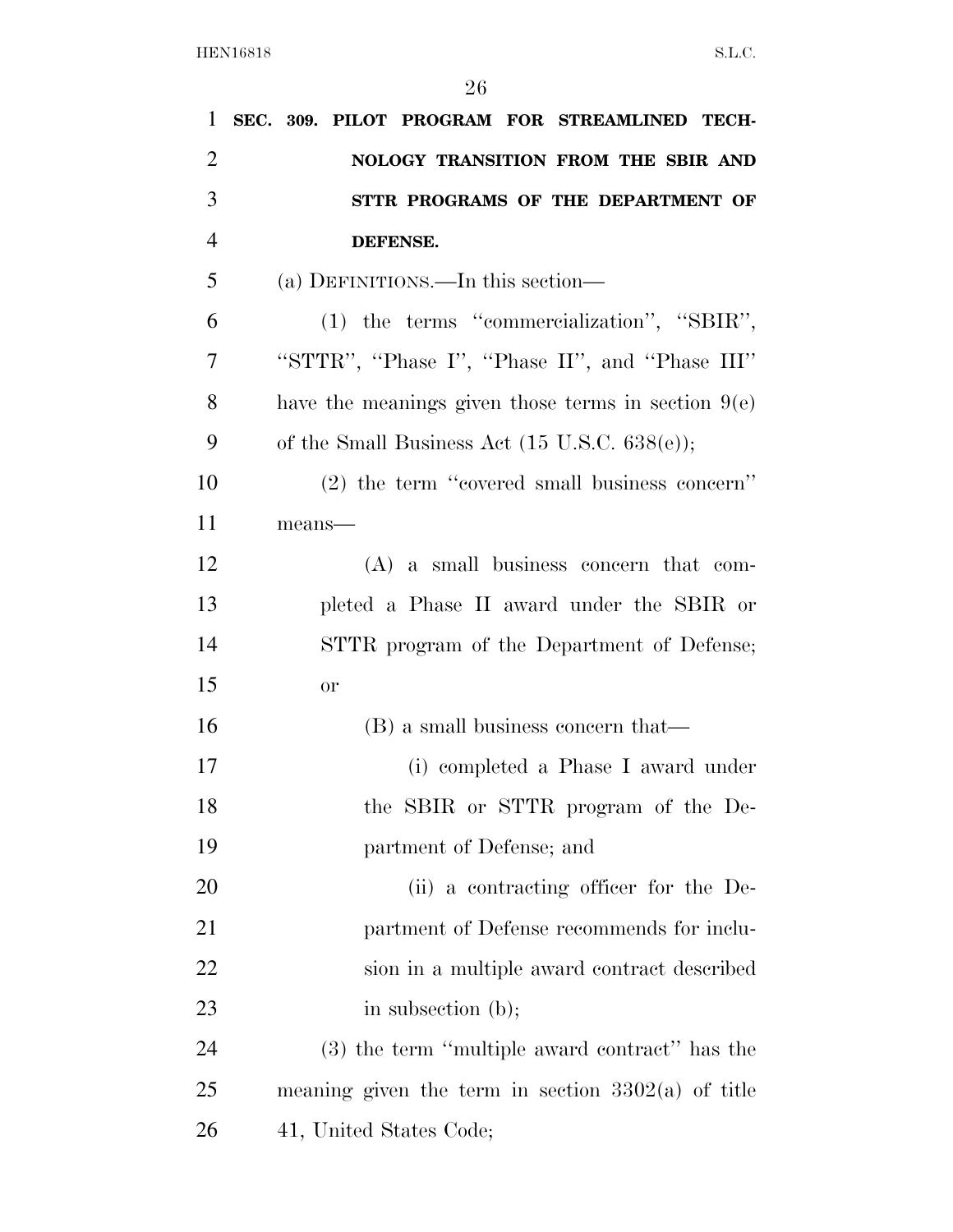| 1              | SEC. 309. PILOT PROGRAM FOR STREAMLINED TECH-            |
|----------------|----------------------------------------------------------|
| $\overline{2}$ | NOLOGY TRANSITION FROM THE SBIR AND                      |
| 3              | STTR PROGRAMS OF THE DEPARTMENT OF                       |
| $\overline{4}$ | DEFENSE.                                                 |
| 5              | (a) DEFINITIONS.—In this section—                        |
| 6              | $(1)$ the terms "commercialization", "SBIR",             |
| 7              | "STTR", "Phase I", "Phase II", and "Phase III"           |
| 8              | have the meanings given those terms in section $9(e)$    |
| 9              | of the Small Business Act $(15 \text{ U.S.C. } 638(e));$ |
| 10             | (2) the term "covered small business concern"            |
| 11             | means-                                                   |
| 12             | $(A)$ a small business concern that com-                 |
| 13             | pleted a Phase II award under the SBIR or                |
| 14             | STTR program of the Department of Defense;               |
| 15             | <b>or</b>                                                |
| 16             | (B) a small business concern that—                       |
| 17             | (i) completed a Phase I award under                      |
| 18             | the SBIR or STTR program of the De-                      |
| 19             | partment of Defense; and                                 |
| 20             | (ii) a contracting officer for the De-                   |
| 21             | partment of Defense recommends for inclu-                |
| 22             | sion in a multiple award contract described              |
| 23             | in subsection $(b)$ ;                                    |
| 24             | (3) the term "multiple award contract" has the           |
| 25             | meaning given the term in section $3302(a)$ of title     |
| 26             | 41, United States Code;                                  |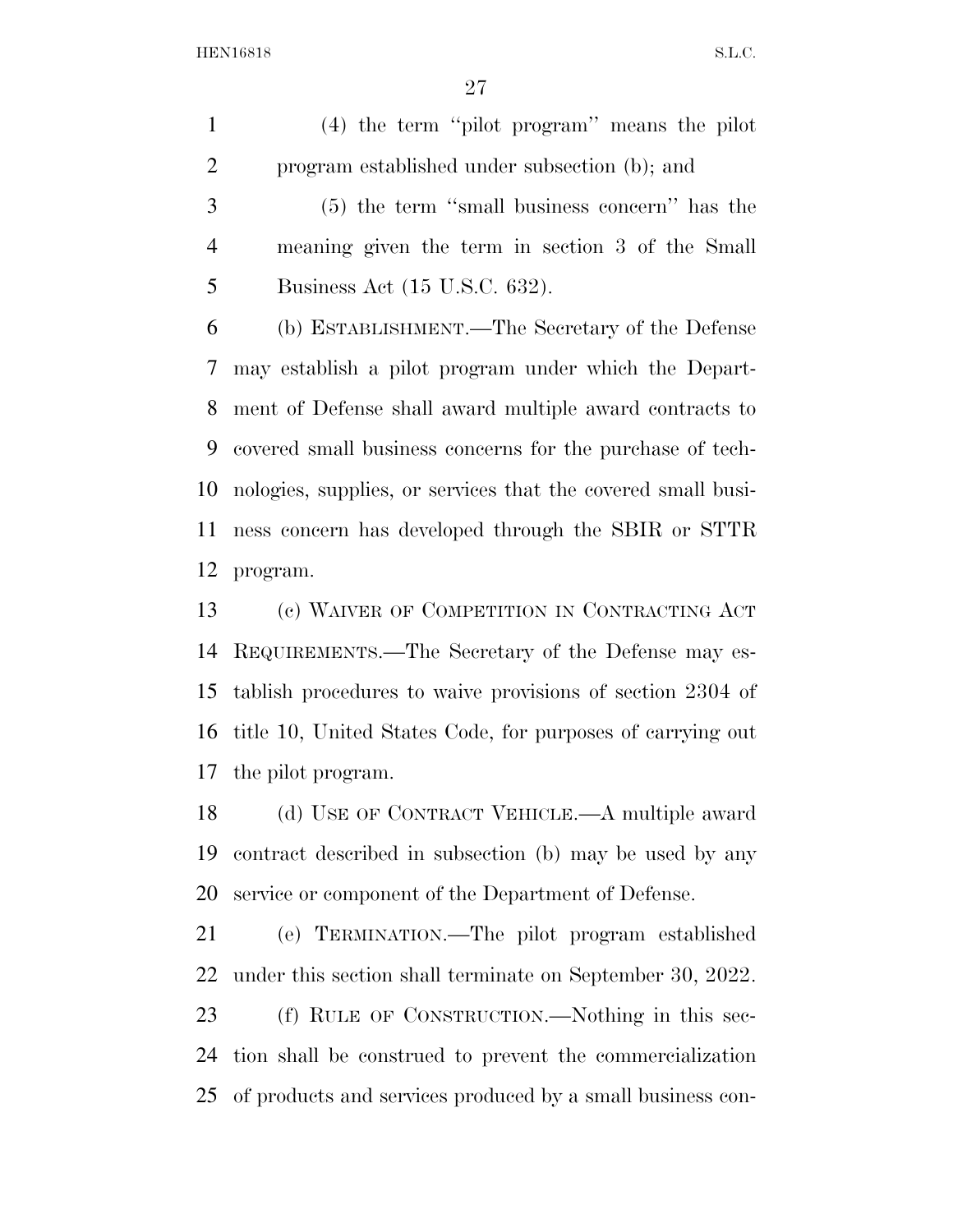(4) the term ''pilot program'' means the pilot program established under subsection (b); and

 (5) the term ''small business concern'' has the meaning given the term in section 3 of the Small Business Act (15 U.S.C. 632).

 (b) ESTABLISHMENT.—The Secretary of the Defense may establish a pilot program under which the Depart- ment of Defense shall award multiple award contracts to covered small business concerns for the purchase of tech- nologies, supplies, or services that the covered small busi- ness concern has developed through the SBIR or STTR program.

 (c) WAIVER OF COMPETITION IN CONTRACTING ACT REQUIREMENTS.—The Secretary of the Defense may es- tablish procedures to waive provisions of section 2304 of title 10, United States Code, for purposes of carrying out the pilot program.

 (d) USE OF CONTRACT VEHICLE.—A multiple award contract described in subsection (b) may be used by any service or component of the Department of Defense.

 (e) TERMINATION.—The pilot program established under this section shall terminate on September 30, 2022.

 (f) RULE OF CONSTRUCTION.—Nothing in this sec- tion shall be construed to prevent the commercialization of products and services produced by a small business con-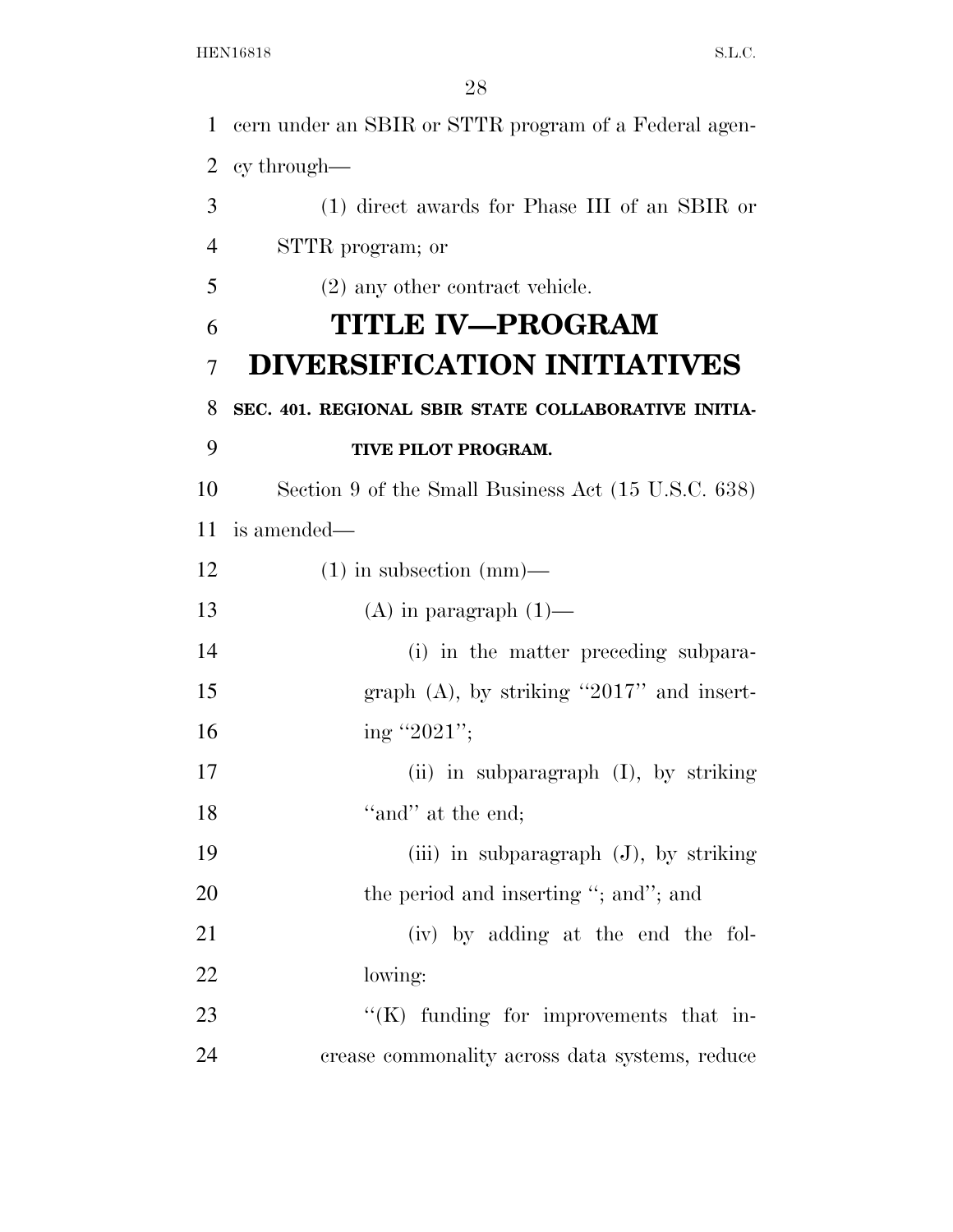cern under an SBIR or STTR program of a Federal agen- cy through— (1) direct awards for Phase III of an SBIR or STTR program; or (2) any other contract vehicle. **TITLE IV—PROGRAM DIVERSIFICATION INITIATIVES SEC. 401. REGIONAL SBIR STATE COLLABORATIVE INITIA- TIVE PILOT PROGRAM.**  Section 9 of the Small Business Act (15 U.S.C. 638) is amended— (1) in subsection (mm)— 13 (A) in paragraph  $(1)$ — (i) in the matter preceding subpara-15 graph (A), by striking "2017" and insert-16 ing "2021"; (ii) in subparagraph (I), by striking 18 ''and'' at the end; (iii) in subparagraph (J), by striking 20 the period and inserting "; and"; and (iv) by adding at the end the fol- lowing: 23 "'(K) funding for improvements that in-crease commonality across data systems, reduce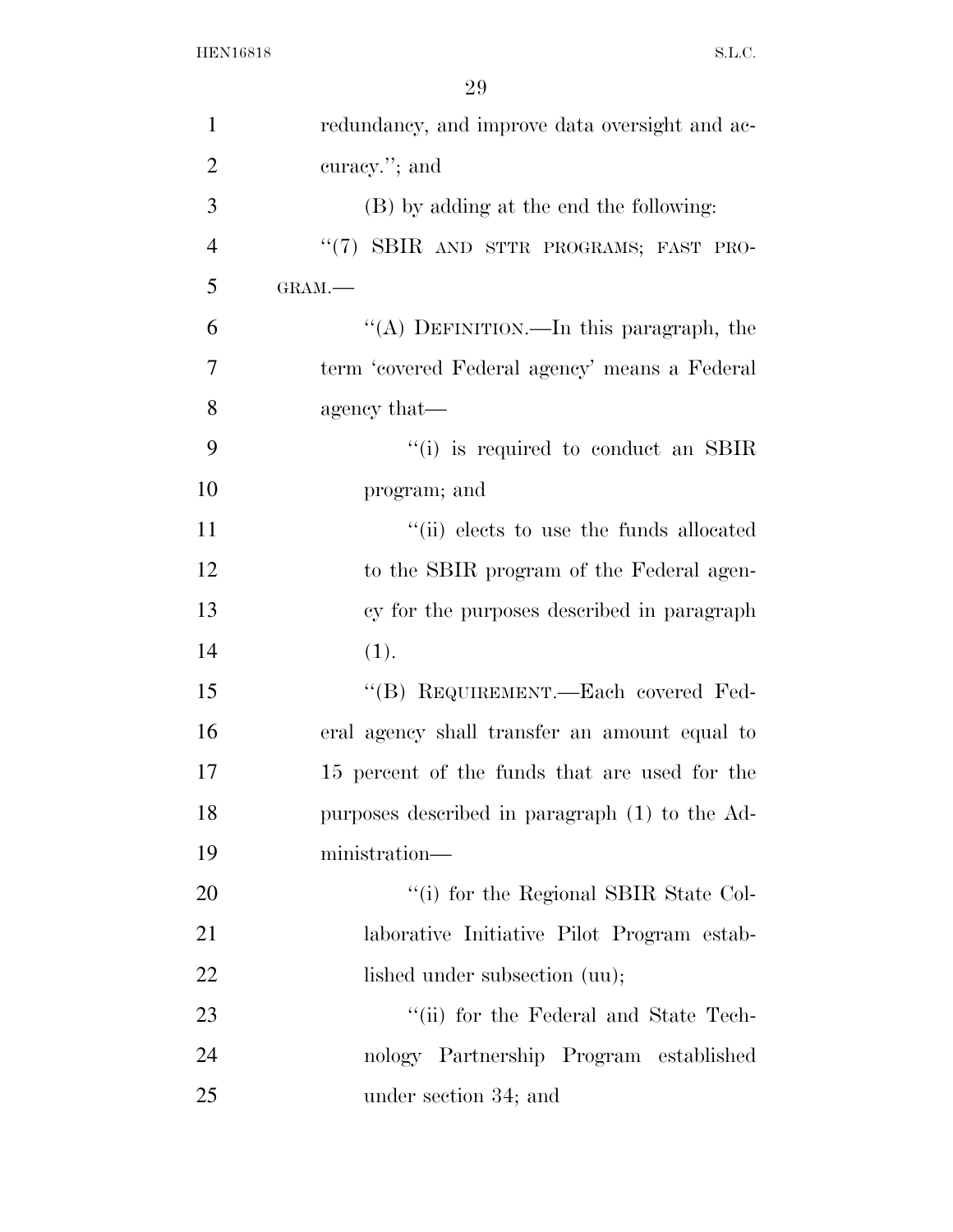| $\mathbf{1}$   | redundancy, and improve data oversight and ac- |
|----------------|------------------------------------------------|
| $\overline{2}$ | curacy."; and                                  |
| 3              | (B) by adding at the end the following:        |
| $\overline{4}$ | "(7) SBIR AND STTR PROGRAMS; FAST PRO-         |
| 5              | GRAM.-                                         |
| 6              | "(A) DEFINITION.—In this paragraph, the        |
| 7              | term 'covered Federal agency' means a Federal  |
| 8              | agency that—                                   |
| 9              | "(i) is required to conduct an SBIR            |
| 10             | program; and                                   |
| 11             | "(ii) elects to use the funds allocated        |
| 12             | to the SBIR program of the Federal agen-       |
| 13             | cy for the purposes described in paragraph     |
| 14             | (1).                                           |
| 15             | "(B) REQUIREMENT.—Each covered Fed-            |
| 16             | eral agency shall transfer an amount equal to  |
| 17             | 15 percent of the funds that are used for the  |
| 18             | purposes described in paragraph (1) to the Ad- |
| 19             | ministration—                                  |
| 20             | "(i) for the Regional SBIR State Col-          |
| 21             | laborative Initiative Pilot Program estab-     |
| 22             | lished under subsection (uu);                  |
| 23             | "(ii) for the Federal and State Tech-          |
| 24             | nology Partnership Program established         |
| 25             | under section 34; and                          |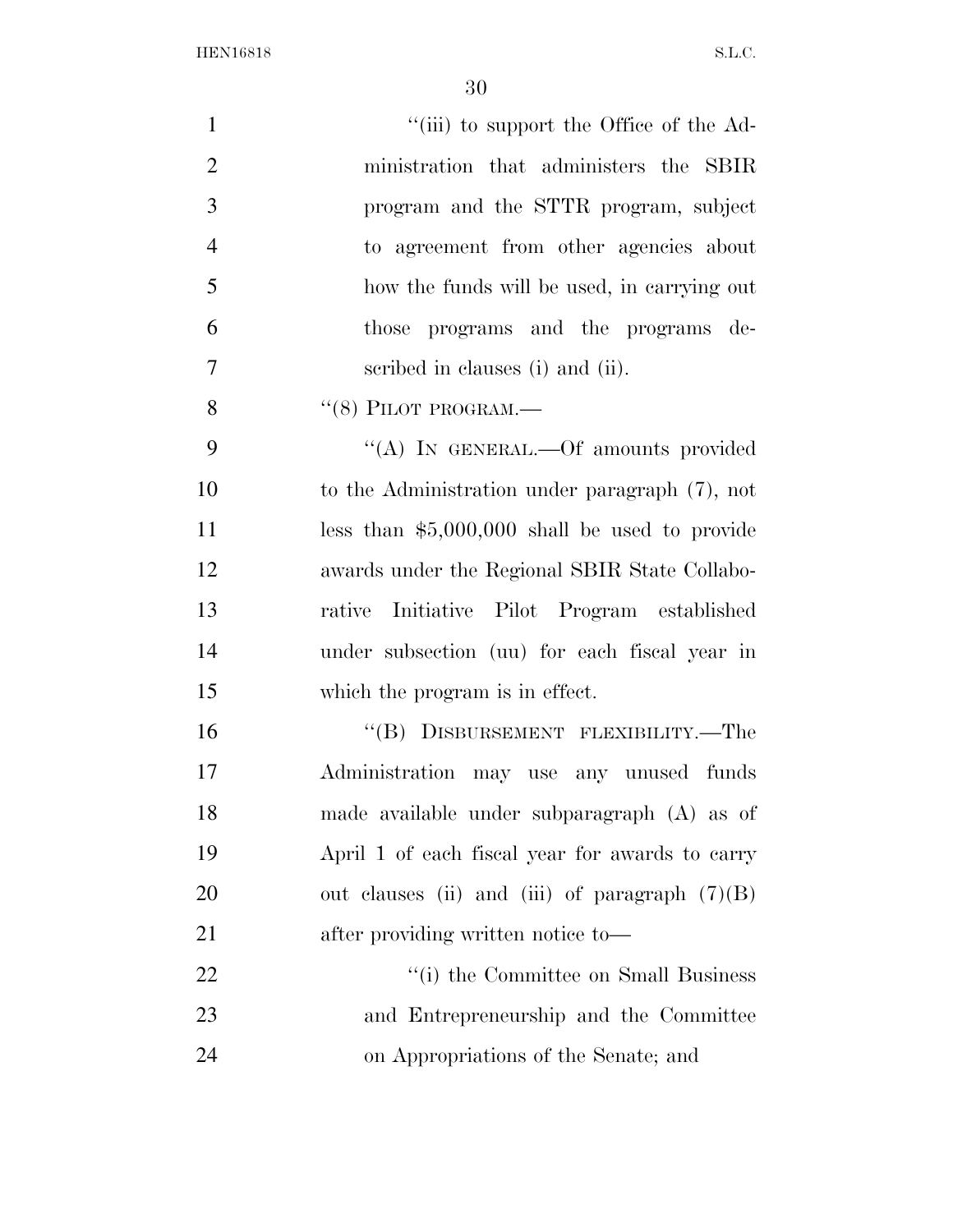| $\mathbf{1}$   | "(iii) to support the Office of the Ad-          |
|----------------|--------------------------------------------------|
| $\overline{2}$ | ministration that administers the SBIR           |
| 3              | program and the STTR program, subject            |
| $\overline{4}$ | to agreement from other agencies about           |
| 5              | how the funds will be used, in carrying out      |
| 6              | programs and the programs de-<br>those           |
| $\overline{7}$ | scribed in clauses (i) and (ii).                 |
| 8              | $``(8)$ PILOT PROGRAM.—                          |
| 9              | "(A) IN GENERAL.—Of amounts provided             |
| 10             | to the Administration under paragraph (7), not   |
| 11             | less than $$5,000,000$ shall be used to provide  |
| 12             | awards under the Regional SBIR State Collabo-    |
| 13             | Initiative Pilot Program established<br>rative   |
| 14             | under subsection (uu) for each fiscal year in    |
| 15             | which the program is in effect.                  |
| 16             | "(B) DISBURSEMENT FLEXIBILITY.—The               |
| 17             | Administration may use any unused funds          |
| 18             | made available under subparagraph (A) as of      |
| 19             | April 1 of each fiscal year for awards to carry  |
| 20             | out clauses (ii) and (iii) of paragraph $(7)(B)$ |
| 21             | after providing written notice to-               |
| 22             | "(i) the Committee on Small Business             |
| 23             | and Entrepreneurship and the Committee           |
| 24             | on Appropriations of the Senate; and             |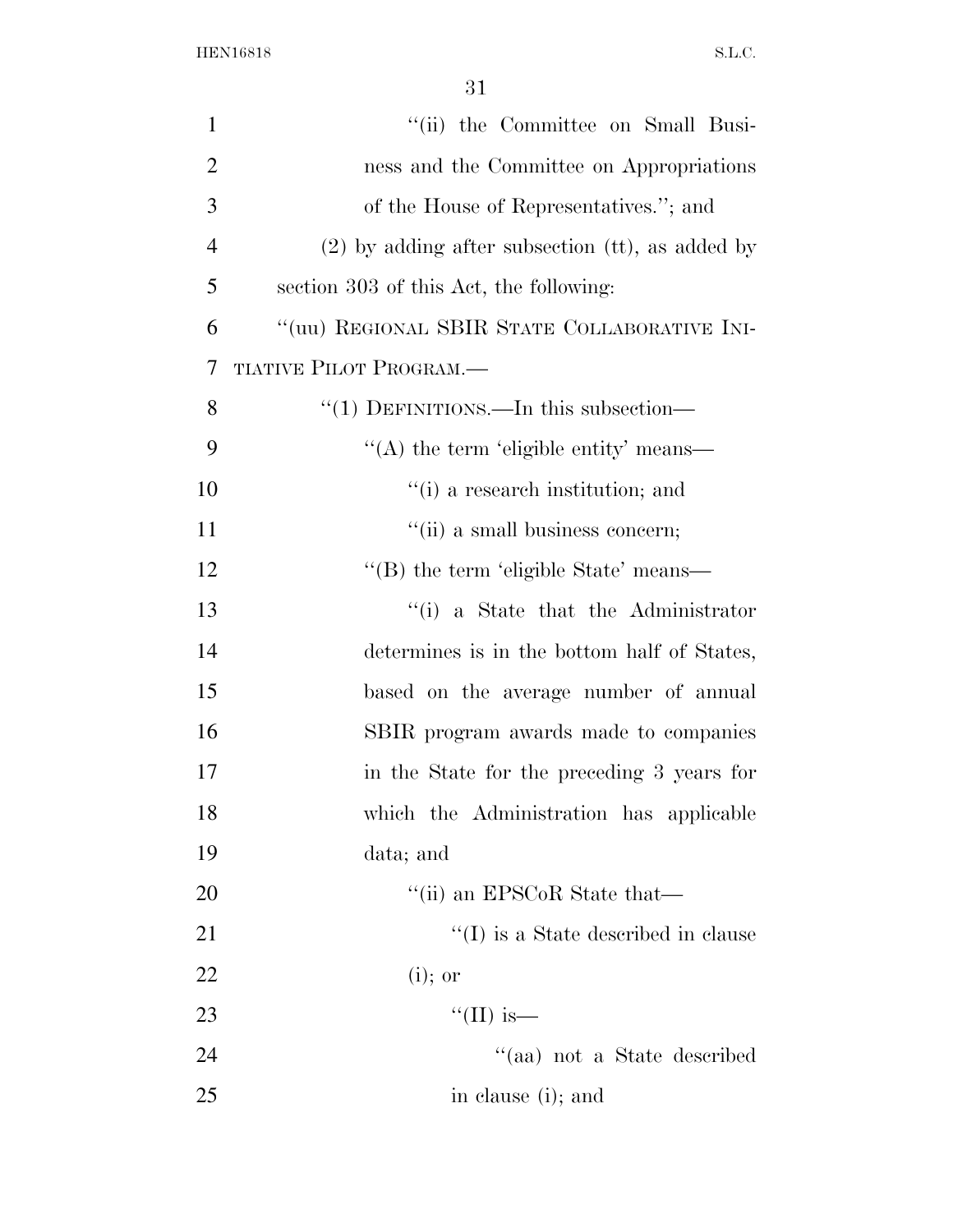| $\mathbf{1}$   | "(ii) the Committee on Small Busi-                 |
|----------------|----------------------------------------------------|
| $\overline{2}$ | ness and the Committee on Appropriations           |
| 3              | of the House of Representatives."; and             |
| $\overline{4}$ | $(2)$ by adding after subsection (tt), as added by |
| 5              | section 303 of this Act, the following:            |
| 6              | "(uu) REGIONAL SBIR STATE COLLABORATIVE INI-       |
| 7              | <b>TIATIVE PILOT PROGRAM.—</b>                     |
| 8              | " $(1)$ DEFINITIONS.—In this subsection—           |
| 9              | $\lq\lq$ the term 'eligible entity' means—         |
| 10             | $f'(i)$ a research institution; and                |
| 11             | "(ii) a small business concern;                    |
| 12             | "(B) the term 'eligible State' means—              |
| 13             | "(i) a State that the Administrator                |
| 14             | determines is in the bottom half of States,        |
| 15             | based on the average number of annual              |
| 16             | SBIR program awards made to companies              |
| 17             | in the State for the preceding 3 years for         |
| 18             | which the Administration has applicable            |
| 19             | data; and                                          |
| 20             | "(ii) an EPSCoR State that—                        |
| 21             | $``(I)$ is a State described in clause             |
| 22             | $(i)$ ; or                                         |
| 23             | "(II) is—                                          |
| 24             | $\lq\lq$ (aa) not a State described                |
| 25             | in clause (i); and                                 |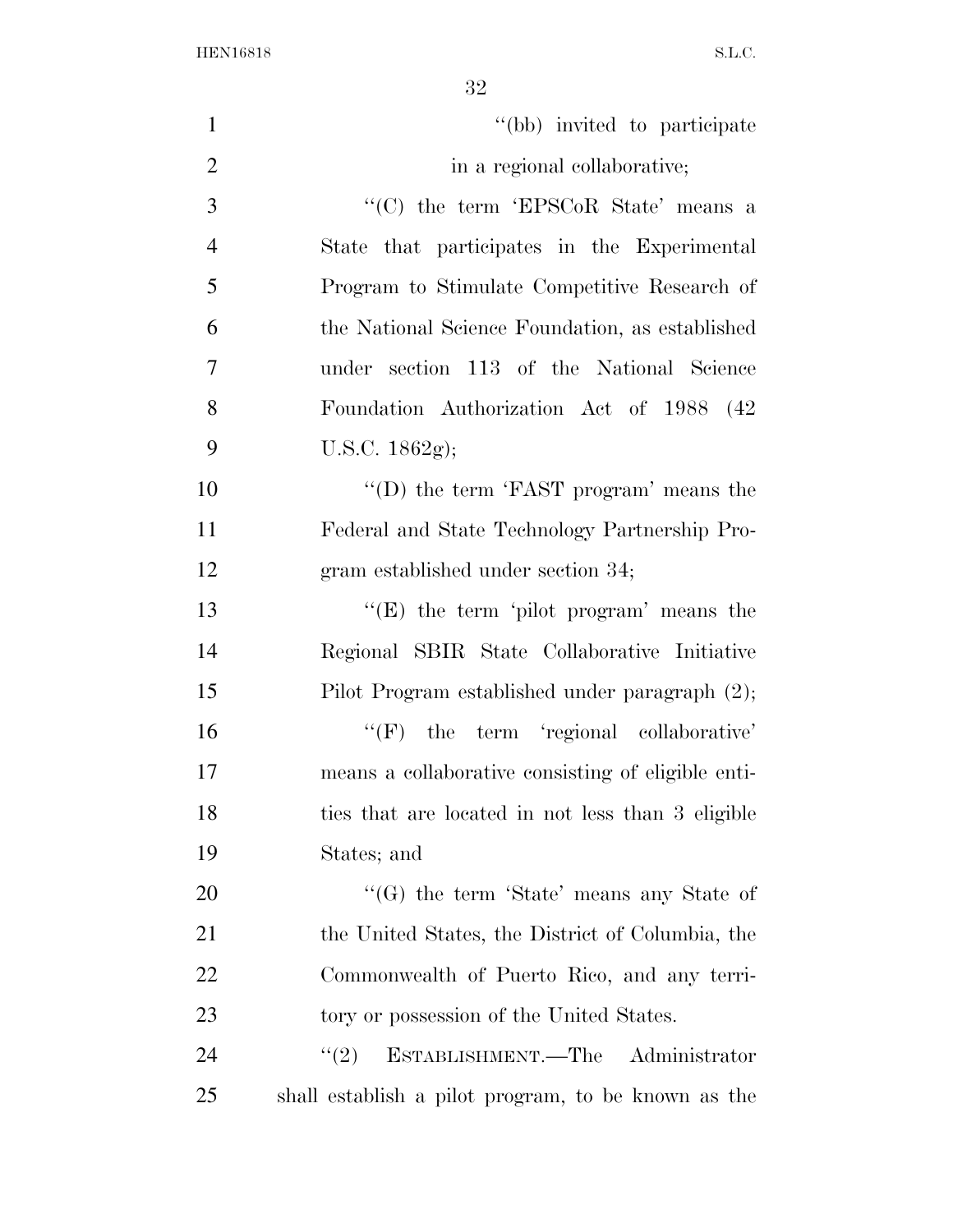| $\mathbf{1}$   | "(bb) invited to participate                        |
|----------------|-----------------------------------------------------|
| $\overline{2}$ | in a regional collaborative;                        |
| 3              | "(C) the term 'EPSCoR State' means a                |
| $\overline{4}$ | State that participates in the Experimental         |
| 5              | Program to Stimulate Competitive Research of        |
| 6              | the National Science Foundation, as established     |
| $\overline{7}$ | under section 113 of the National Science           |
| 8              | Foundation Authorization Act of 1988 (42)           |
| 9              | U.S.C. $1862g$ ;                                    |
| 10             | "(D) the term 'FAST program' means the              |
| 11             | Federal and State Technology Partnership Pro-       |
| 12             | gram established under section 34;                  |
| 13             | " $(E)$ the term 'pilot program' means the          |
| 14             | Regional SBIR State Collaborative Initiative        |
| 15             | Pilot Program established under paragraph (2);      |
| 16             | $\lq\lq(F)$ the term 'regional collaborative'       |
| 17             | means a collaborative consisting of eligible enti-  |
| 18             | ties that are located in not less than 3 eligible   |
| 19             | States; and                                         |
| 20             | " $(G)$ the term 'State' means any State of         |
| 21             | the United States, the District of Columbia, the    |
| 22             | Commonwealth of Puerto Rico, and any terri-         |
| 23             | tory or possession of the United States.            |
| 24             | ESTABLISHMENT.—The Administrator<br>(2)             |
| 25             | shall establish a pilot program, to be known as the |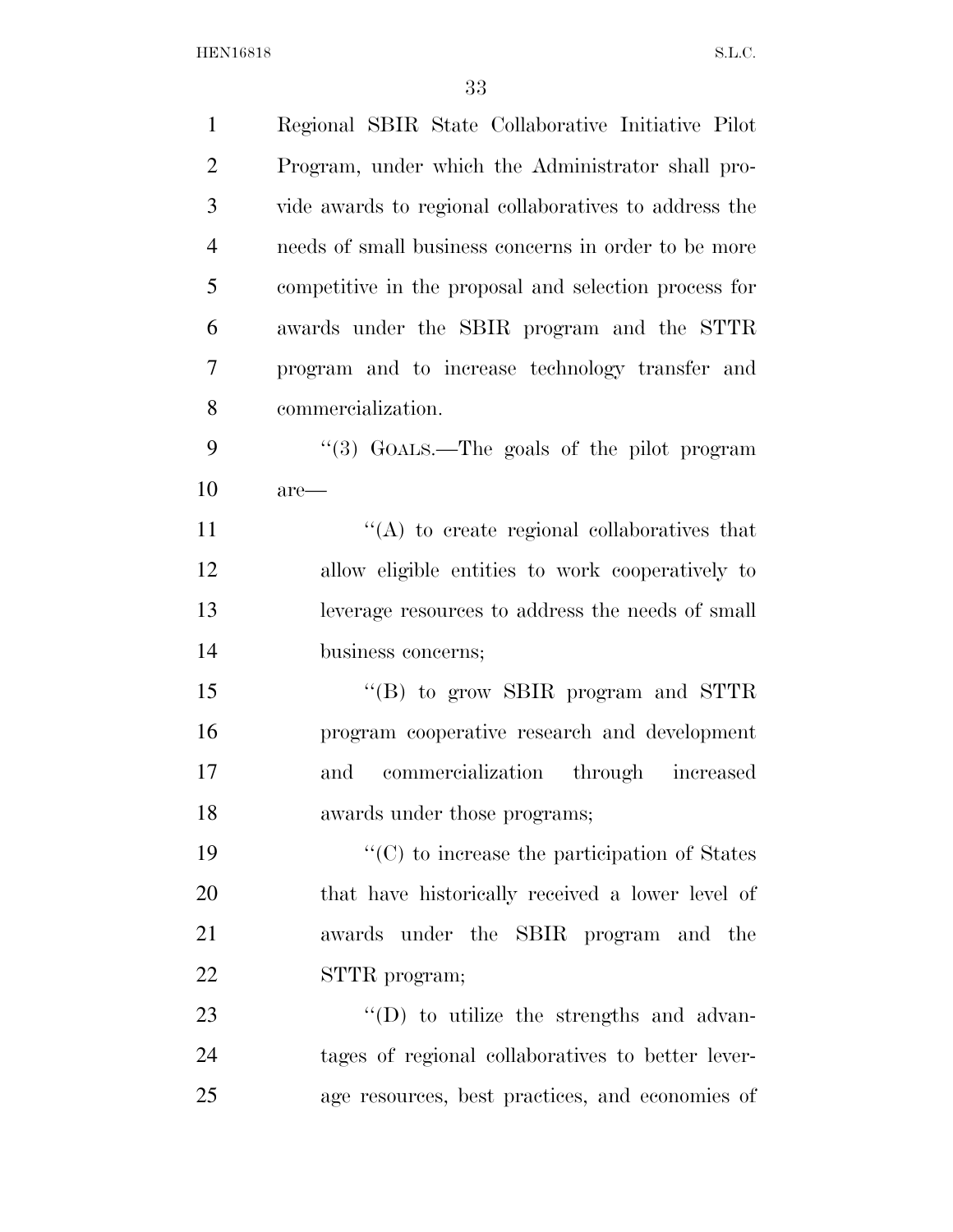| $\mathbf{1}$   | Regional SBIR State Collaborative Initiative Pilot    |
|----------------|-------------------------------------------------------|
| $\overline{2}$ | Program, under which the Administrator shall pro-     |
| 3              | vide awards to regional collaboratives to address the |
| $\overline{4}$ | needs of small business concerns in order to be more  |
| 5              | competitive in the proposal and selection process for |
| 6              | awards under the SBIR program and the STTR            |
| 7              | program and to increase technology transfer and       |
| 8              | commercialization.                                    |
| 9              | "(3) GOALS.—The goals of the pilot program            |
| 10             | $are-$                                                |
| 11             | $\lq\lq$ to create regional collaboratives that       |
| 12             | allow eligible entities to work cooperatively to      |
| 13             | leverage resources to address the needs of small      |
| 14             | business concerns;                                    |
| 15             | "(B) to grow SBIR program and STTR                    |
| 16             | program cooperative research and development          |
| 17             | commercialization through increased<br>and            |
| 18             | awards under those programs;                          |
| 19             | "(C) to increase the participation of States          |
| 20             | that have historically received a lower level of      |
| 21             | awards under the SBIR program and the                 |
| 22             | STTR program;                                         |
| 23             | $\lq\lq$ to utilize the strengths and advan-          |
| 24             | tages of regional collaboratives to better lever-     |
| 25             | age resources, best practices, and economies of       |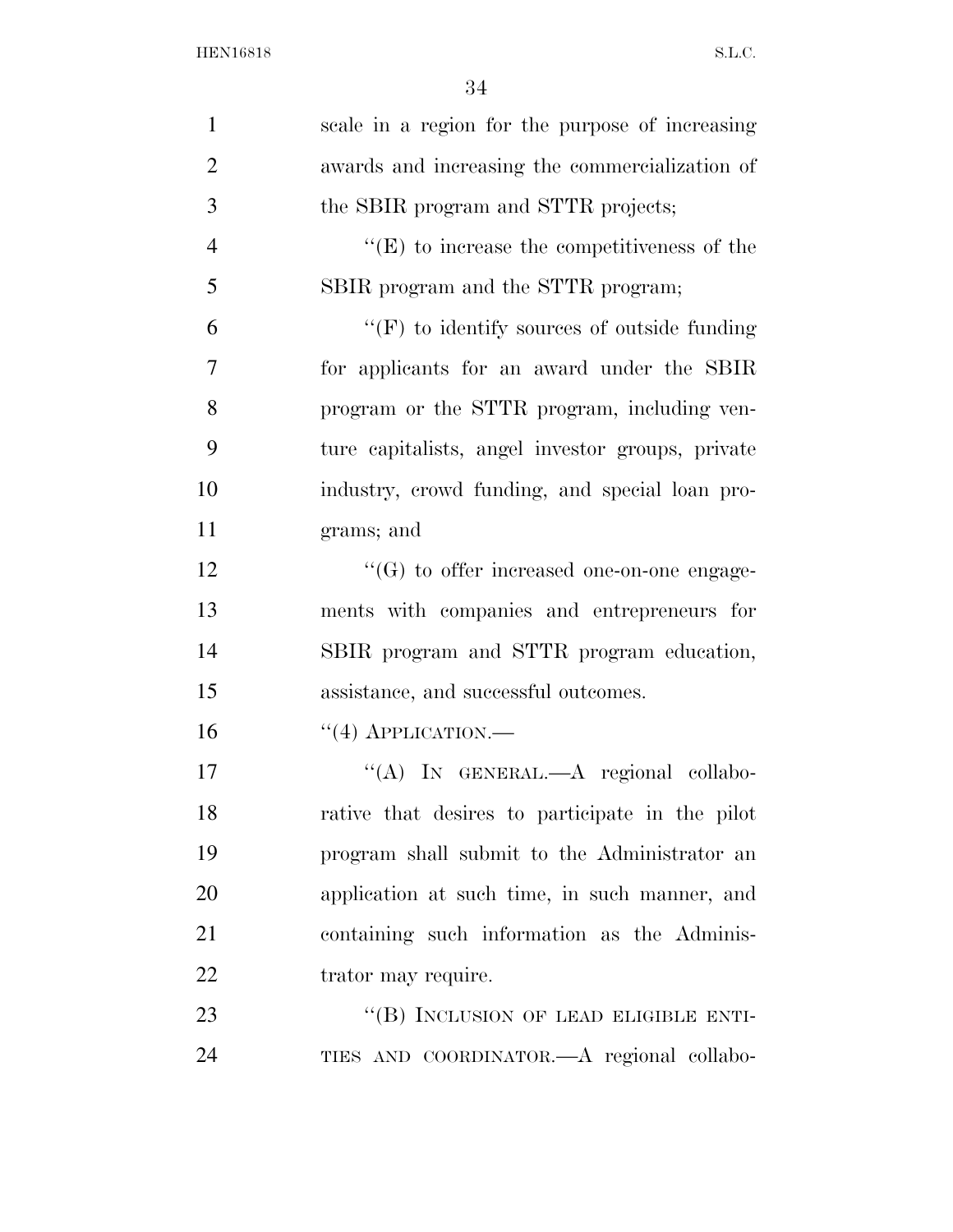| $\mathbf{1}$   | scale in a region for the purpose of increasing    |
|----------------|----------------------------------------------------|
| $\overline{2}$ | awards and increasing the commercialization of     |
| 3              | the SBIR program and STTR projects;                |
| $\overline{4}$ | $\lq\lq(E)$ to increase the competitiveness of the |
| 5              | SBIR program and the STTR program;                 |
| 6              | $\lq\lq(F)$ to identify sources of outside funding |
| $\tau$         | for applicants for an award under the SBIR         |
| 8              | program or the STTR program, including ven-        |
| 9              | ture capitalists, angel investor groups, private   |
| 10             | industry, crowd funding, and special loan pro-     |
| 11             | grams; and                                         |
| 12             | $\lq\lq(G)$ to offer increased one-on-one engage-  |
| 13             | ments with companies and entrepreneurs for         |
| 14             | SBIR program and STTR program education,           |
| 15             | assistance, and successful outcomes.               |
| 16             | $``(4)$ APPLICATION.—                              |
| 17             | "(A) IN GENERAL.—A regional collabo-               |
| 18             | rative that desires to participate in the pilot    |
| 19             | program shall submit to the Administrator an       |
| 20             | application at such time, in such manner, and      |
| 21             | containing such information as the Adminis-        |
| 22             | trator may require.                                |
| 23             | "(B) INCLUSION OF LEAD ELIGIBLE ENTI-              |
| 24             | TIES AND COORDINATOR.- A regional collabo-         |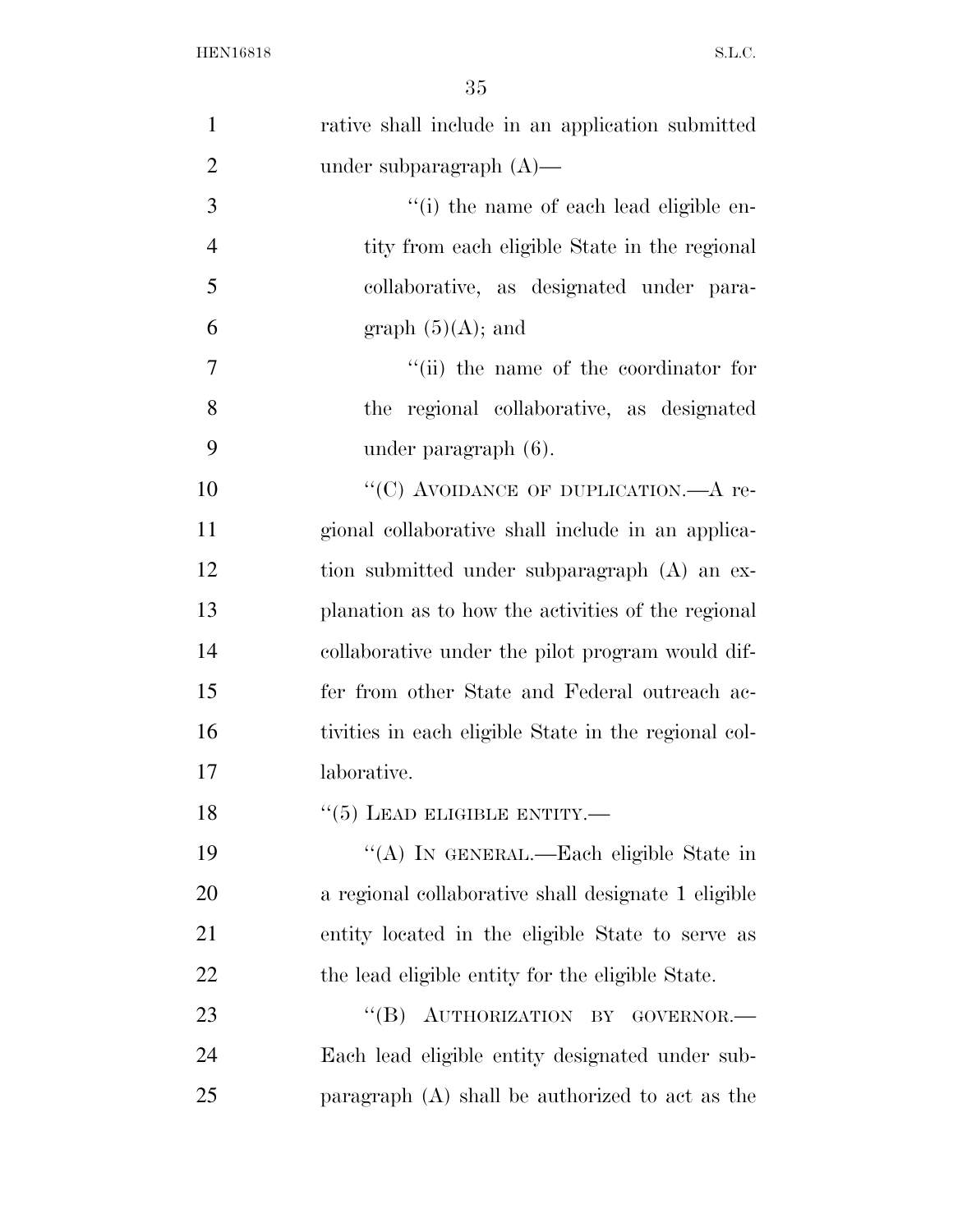| $\mathbf{1}$   | rative shall include in an application submitted     |
|----------------|------------------------------------------------------|
| $\overline{2}$ | under subparagraph $(A)$ —                           |
| 3              | "(i) the name of each lead eligible en-              |
| $\overline{4}$ | tity from each eligible State in the regional        |
| 5              | collaborative, as designated under para-             |
| 6              | graph $(5)(A)$ ; and                                 |
| 7              | "(ii) the name of the coordinator for                |
| 8              | the regional collaborative, as designated            |
| 9              | under paragraph $(6)$ .                              |
| 10             | "(C) AVOIDANCE OF DUPLICATION.—A re-                 |
| 11             | gional collaborative shall include in an applica-    |
| 12             | tion submitted under subparagraph (A) an ex-         |
| 13             | planation as to how the activities of the regional   |
| 14             | collaborative under the pilot program would dif-     |
| 15             | fer from other State and Federal outreach ac-        |
| 16             | tivities in each eligible State in the regional col- |
| 17             | laborative.                                          |
| 18             | $``(5)$ LEAD ELIGIBLE ENTITY.—                       |
| 19             | "(A) IN GENERAL.—Each eligible State in              |
| 20             | a regional collaborative shall designate 1 eligible  |
| 21             | entity located in the eligible State to serve as     |
| 22             | the lead eligible entity for the eligible State.     |
| 23             | "(B) AUTHORIZATION BY GOVERNOR.-                     |
| 24             | Each lead eligible entity designated under sub-      |
| 25             | paragraph (A) shall be authorized to act as the      |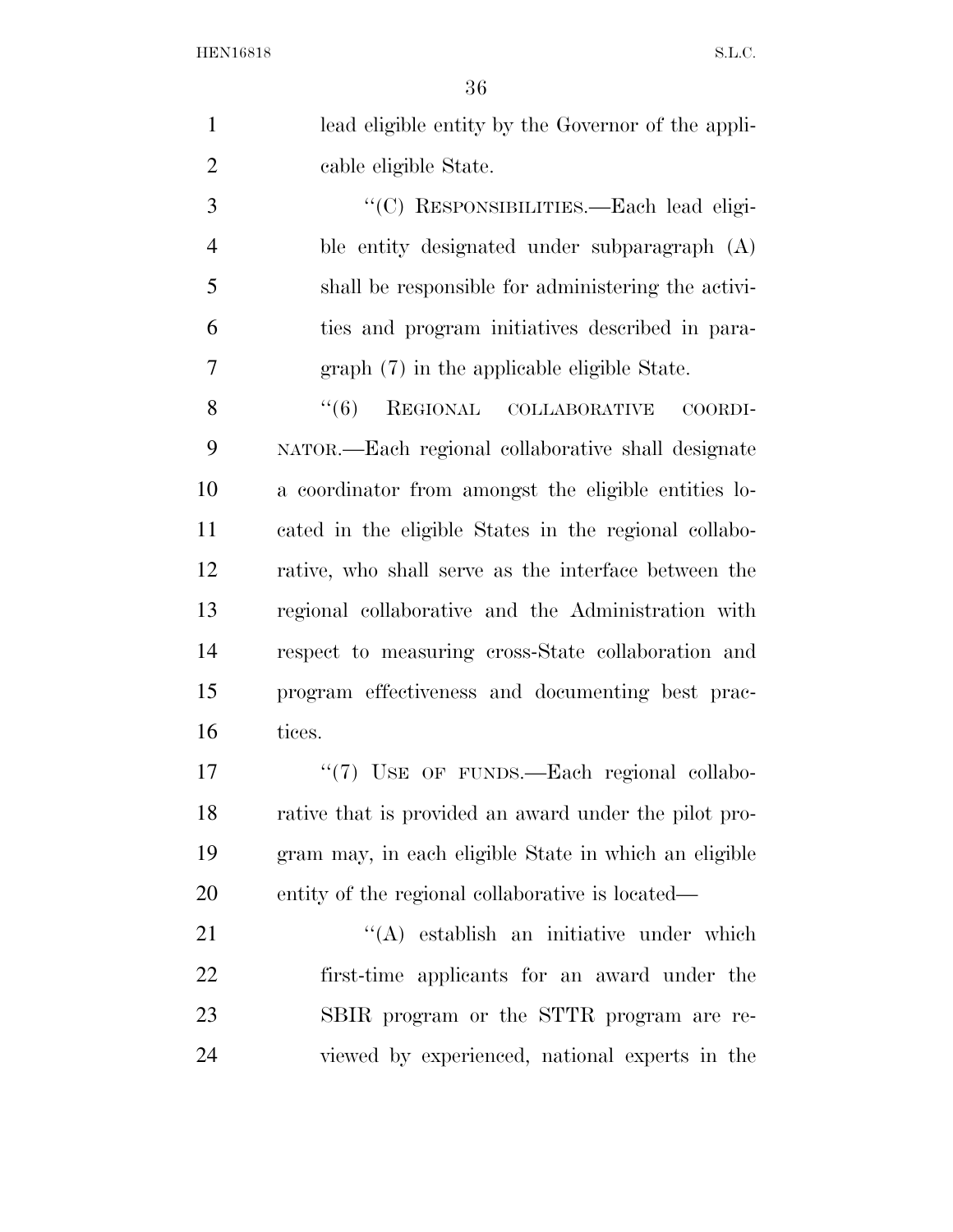|   | lead eligible entity by the Governor of the appli- |
|---|----------------------------------------------------|
|   | cable eligible State.                              |
| 3 | "(C) RESPONSIBILITIES.—Each lead eligi-            |

 ble entity designated under subparagraph (A) shall be responsible for administering the activi- ties and program initiatives described in para-graph (7) in the applicable eligible State.

8 "(6) REGIONAL COLLABORATIVE COORDI- NATOR.—Each regional collaborative shall designate a coordinator from amongst the eligible entities lo- cated in the eligible States in the regional collabo- rative, who shall serve as the interface between the regional collaborative and the Administration with respect to measuring cross-State collaboration and program effectiveness and documenting best prac-tices.

17 "(7) USE OF FUNDS.—Each regional collabo- rative that is provided an award under the pilot pro- gram may, in each eligible State in which an eligible entity of the regional collaborative is located—

21 ''(A) establish an initiative under which first-time applicants for an award under the SBIR program or the STTR program are re-viewed by experienced, national experts in the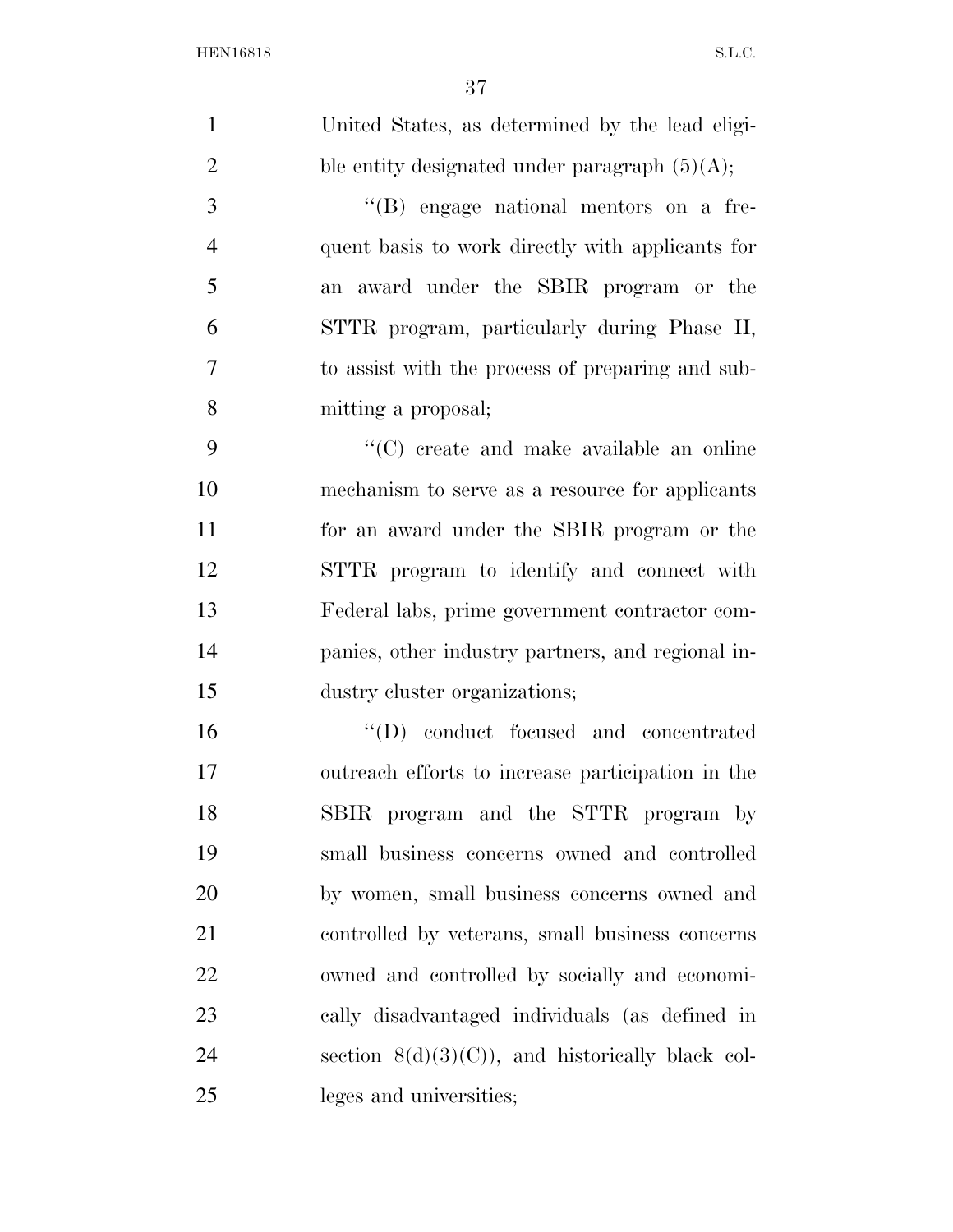| $\mathbf{1}$   | United States, as determined by the lead eligi-    |
|----------------|----------------------------------------------------|
| $\overline{2}$ | ble entity designated under paragraph $(5)(A)$ ;   |
| $\mathfrak{Z}$ | "(B) engage national mentors on a fre-             |
| $\overline{4}$ | quent basis to work directly with applicants for   |
| 5              | an award under the SBIR program or the             |
| 6              | STTR program, particularly during Phase II,        |
| 7              | to assist with the process of preparing and sub-   |
| 8              | mitting a proposal;                                |
| 9              | "(C) create and make available an online           |
| 10             | mechanism to serve as a resource for applicants    |
| 11             | for an award under the SBIR program or the         |
| 12             | STTR program to identify and connect with          |
| 13             | Federal labs, prime government contractor com-     |
| 14             | panies, other industry partners, and regional in-  |
| 15             | dustry cluster organizations;                      |
| 16             | "(D) conduct focused and concentrated              |
| 17             | outreach efforts to increase participation in the  |
| 18             | SBIR program and the STTR program by               |
| 19             | small business concerns owned and controlled       |
| 20             | by women, small business concerns owned and        |
| 21             | controlled by veterans, small business concerns    |
| 22             | owned and controlled by socially and economi-      |
| 23             | cally disadvantaged individuals (as defined in     |
| 24             | section $8(d)(3)(C)$ , and historically black col- |
| 25             | leges and universities;                            |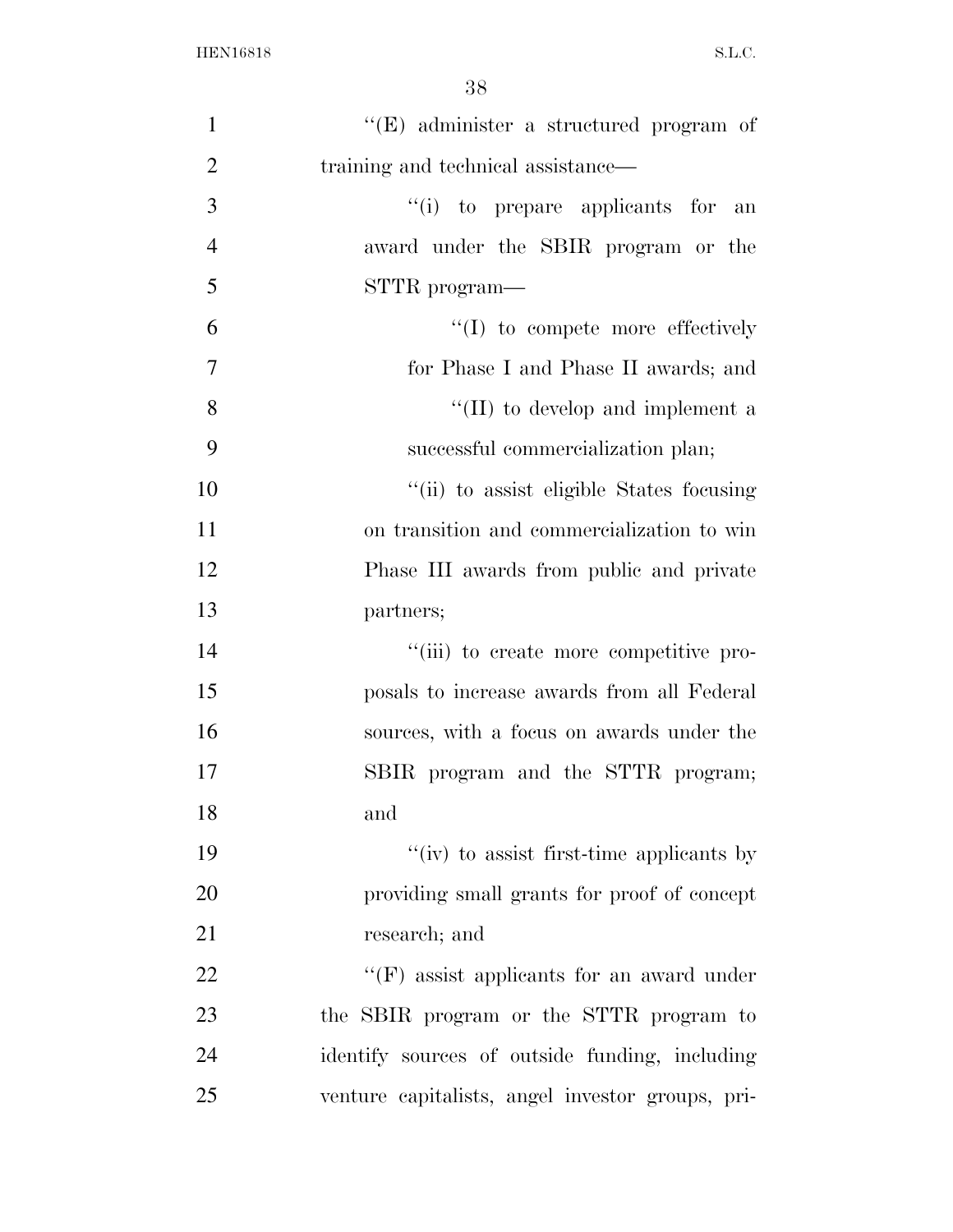| $\mathbf{1}$   | $\lq\lq(E)$ administer a structured program of   |
|----------------|--------------------------------------------------|
| $\overline{2}$ | training and technical assistance—               |
| 3              | "(i) to prepare applicants for an                |
| $\overline{4}$ | award under the SBIR program or the              |
| 5              | STTR program—                                    |
| 6              | $\lq\lq$ to compete more effectively             |
| 7              | for Phase I and Phase II awards; and             |
| 8              | "(II) to develop and implement a                 |
| 9              | successful commercialization plan;               |
| 10             | "(ii) to assist eligible States focusing         |
| 11             | on transition and commercialization to win       |
| 12             | Phase III awards from public and private         |
| 13             | partners;                                        |
| 14             | "(iii) to create more competitive pro-           |
| 15             | posals to increase awards from all Federal       |
| 16             | sources, with a focus on awards under the        |
| 17             | SBIR program and the STTR program;               |
| 18             | and                                              |
| 19             | "(iv) to assist first-time applicants by         |
| 20             | providing small grants for proof of concept      |
| 21             | research; and                                    |
| 22             | $\lq\lq(F)$ assist applicants for an award under |
| 23             | the SBIR program or the STTR program to          |
| 24             | identify sources of outside funding, including   |
| 25             | venture capitalists, angel investor groups, pri- |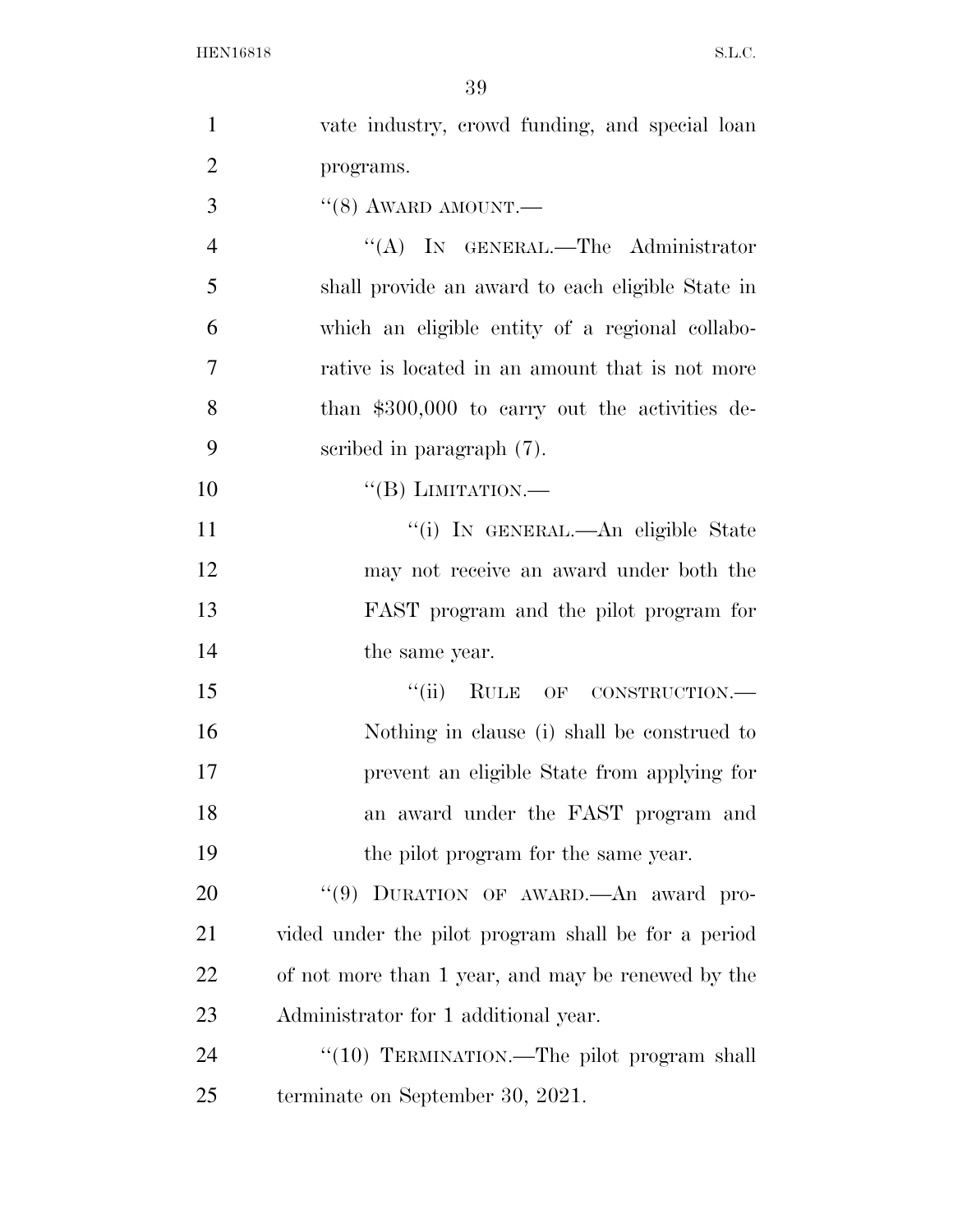| $\mathbf{1}$   | vate industry, crowd funding, and special loan      |
|----------------|-----------------------------------------------------|
| $\overline{2}$ | programs.                                           |
| 3              | $\cdot\cdot$ (8) AWARD AMOUNT.—                     |
| $\overline{4}$ | "(A) IN GENERAL.—The Administrator                  |
| 5              | shall provide an award to each eligible State in    |
| 6              | which an eligible entity of a regional collabo-     |
| 7              | rative is located in an amount that is not more     |
| 8              | than $$300,000$ to carry out the activities de-     |
| 9              | scribed in paragraph $(7)$ .                        |
| 10             | $\lq\lq (B)$ LIMITATION.—                           |
| 11             | "(i) IN GENERAL.—An eligible State                  |
| 12             | may not receive an award under both the             |
| 13             | FAST program and the pilot program for              |
| 14             | the same year.                                      |
| 15             | "(ii) RULE OF CONSTRUCTION.—                        |
| 16             | Nothing in clause (i) shall be construed to         |
| 17             | prevent an eligible State from applying for         |
| 18             | an award under the FAST program and                 |
| 19             | the pilot program for the same year.                |
| 20             | "(9) DURATION OF AWARD. An award pro-               |
| 21             | vided under the pilot program shall be for a period |
| 22             | of not more than 1 year, and may be renewed by the  |
| 23             | Administrator for 1 additional year.                |
| 24             | "(10) TERMINATION.—The pilot program shall          |
| 25             | terminate on September 30, 2021.                    |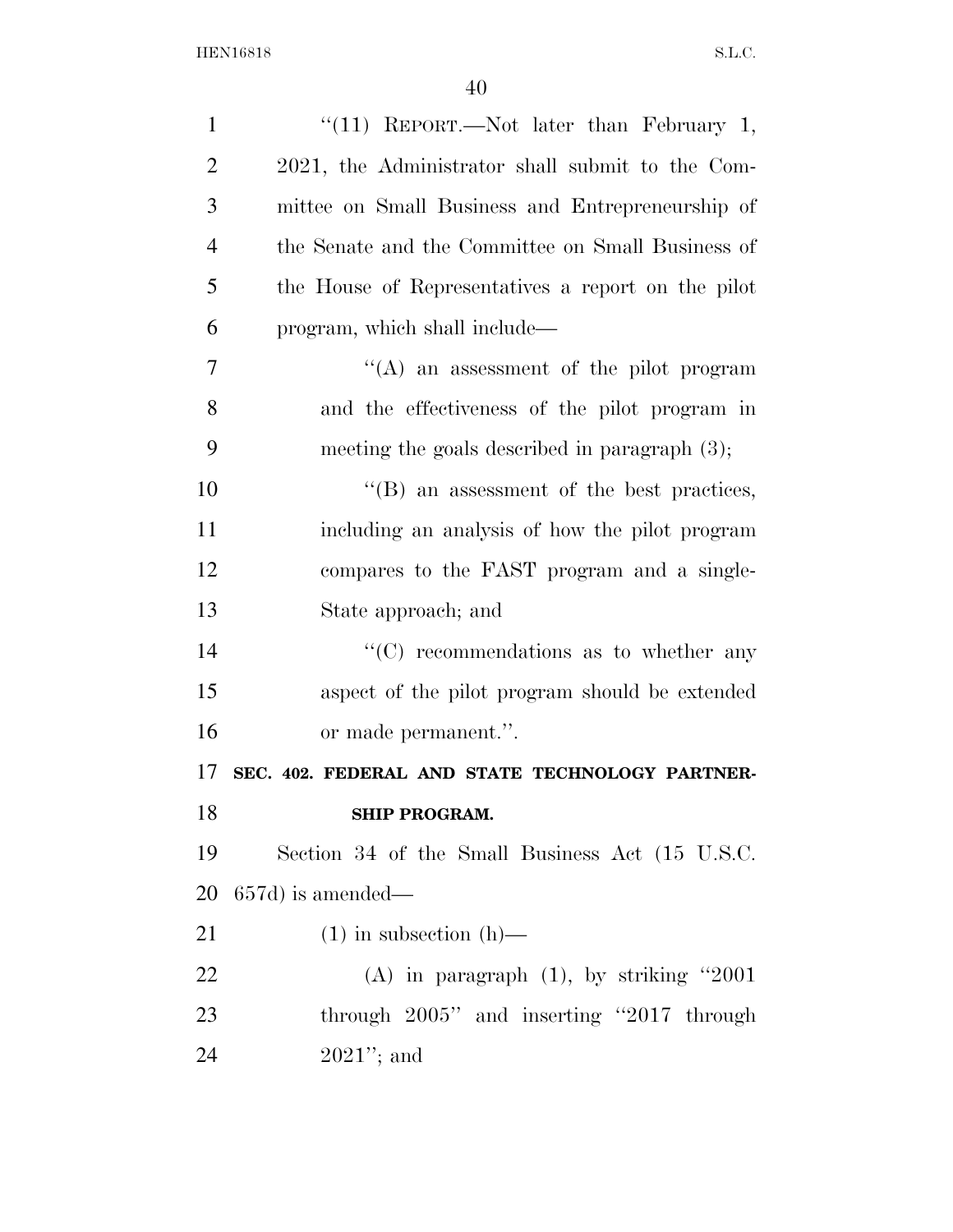| $\mathbf{1}$   | "(11) REPORT.—Not later than February 1,           |
|----------------|----------------------------------------------------|
| $\overline{2}$ | 2021, the Administrator shall submit to the Com-   |
| 3              | mittee on Small Business and Entrepreneurship of   |
| $\overline{4}$ | the Senate and the Committee on Small Business of  |
| 5              | the House of Representatives a report on the pilot |
| 6              | program, which shall include—                      |
| $\overline{7}$ | $\lq\lq$ an assessment of the pilot program        |
| 8              | and the effectiveness of the pilot program in      |
| 9              | meeting the goals described in paragraph $(3)$ ;   |
| 10             | $\lq\lq$ an assessment of the best practices,      |
| 11             | including an analysis of how the pilot program     |
| 12             | compares to the FAST program and a single-         |
| 13             | State approach; and                                |
| 14             | $\cdot$ (C) recommendations as to whether any      |
| 15             | aspect of the pilot program should be extended     |
| 16             | or made permanent.".                               |
| 17             | SEC. 402. FEDERAL AND STATE TECHNOLOGY PARTNER-    |
| 18             | <b>SHIP PROGRAM.</b>                               |
| 19             | Section 34 of the Small Business Act (15 U.S.C.    |
| 20             | $657d$ ) is amended—                               |
| 21             | $(1)$ in subsection $(h)$ —                        |
| 22             | (A) in paragraph $(1)$ , by striking "2001         |
| 23             | through 2005" and inserting "2017 through          |
| 24             | $2021$ "; and                                      |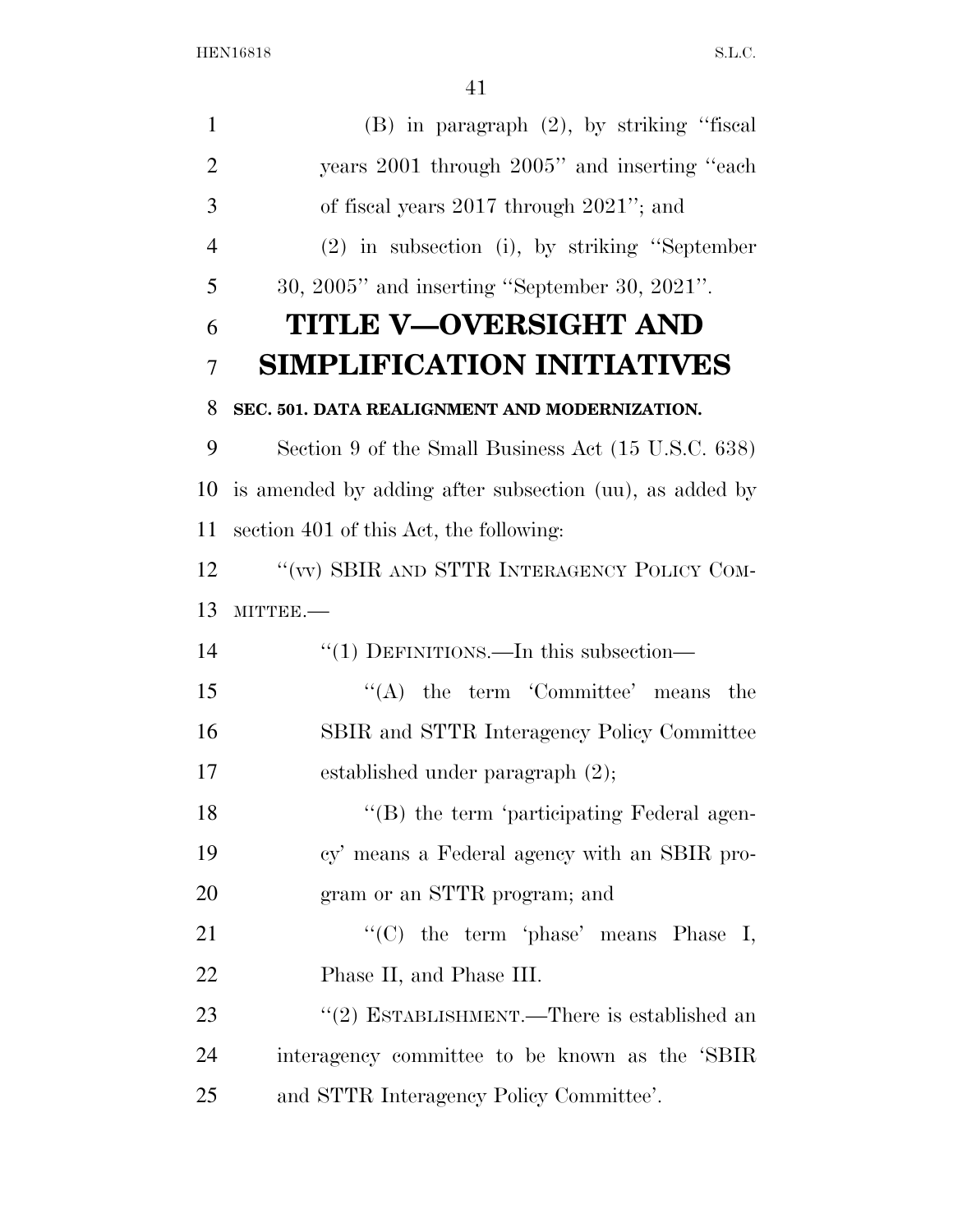| $\mathbf{1}$   | $(B)$ in paragraph $(2)$ , by striking "fiscal          |
|----------------|---------------------------------------------------------|
| $\overline{2}$ | years 2001 through 2005" and inserting "each"           |
| 3              | of fiscal years $2017$ through $2021$ "; and            |
| $\overline{4}$ | $(2)$ in subsection (i), by striking "September         |
| 5              | $30, 2005$ " and inserting "September 30, $2021$ ".     |
| 6              | TITLE V—OVERSIGHT AND                                   |
| 7              | <b>SIMPLIFICATION INITIATIVES</b>                       |
| 8              | SEC. 501. DATA REALIGNMENT AND MODERNIZATION.           |
| 9              | Section 9 of the Small Business Act (15 U.S.C. 638)     |
| 10             | is amended by adding after subsection (uu), as added by |
| 11             | section 401 of this Act, the following:                 |
| 12             | "(vv) SBIR AND STTR INTERAGENCY POLICY COM-             |
| 13             | MITTEE.-                                                |
| 14             | $\cdot\cdot(1)$ DEFINITIONS.—In this subsection—        |
| 15             | $\lq\lq$ the term 'Committee' means'<br>the             |
| 16             | SBIR and STTR Interagency Policy Committee              |
| 17             | established under paragraph $(2)$ ;                     |
| 18             | "(B) the term 'participating Federal agen-              |
| 19             | cy' means a Federal agency with an SBIR pro-            |
| 20             | gram or an STTR program; and                            |
| 21             | "(C) the term 'phase' means Phase I,                    |
| 22             | Phase II, and Phase III.                                |
| 23             | "(2) ESTABLISHMENT.—There is established an             |
| 24             | interagency committee to be known as the 'SBIR          |
| 25             | and STTR Interagency Policy Committee'.                 |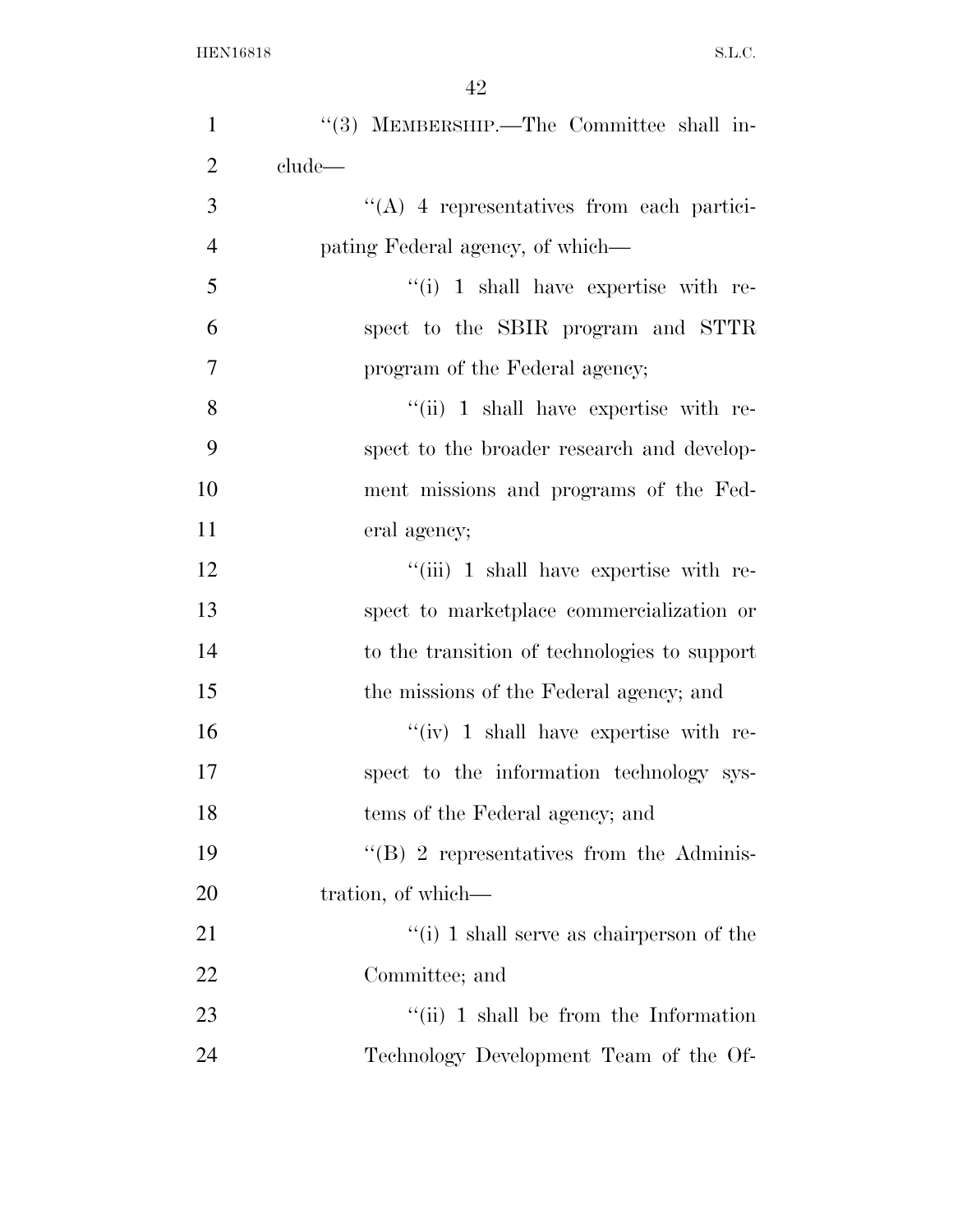| $\mathbf{1}$   | "(3) MEMBERSHIP.—The Committee shall in-        |
|----------------|-------------------------------------------------|
| $\overline{2}$ | clude—                                          |
| 3              | $\lq\lq$ 4 representatives from each partici-   |
| $\overline{4}$ | pating Federal agency, of which—                |
| 5              | $``(i)$ 1 shall have expertise with re-         |
| 6              | spect to the SBIR program and STTR              |
| $\overline{7}$ | program of the Federal agency;                  |
| 8              | $``(ii)$ 1 shall have expertise with re-        |
| 9              | spect to the broader research and develop-      |
| 10             | ment missions and programs of the Fed-          |
| 11             | eral agency;                                    |
| 12             | "(iii) 1 shall have expertise with re-          |
| 13             | spect to marketplace commercialization or       |
| 14             | to the transition of technologies to support    |
| 15             | the missions of the Federal agency; and         |
| 16             | $``(iv)$ 1 shall have expertise with re-        |
| 17             | spect to the information technology sys-        |
| 18             | tems of the Federal agency; and                 |
| 19             | $\cdot$ (B) 2 representatives from the Adminis- |
| 20             | tration, of which—                              |
| 21             | "(i) 1 shall serve as chairperson of the        |
| 22             | Committee; and                                  |
| 23             | $\lq\lq$ (ii) 1 shall be from the Information   |
| 24             | Technology Development Team of the Of-          |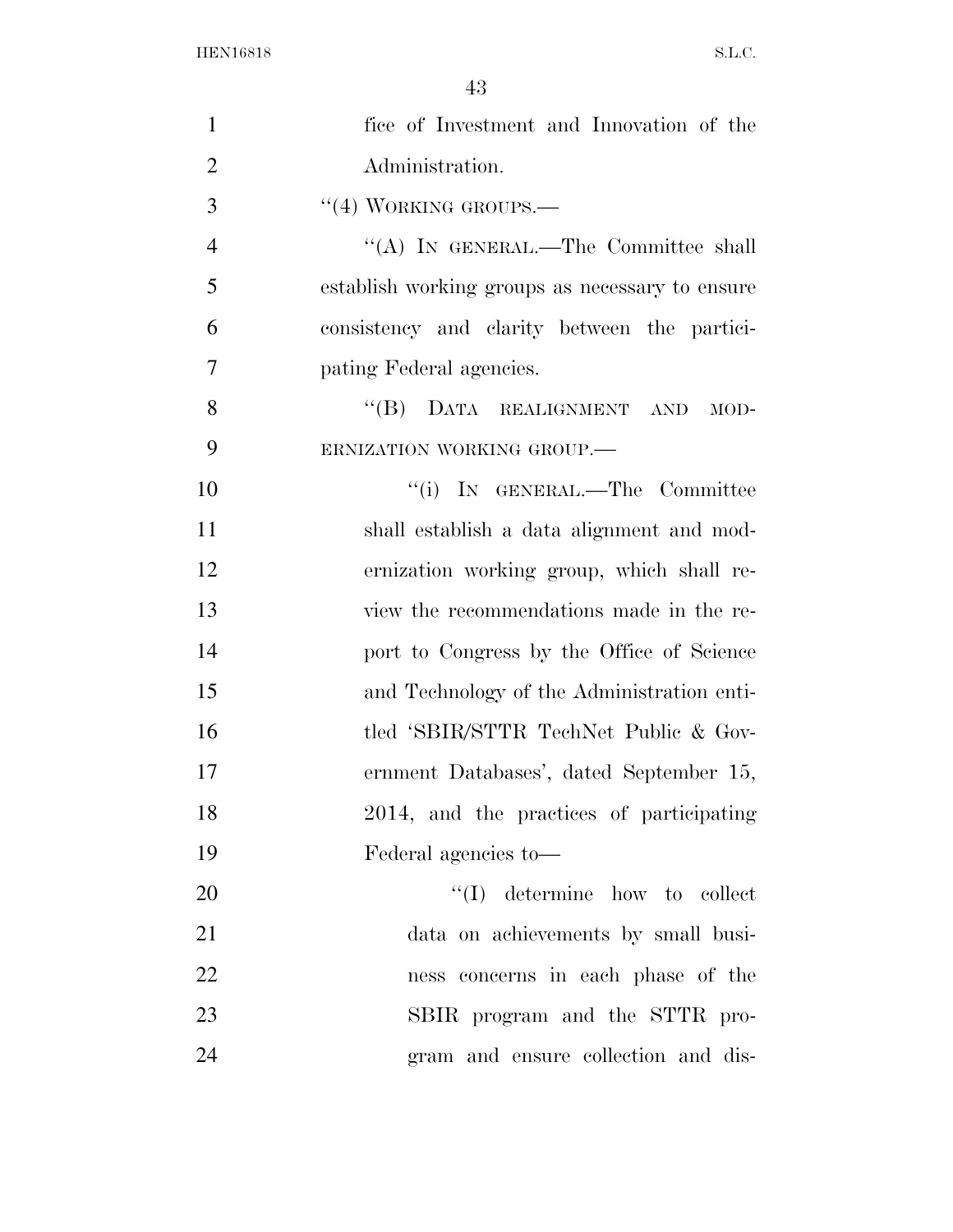| $\mathbf{1}$   | fice of Investment and Innovation of the        |
|----------------|-------------------------------------------------|
| $\overline{2}$ | Administration.                                 |
| 3              | $``(4)$ WORKING GROUPS.—                        |
| $\overline{4}$ | "(A) IN GENERAL.—The Committee shall            |
| 5              | establish working groups as necessary to ensure |
| 6              | consistency and clarity between the partici-    |
| $\overline{7}$ | pating Federal agencies.                        |
| 8              | "(B) DATA REALIGNMENT AND<br>$MOD-$             |
| 9              | ERNIZATION WORKING GROUP.                       |
| 10             | "(i) IN GENERAL.—The Committee                  |
| 11             | shall establish a data alignment and mod-       |
| 12             | ernization working group, which shall re-       |
| 13             | view the recommendations made in the re-        |
| 14             | port to Congress by the Office of Science       |
| 15             | and Technology of the Administration enti-      |
| 16             | tled 'SBIR/STTR TechNet Public & Gov-           |
| 17             | ernment Databases', dated September 15,         |
| 18             | 2014, and the practices of participating        |
| 19             | Federal agencies to-                            |
| 20             | $\lq\lq$ determine how to collect               |
| 21             | data on achievements by small busi-             |
| 22             | ness concerns in each phase of the              |
| 23             | SBIR program and the STTR pro-                  |
| 24             | gram and ensure collection and dis-             |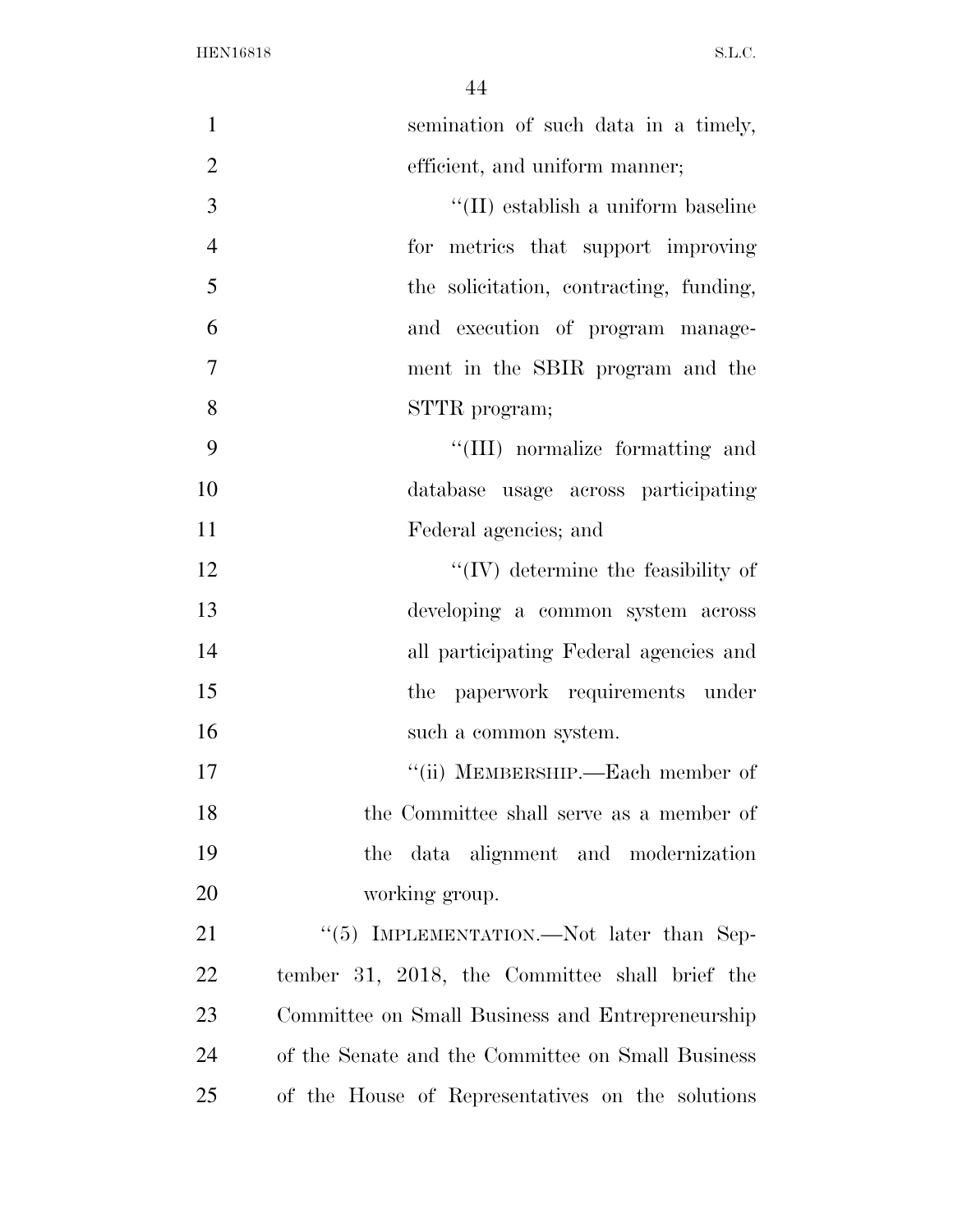| $\mathbf{1}$   | semination of such data in a timely,              |
|----------------|---------------------------------------------------|
| $\overline{2}$ | efficient, and uniform manner;                    |
| 3              | "(II) establish a uniform baseline                |
| $\overline{4}$ | for metrics that support improving                |
| 5              | the solicitation, contracting, funding,           |
| 6              | and execution of program manage-                  |
| $\overline{7}$ | ment in the SBIR program and the                  |
| 8              | STTR program;                                     |
| 9              | "(III) normalize formatting and                   |
| 10             | database usage across participating               |
| 11             | Federal agencies; and                             |
| 12             | $\lq\lq$ (IV) determine the feasibility of        |
| 13             | developing a common system across                 |
| 14             | all participating Federal agencies and            |
| 15             | the paperwork requirements under                  |
| 16             | such a common system.                             |
| 17             | "(ii) MEMBERSHIP.—Each member of                  |
| 18             | the Committee shall serve as a member of          |
| 19             | the data alignment and modernization              |
| 20             | working group.                                    |
| 21             | "(5) IMPLEMENTATION.—Not later than Sep-          |
| 22             | tember 31, 2018, the Committee shall brief the    |
| 23             | Committee on Small Business and Entrepreneurship  |
| 24             | of the Senate and the Committee on Small Business |
| 25             | of the House of Representatives on the solutions  |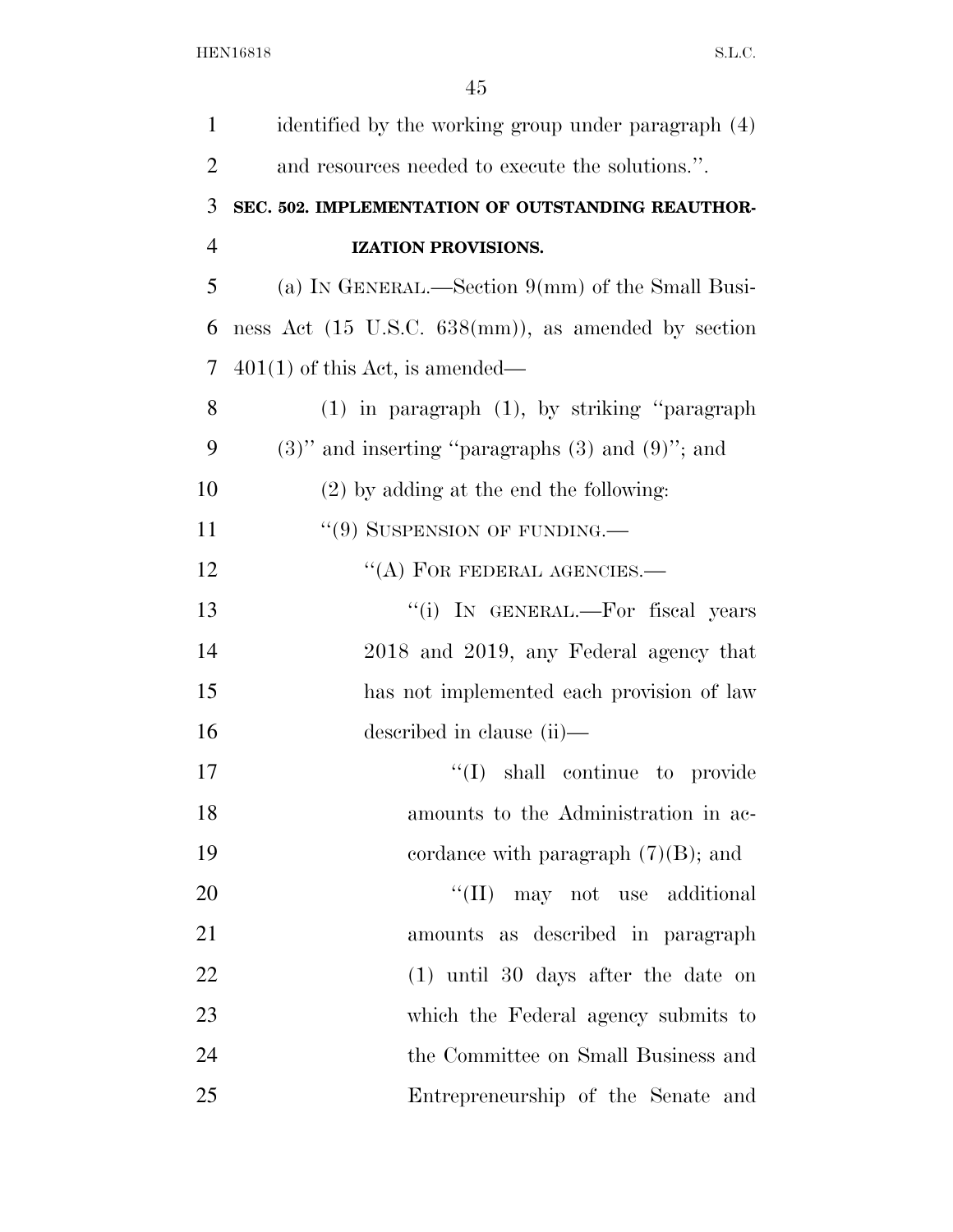| $\mathbf{1}$   | identified by the working group under paragraph (4)                    |
|----------------|------------------------------------------------------------------------|
| $\overline{2}$ | and resources needed to execute the solutions.".                       |
| 3              | SEC. 502. IMPLEMENTATION OF OUTSTANDING REAUTHOR-                      |
| $\overline{4}$ | IZATION PROVISIONS.                                                    |
| 5              | (a) IN GENERAL.—Section $9(mm)$ of the Small Busi-                     |
| 6              | ness Act $(15 \text{ U.S.C. } 638 \text{(mm)}),$ as amended by section |
| 7              | $401(1)$ of this Act, is amended—                                      |
| 8              | $(1)$ in paragraph $(1)$ , by striking "paragraph"                     |
| 9              | $(3)$ " and inserting "paragraphs $(3)$ and $(9)$ "; and               |
| 10             | $(2)$ by adding at the end the following:                              |
| 11             | $``(9)$ SUSPENSION OF FUNDING.—                                        |
| 12             | $\lq\lq$ (A) FOR FEDERAL AGENCIES.—                                    |
| 13             | "(i) IN GENERAL.—For fiscal years                                      |
| 14             | 2018 and 2019, any Federal agency that                                 |
| 15             | has not implemented each provision of law                              |
| 16             | described in clause (ii)—                                              |
| 17             | "(I) shall continue to provide                                         |
| 18             | amounts to the Administration in ac-                                   |
| 19             | cordance with paragraph $(7)(B)$ ; and                                 |
| 20             | $\lq\lq$ (II) may not use additional                                   |
| 21             | amounts as described in paragraph                                      |
| 22             | $(1)$ until 30 days after the date on                                  |
| 23             | which the Federal agency submits to                                    |
| 24             | the Committee on Small Business and                                    |
| 25             | Entrepreneurship of the Senate and                                     |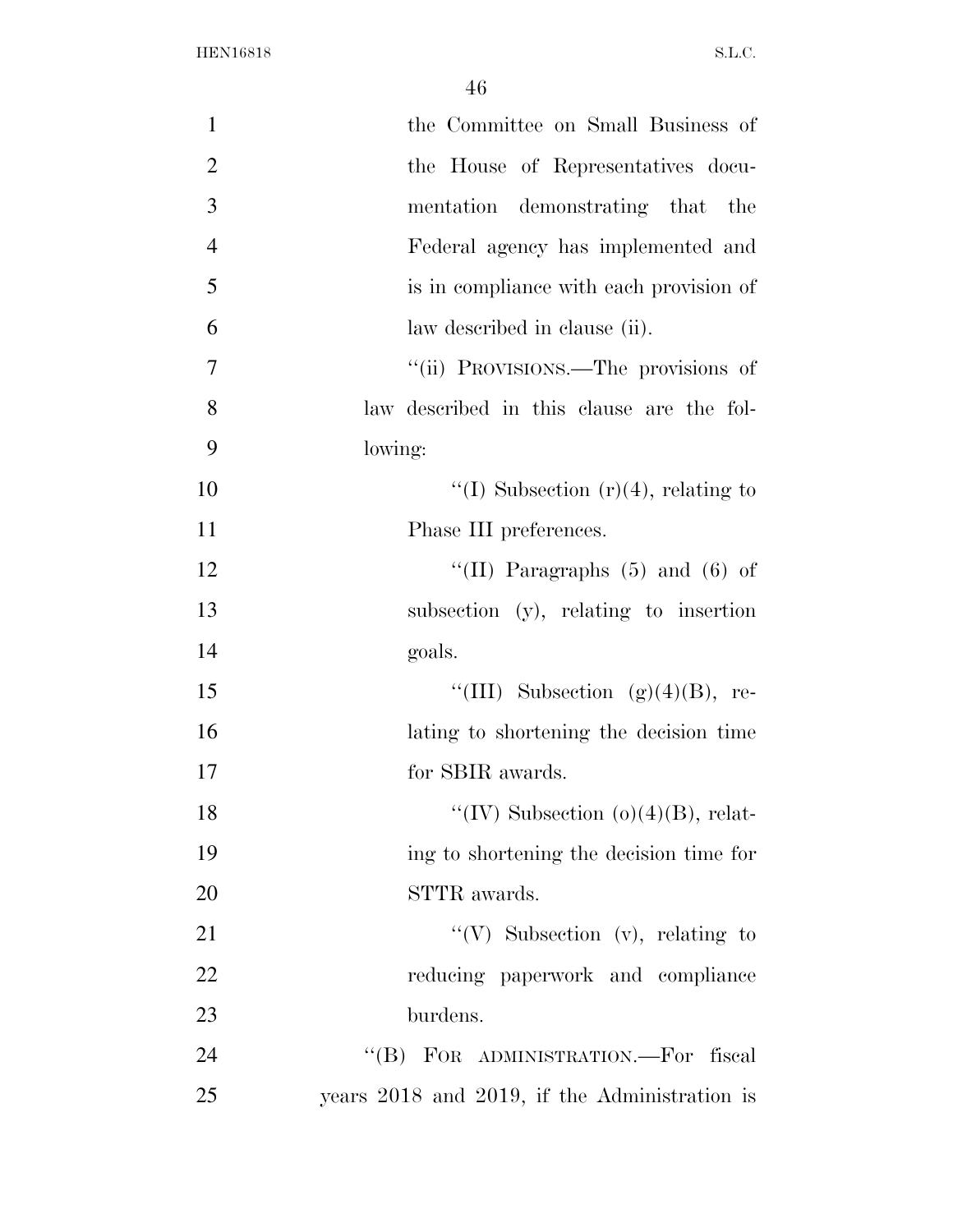| 1              | the Committee on Small Business of            |
|----------------|-----------------------------------------------|
| $\overline{2}$ | the House of Representatives docu-            |
| 3              | mentation demonstrating that the              |
| $\overline{4}$ | Federal agency has implemented and            |
| 5              | is in compliance with each provision of       |
| 6              | law described in clause (ii).                 |
| 7              | "(ii) PROVISIONS.—The provisions of           |
| 8              | law described in this clause are the fol-     |
| 9              | lowing:                                       |
| 10             | "(I) Subsection $(r)(4)$ , relating to        |
| 11             | Phase III preferences.                        |
| 12             | "(II) Paragraphs $(5)$ and $(6)$ of           |
| 13             | subsection (y), relating to insertion         |
| 14             | goals.                                        |
| 15             | "(III) Subsection $(g)(4)(B)$ , re-           |
| 16             | lating to shortening the decision time        |
| 17             | for SBIR awards.                              |
| 18             | "(IV) Subsection $(o)(4)(B)$ , relat-         |
| 19             | ing to shortening the decision time for       |
| 20             | STTR awards.                                  |
| 21             | "(V) Subsection (v), relating to              |
| 22             | reducing paperwork and compliance             |
| 23             | burdens.                                      |
| 24             | "(B) FOR ADMINISTRATION.—For fiscal           |
| 25             | years 2018 and 2019, if the Administration is |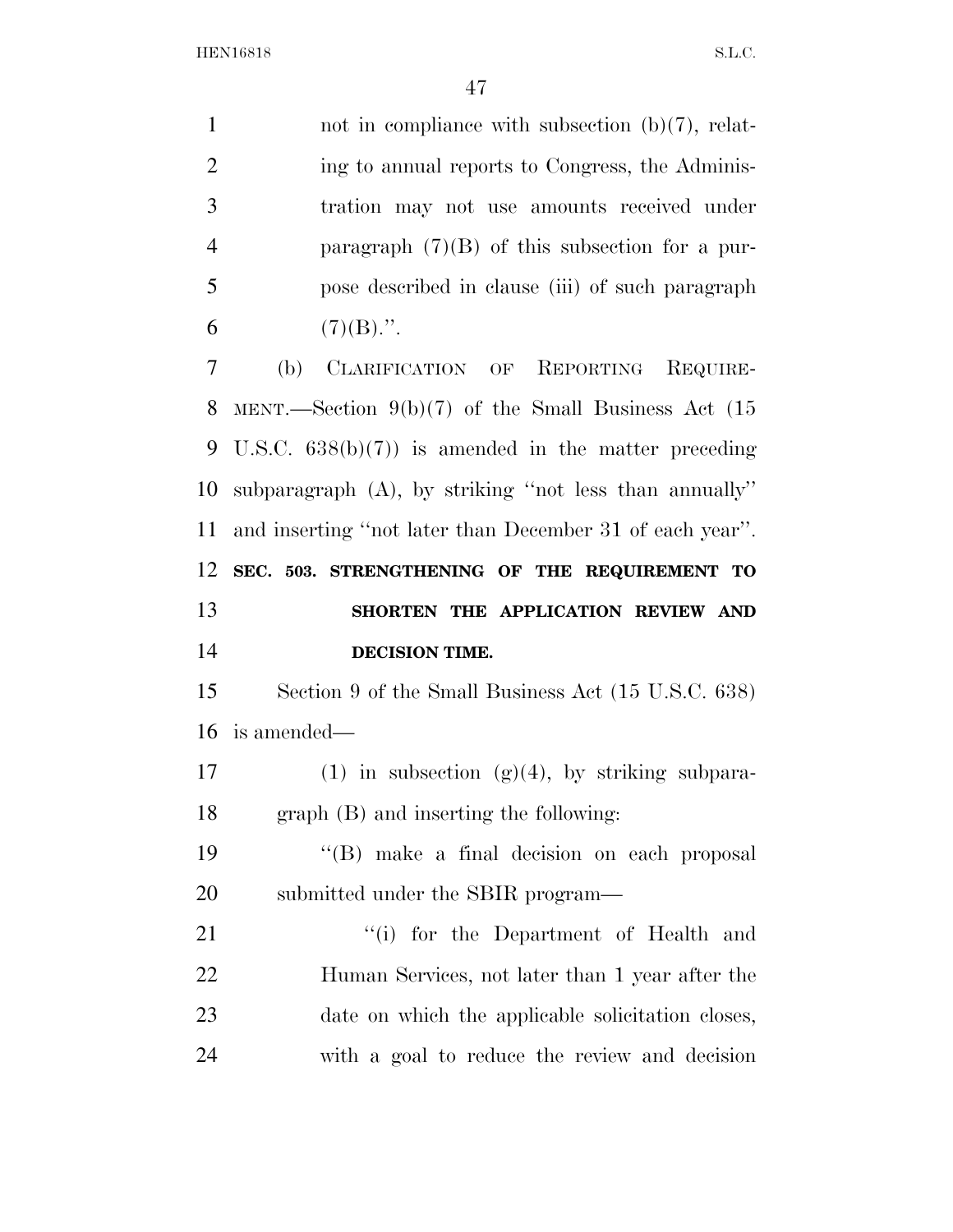| $\mathbf{1}$   | not in compliance with subsection $(b)(7)$ , relat-       |
|----------------|-----------------------------------------------------------|
| $\overline{2}$ | ing to annual reports to Congress, the Adminis-           |
| 3              | tration may not use amounts received under                |
| $\overline{4}$ | paragraph $(7)(B)$ of this subsection for a pur-          |
| 5              | pose described in clause (iii) of such paragraph          |
| 6              | $(7)(B)$ .".                                              |
| 7              | (b)<br>CLARIFICATION OF REPORTING<br>REQUIRE-             |
| 8              | MENT.—Section $9(b)(7)$ of the Small Business Act (15     |
| 9              | U.S.C. $638(b)(7)$ is amended in the matter preceding     |
| 10             | subparagraph $(A)$ , by striking "not less than annually" |
| 11             | and inserting "not later than December 31 of each year".  |
| 12             | SEC. 503. STRENGTHENING OF THE REQUIREMENT TO             |
|                |                                                           |
| 13             | SHORTEN THE APPLICATION REVIEW AND                        |
| 14             | DECISION TIME.                                            |
| 15             | Section 9 of the Small Business Act (15 U.S.C. 638)       |
| 16             | is amended—                                               |
| 17             | $(1)$ in subsection $(g)(4)$ , by striking subpara-       |
| 18             | $graph(B)$ and inserting the following:                   |
| 19             | "(B) make a final decision on each proposal               |
| 20             | submitted under the SBIR program—                         |
| 21             | "(i) for the Department of Health and                     |
| 22             | Human Services, not later than 1 year after the           |
| 23             | date on which the applicable solicitation closes,         |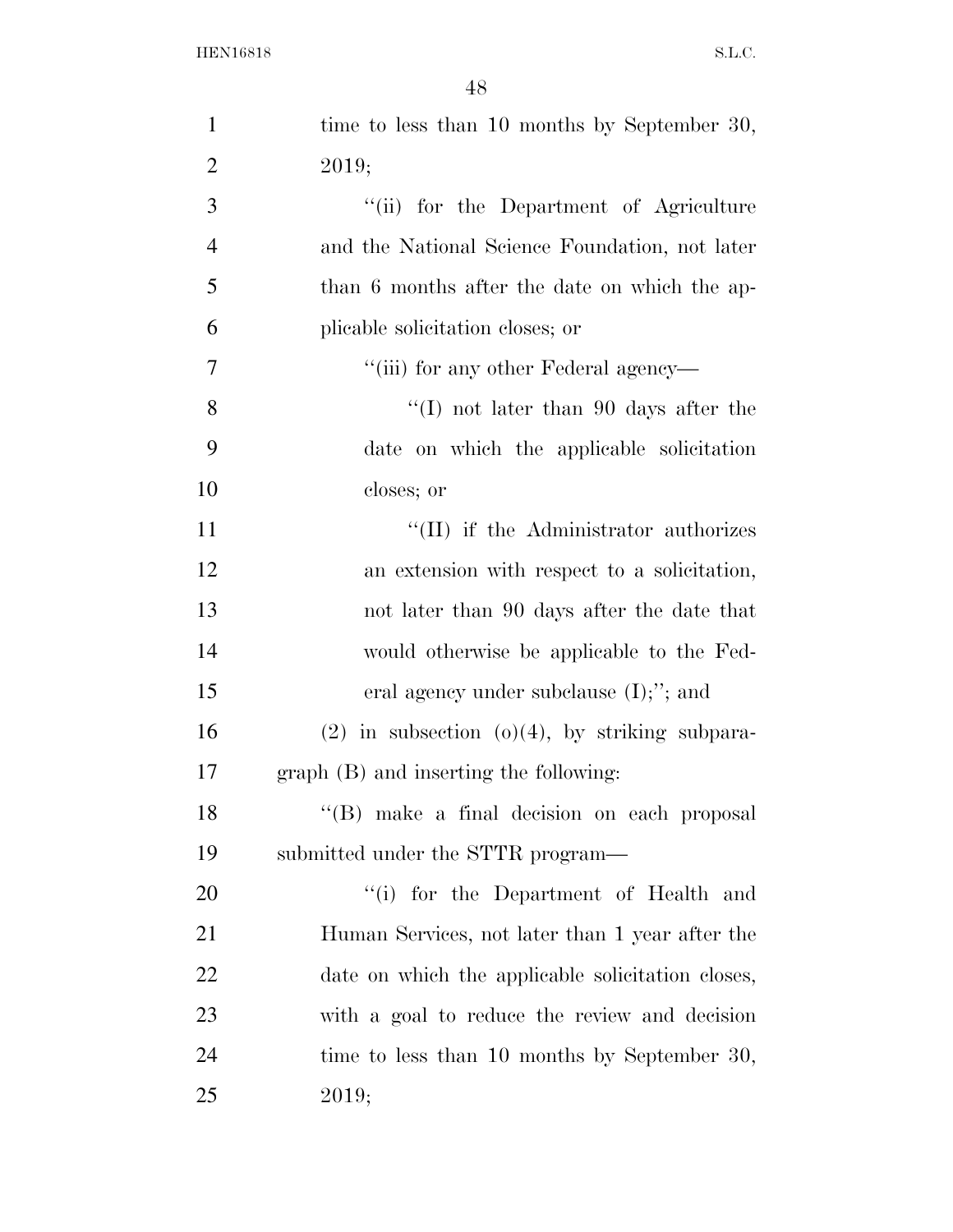| $\mathbf{1}$   | time to less than 10 months by September 30,        |
|----------------|-----------------------------------------------------|
| $\overline{2}$ | 2019;                                               |
| 3              | "(ii) for the Department of Agriculture             |
| $\overline{4}$ | and the National Science Foundation, not later      |
| 5              | than 6 months after the date on which the ap-       |
| 6              | plicable solicitation closes; or                    |
| 7              | "(iii) for any other Federal agency—                |
| 8              | $\lq(1)$ not later than 90 days after the           |
| 9              | date on which the applicable solicitation           |
| 10             | closes; or                                          |
| 11             | "(II) if the Administrator authorizes               |
| 12             | an extension with respect to a solicitation,        |
| 13             | not later than 90 days after the date that          |
| 14             | would otherwise be applicable to the Fed-           |
| 15             | eral agency under subclause $(I);$ "; and           |
| 16             | $(2)$ in subsection $(0)(4)$ , by striking subpara- |
| 17             | graph (B) and inserting the following:              |
| 18             | "(B) make a final decision on each proposal         |
| 19             | submitted under the STTR program—                   |
| 20             | "(i) for the Department of Health and               |
| 21             | Human Services, not later than 1 year after the     |
| 22             | date on which the applicable solicitation closes,   |
| 23             | with a goal to reduce the review and decision       |
| 24             | time to less than 10 months by September 30,        |
| 25             | 2019;                                               |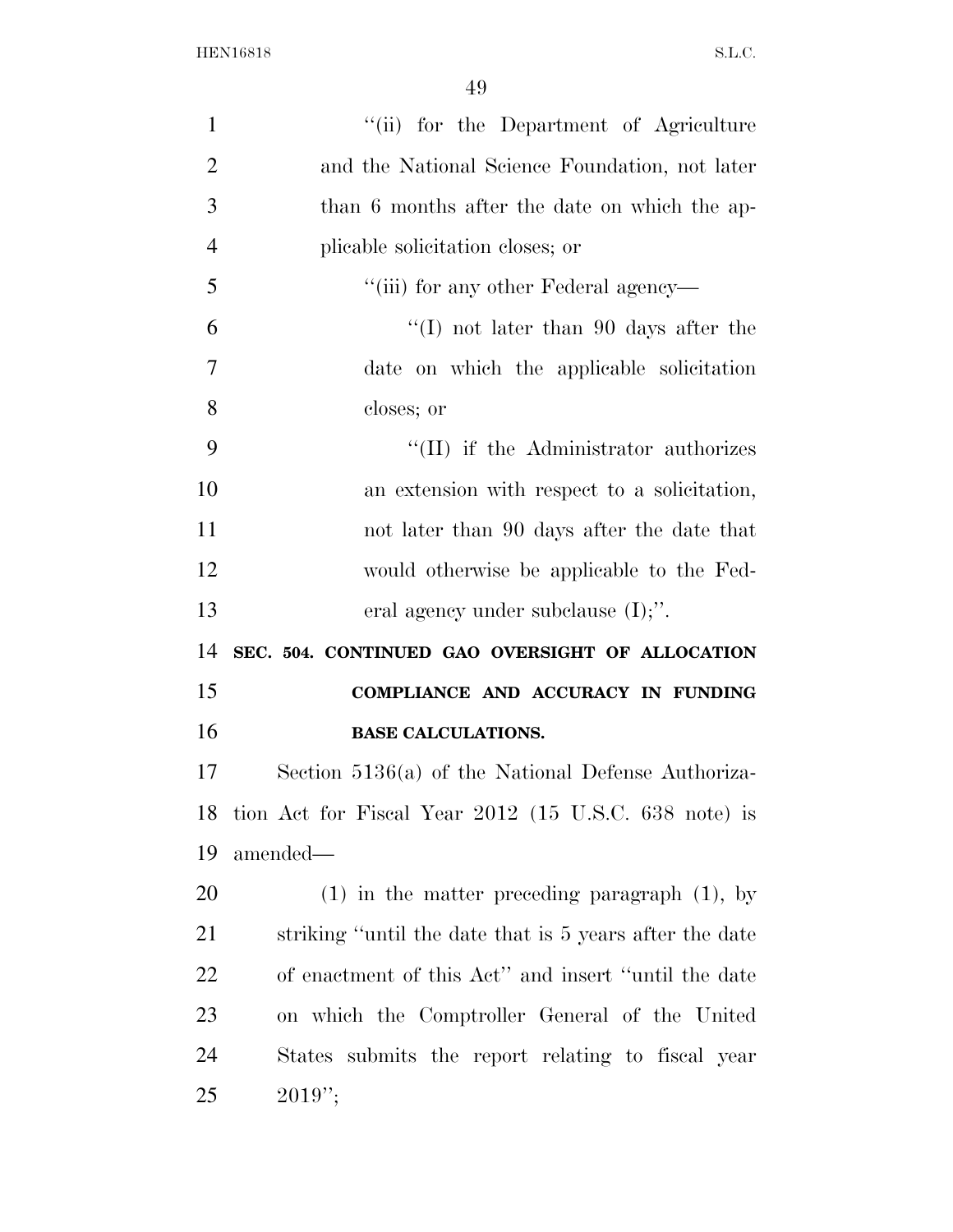| $\mathbf{1}$   | "(ii) for the Department of Agriculture                 |
|----------------|---------------------------------------------------------|
| $\overline{2}$ | and the National Science Foundation, not later          |
| 3              | than 6 months after the date on which the ap-           |
| $\overline{4}$ | plicable solicitation closes; or                        |
| 5              | "(iii) for any other Federal agency—                    |
| 6              | $\lq(1)$ not later than 90 days after the               |
| $\overline{7}$ | date on which the applicable solicitation               |
| 8              | closes; or                                              |
| 9              | "(II) if the Administrator authorizes                   |
| 10             | an extension with respect to a solicitation,            |
| 11             | not later than 90 days after the date that              |
| 12             | would otherwise be applicable to the Fed-               |
| 13             | eral agency under subclause $(I);$ .                    |
| 14             | SEC. 504. CONTINUED GAO OVERSIGHT OF ALLOCATION         |
| 15             | COMPLIANCE AND ACCURACY IN FUNDING                      |
| 16             | <b>BASE CALCULATIONS.</b>                               |
| 17             | Section $5136(a)$ of the National Defense Authoriza-    |
| 18             | tion Act for Fiscal Year 2012 (15 U.S.C. 638 note) is   |
| 19             | amended—                                                |
| 20             | $(1)$ in the matter preceding paragraph $(1)$ , by      |
| 21             | striking "until the date that is 5 years after the date |
| 22             | of enactment of this Act" and insert "until the date    |
| 23             | on which the Comptroller General of the United          |
| 24             | States submits the report relating to fiscal year       |
| 25             | $2019$ ";                                               |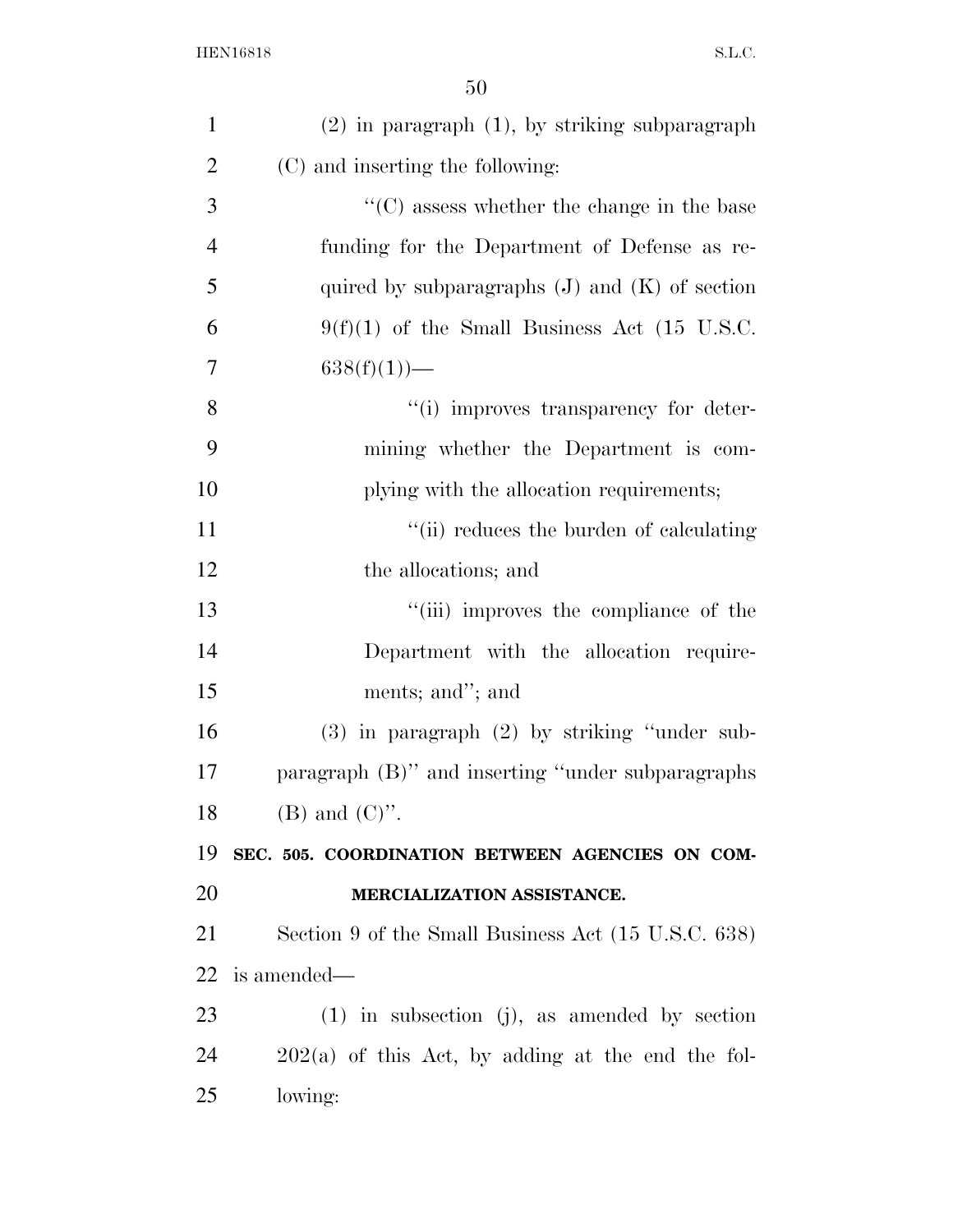| $\mathbf{1}$   | $(2)$ in paragraph $(1)$ , by striking subparagraph             |
|----------------|-----------------------------------------------------------------|
| $\overline{2}$ | (C) and inserting the following:                                |
| 3              | $\lq\lq$ <sup>c</sup> (C) assess whether the change in the base |
| $\overline{4}$ | funding for the Department of Defense as re-                    |
| 5              | quired by subparagraphs $(J)$ and $(K)$ of section              |
| 6              | $9(f)(1)$ of the Small Business Act (15 U.S.C.                  |
| 7              | $638(f)(1)$ —                                                   |
| 8              | "(i) improves transparency for deter-                           |
| 9              | mining whether the Department is com-                           |
| 10             | plying with the allocation requirements;                        |
| 11             | "(ii) reduces the burden of calculating                         |
| 12             | the allocations; and                                            |
| 13             | "(iii) improves the compliance of the                           |
| 14             | Department with the allocation require-                         |
| 15             | ments; and"; and                                                |
| 16             | $(3)$ in paragraph $(2)$ by striking "under sub-                |
| 17             | paragraph (B)" and inserting "under subparagraphs               |
| 18             | $(B)$ and $(C)$ ".                                              |
| 19             | SEC. 505. COORDINATION BETWEEN AGENCIES ON COM-                 |
| 20             | MERCIALIZATION ASSISTANCE.                                      |
| 21             | Section 9 of the Small Business Act (15 U.S.C. 638)             |
| 22             | is amended—                                                     |
| 23             | $(1)$ in subsection (j), as amended by section                  |
| 24             | $202(a)$ of this Act, by adding at the end the fol-             |
| 25             | lowing:                                                         |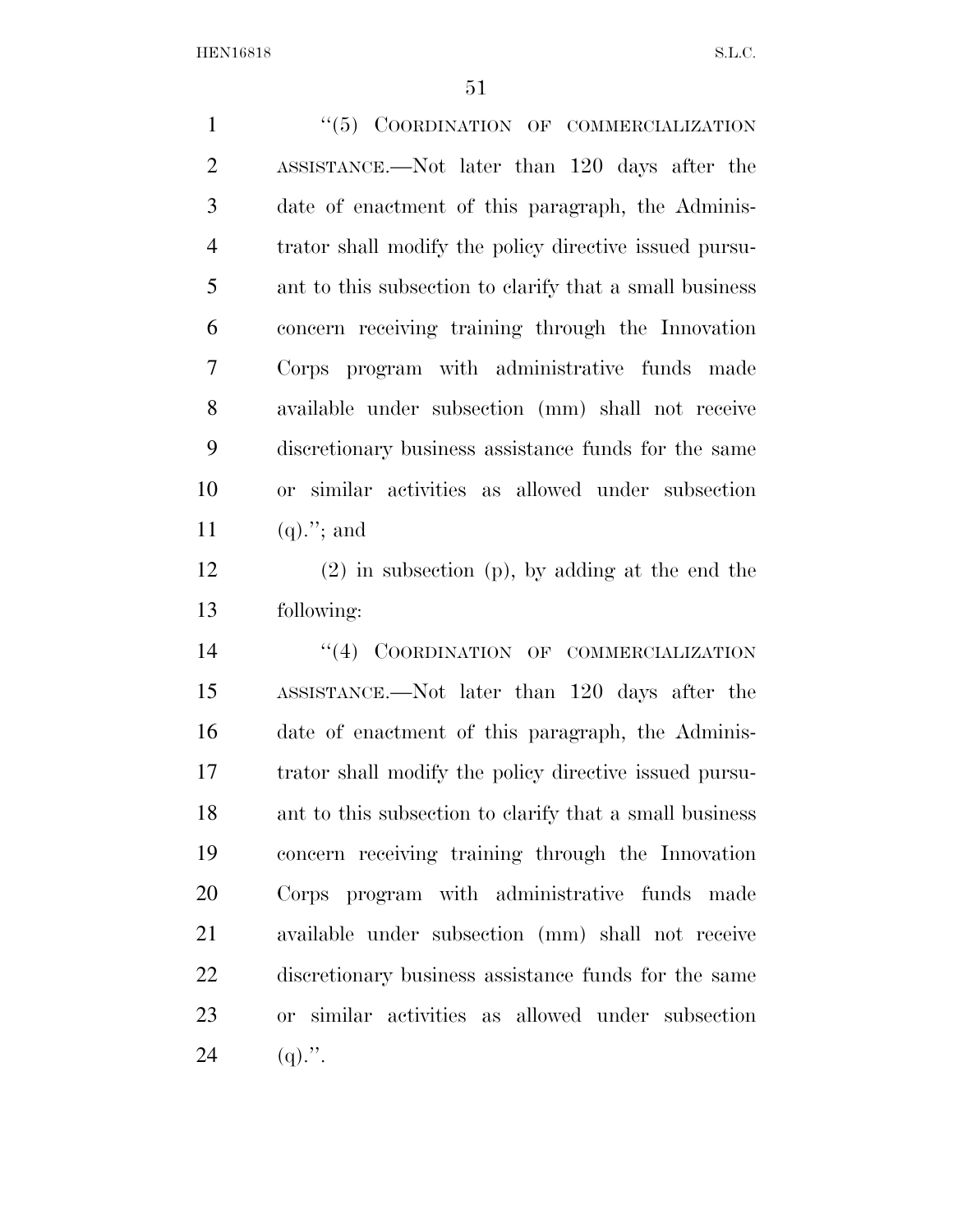1 "(5) COORDINATION OF COMMERCIALIZATION ASSISTANCE.—Not later than 120 days after the date of enactment of this paragraph, the Adminis- trator shall modify the policy directive issued pursu- ant to this subsection to clarify that a small business concern receiving training through the Innovation Corps program with administrative funds made available under subsection (mm) shall not receive discretionary business assistance funds for the same or similar activities as allowed under subsection 11 (q)."; and

 (2) in subsection (p), by adding at the end the following:

14 "(4) COORDINATION OF COMMERCIALIZATION ASSISTANCE.—Not later than 120 days after the date of enactment of this paragraph, the Adminis- trator shall modify the policy directive issued pursu- ant to this subsection to clarify that a small business concern receiving training through the Innovation Corps program with administrative funds made available under subsection (mm) shall not receive discretionary business assistance funds for the same or similar activities as allowed under subsection 24 (q).".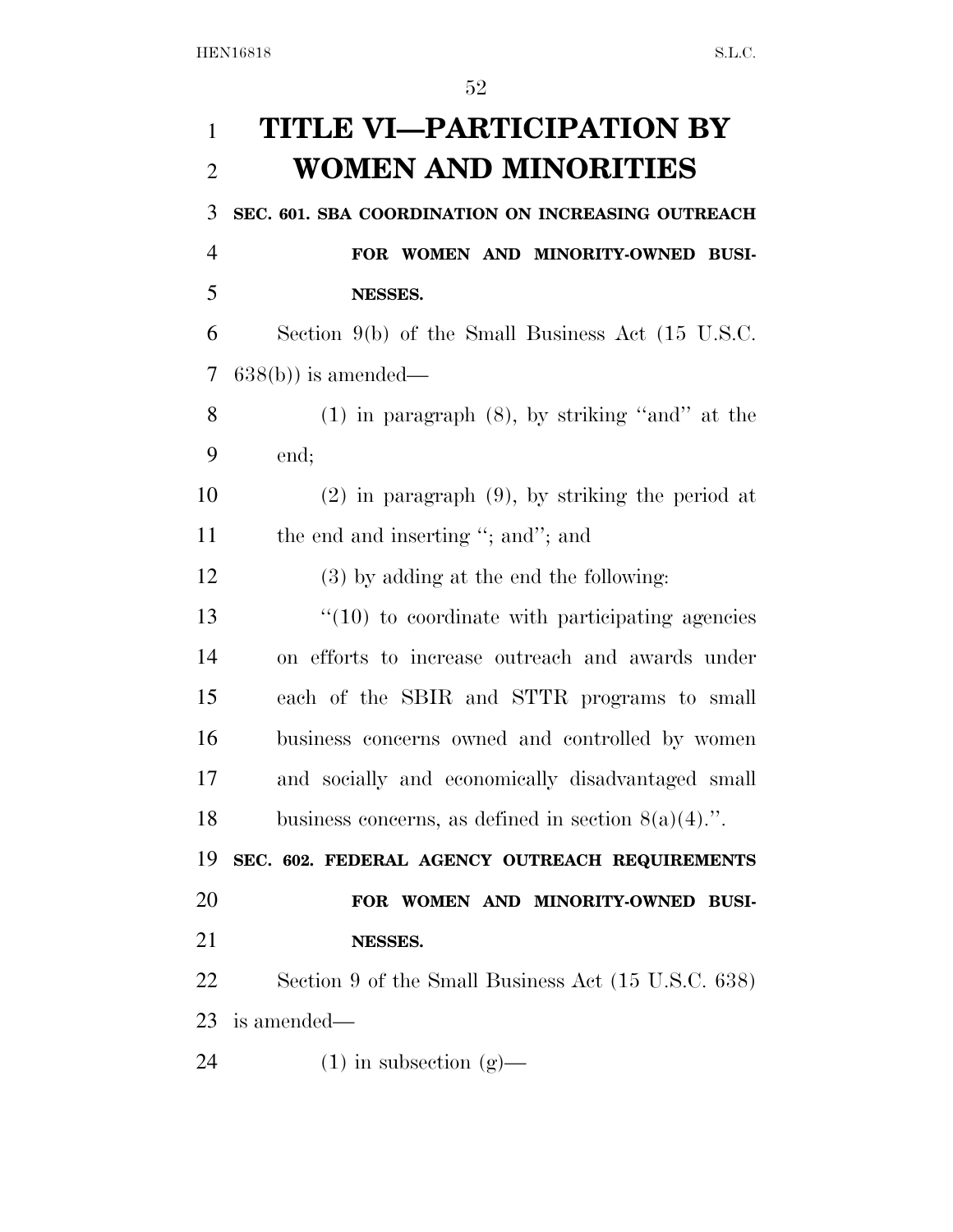| $\mathbf{1}$   | <b>TITLE VI—PARTICIPATION BY</b>                       |
|----------------|--------------------------------------------------------|
| $\overline{2}$ | WOMEN AND MINORITIES                                   |
| 3              | SEC. 601. SBA COORDINATION ON INCREASING OUTREACH      |
| $\overline{4}$ | FOR WOMEN AND MINORITY-OWNED BUSI-                     |
| 5              | NESSES.                                                |
| 6              | Section $9(b)$ of the Small Business Act (15 U.S.C.    |
| 7              | $638(b)$ is amended—                                   |
| 8              | $(1)$ in paragraph $(8)$ , by striking "and" at the    |
| 9              | end;                                                   |
| 10             | $(2)$ in paragraph $(9)$ , by striking the period at   |
| 11             | the end and inserting "; and"; and                     |
| 12             | (3) by adding at the end the following:                |
| 13             | $\cdot$ (10) to coordinate with participating agencies |
| 14             | on efforts to increase outreach and awards under       |
| 15             | each of the SBIR and STTR programs to small            |
| 16             | business concerns owned and controlled by women        |
| 17             | and socially and economically disadvantaged small      |
| 18             | business concerns, as defined in section $8(a)(4)$ .". |
| 19             | SEC. 602. FEDERAL AGENCY OUTREACH REQUIREMENTS         |
| 20             | FOR WOMEN AND MINORITY-OWNED BUSI-                     |
| 21             | NESSES.                                                |
| <u>22</u>      | Section 9 of the Small Business Act (15 U.S.C. 638)    |
| 23             | is amended—                                            |
| 24             | $(1)$ in subsection $(g)$ —                            |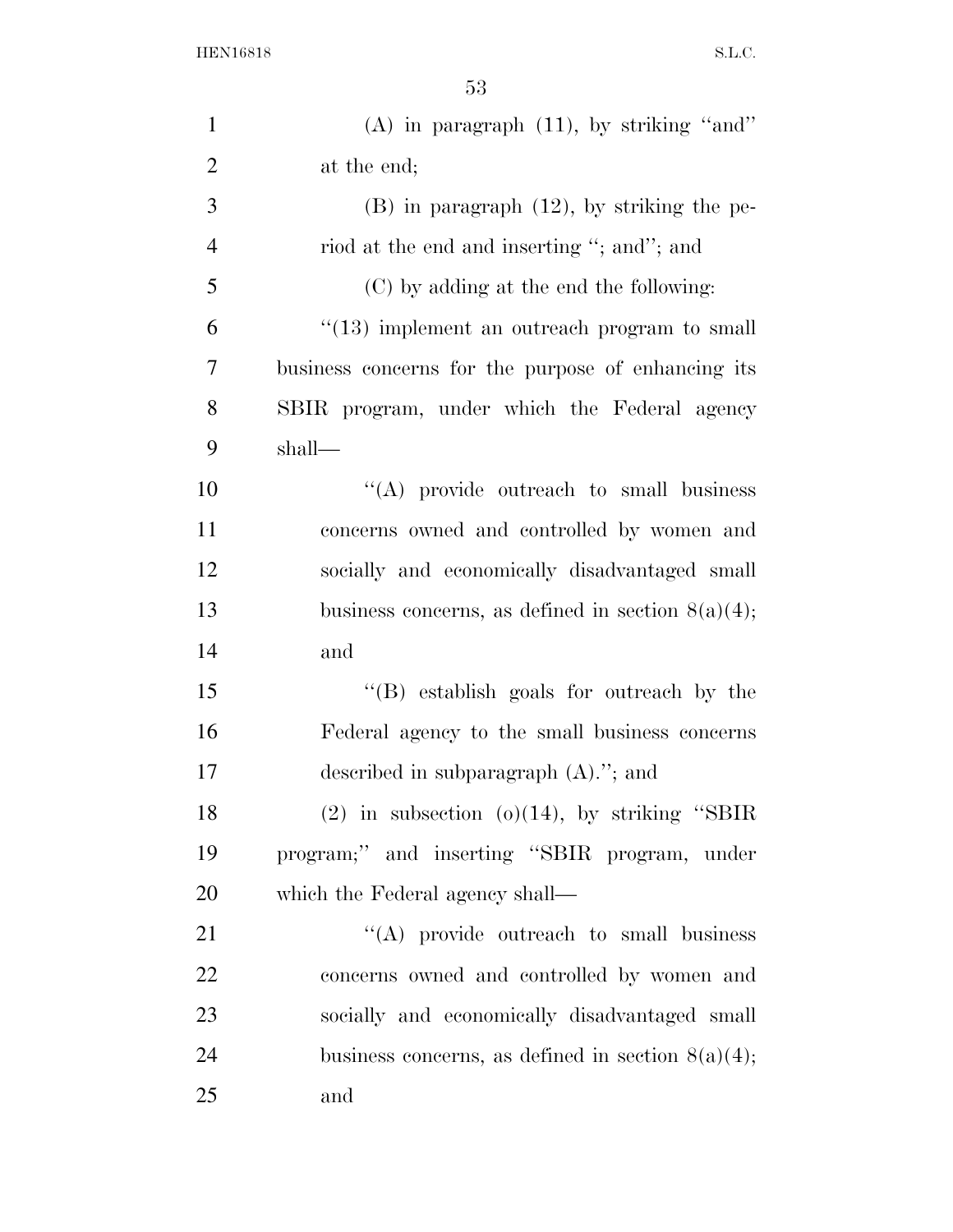| $\mathbf{1}$   | $(A)$ in paragraph $(11)$ , by striking "and"        |
|----------------|------------------------------------------------------|
| $\overline{2}$ | at the end;                                          |
| $\mathfrak{Z}$ | $(B)$ in paragraph $(12)$ , by striking the pe-      |
| $\overline{4}$ | riod at the end and inserting "; and"; and           |
| 5              | (C) by adding at the end the following:              |
| 6              | "(13) implement an outreach program to small         |
| 7              | business concerns for the purpose of enhancing its   |
| 8              | SBIR program, under which the Federal agency         |
| 9              | $shall$ —                                            |
| 10             | $\lq\lq$ provide outreach to small business          |
| 11             | concerns owned and controlled by women and           |
| 12             | socially and economically disadvantaged small        |
| 13             | business concerns, as defined in section $8(a)(4)$ ; |
| 14             | and                                                  |
| 15             | "(B) establish goals for outreach by the             |
| 16             | Federal agency to the small business concerns        |
| 17             | described in subparagraph $(A)$ ."; and              |
| 18             | $(2)$ in subsection $(0)(14)$ , by striking "SBIR    |
| 19             | program;" and inserting "SBIR program, under         |
| 20             | which the Federal agency shall—                      |
| 21             | "(A) provide outreach to small business              |
| 22             | concerns owned and controlled by women and           |
| 23             | socially and economically disadvantaged small        |
| 24             | business concerns, as defined in section $8(a)(4)$ ; |
| 25             | and                                                  |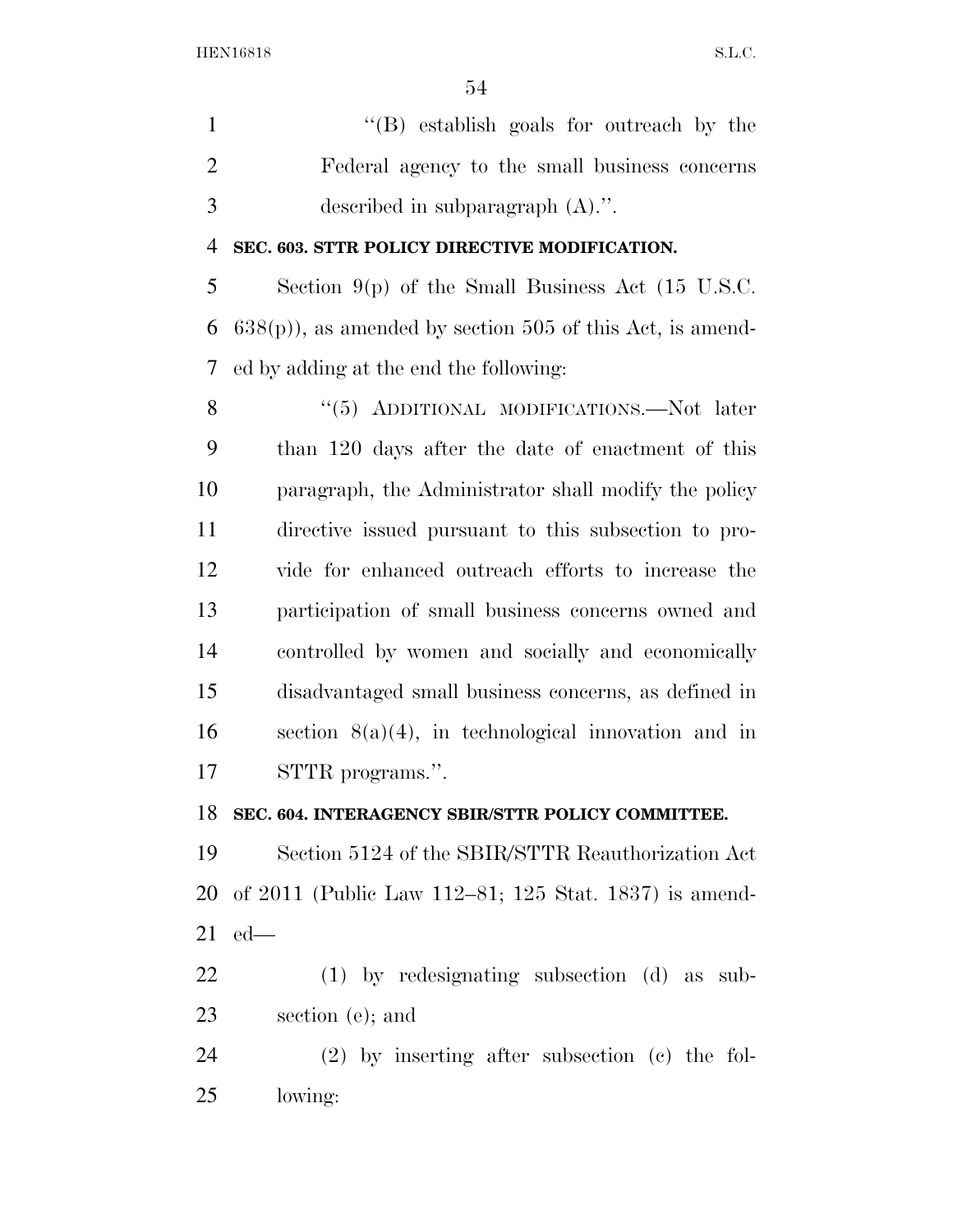''(B) establish goals for outreach by the Federal agency to the small business concerns described in subparagraph (A).''.

### **SEC. 603. STTR POLICY DIRECTIVE MODIFICATION.**

 Section 9(p) of the Small Business Act (15 U.S.C. 6  $638(p)$ , as amended by section 505 of this Act, is amend-ed by adding at the end the following:

8 "(5) ADDITIONAL MODIFICATIONS.—Not later than 120 days after the date of enactment of this paragraph, the Administrator shall modify the policy directive issued pursuant to this subsection to pro- vide for enhanced outreach efforts to increase the participation of small business concerns owned and controlled by women and socially and economically disadvantaged small business concerns, as defined in 16 section  $8(a)(4)$ , in technological innovation and in STTR programs.''.

## **SEC. 604. INTERAGENCY SBIR/STTR POLICY COMMITTEE.**

 Section 5124 of the SBIR/STTR Reauthorization Act of 2011 (Public Law 112–81; 125 Stat. 1837) is amend-ed—

 (1) by redesignating subsection (d) as sub-section (e); and

 (2) by inserting after subsection (c) the fol-lowing: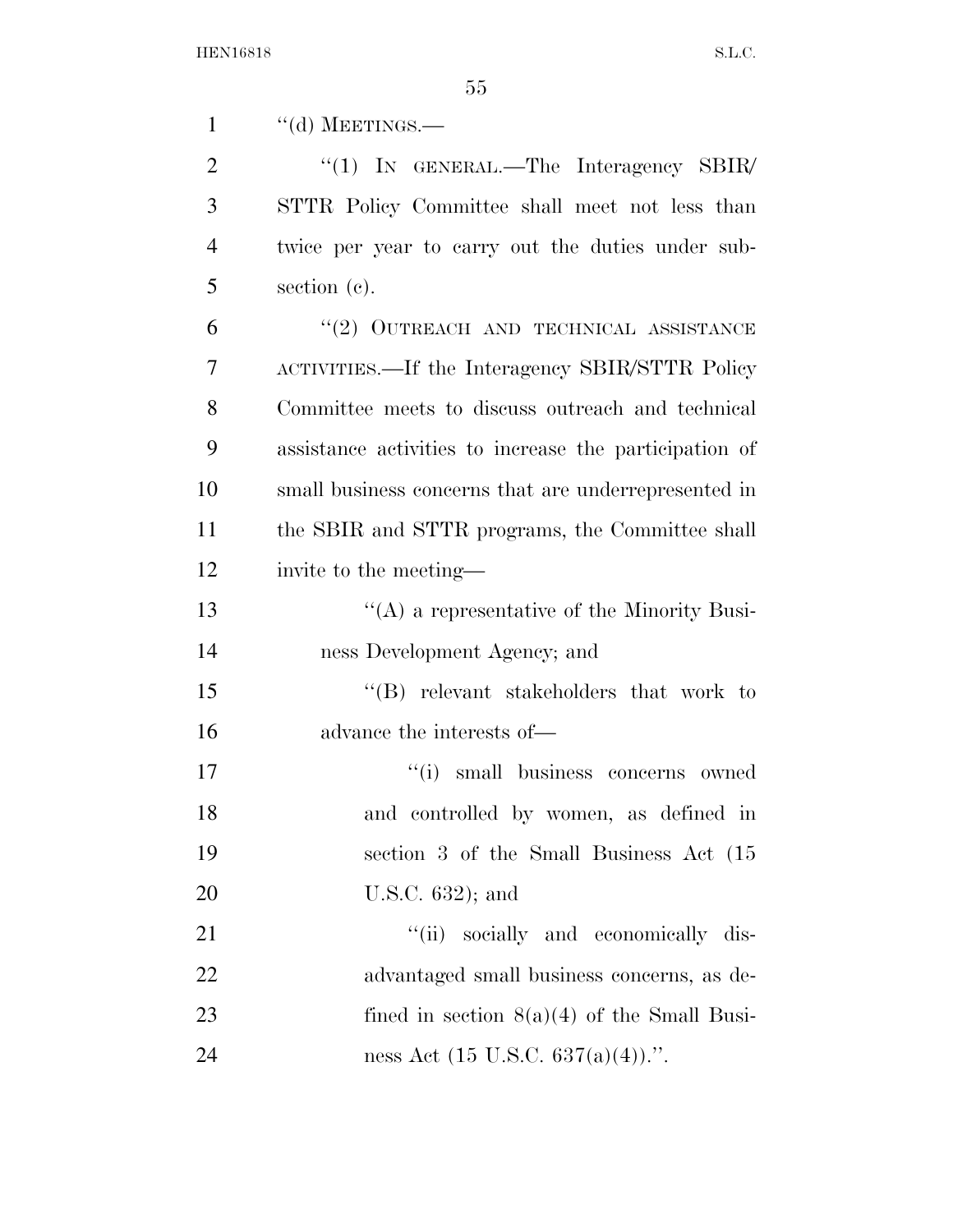1 "(d) MEETINGS.—

2 "(1) In GENERAL.—The Interagency SBIR/ STTR Policy Committee shall meet not less than twice per year to carry out the duties under sub-section (c).

6 "(2) OUTREACH AND TECHNICAL ASSISTANCE ACTIVITIES.—If the Interagency SBIR/STTR Policy Committee meets to discuss outreach and technical assistance activities to increase the participation of small business concerns that are underrepresented in the SBIR and STTR programs, the Committee shall invite to the meeting—

13 ''(A) a representative of the Minority Busi-ness Development Agency; and

 ''(B) relevant stakeholders that work to advance the interests of—

 $''(i)$  small business concerns owned and controlled by women, as defined in section 3 of the Small Business Act (15 U.S.C. 632); and

21 ''(ii) socially and economically dis- advantaged small business concerns, as de-23 fined in section  $8(a)(4)$  of the Small Busi-24 ness Act  $(15 \text{ U.S.C. } 637(a)(4))$ .".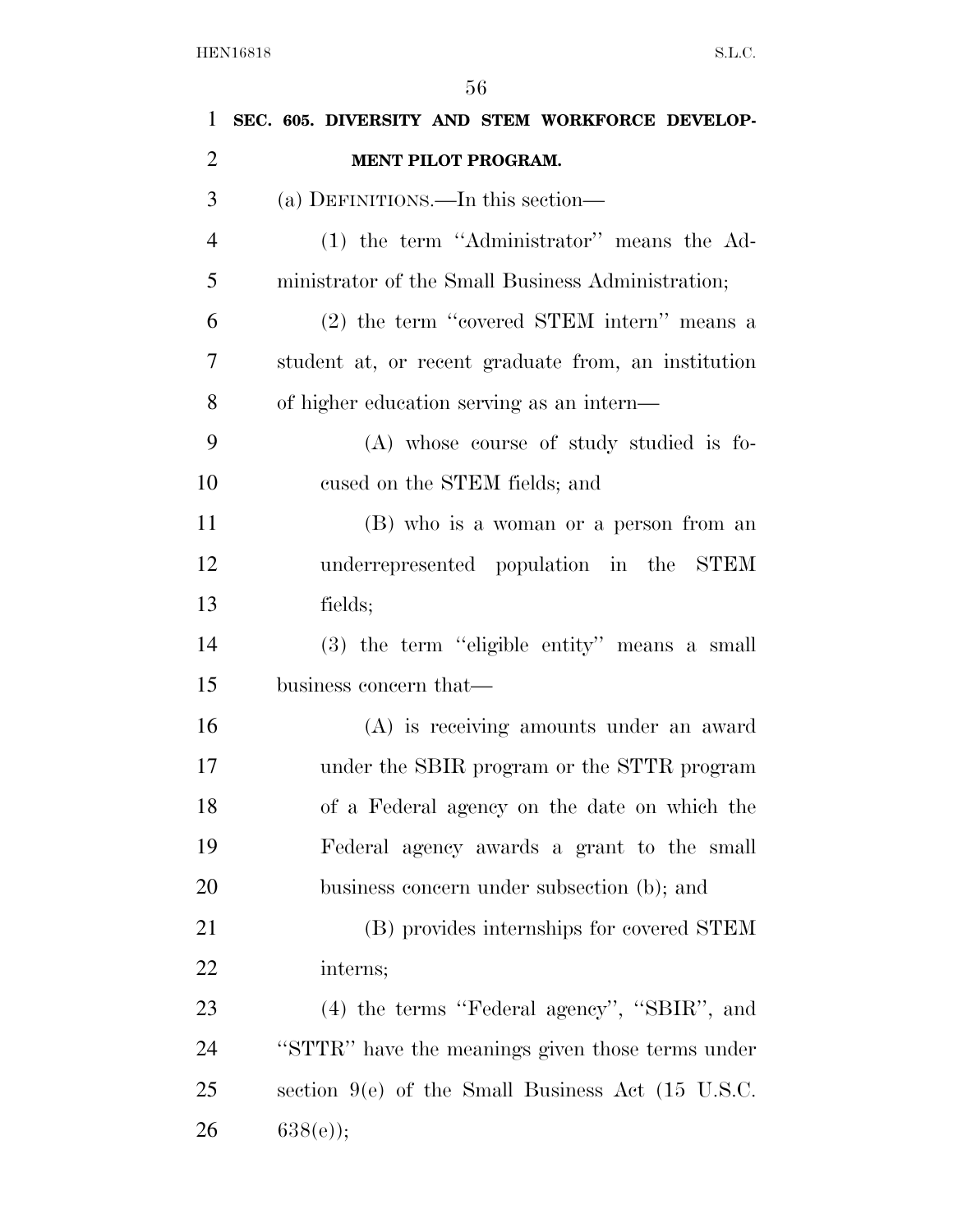| 1              | SEC. 605. DIVERSITY AND STEM WORKFORCE DEVELOP-     |
|----------------|-----------------------------------------------------|
| $\overline{2}$ | <b>MENT PILOT PROGRAM.</b>                          |
| 3              | (a) DEFINITIONS.—In this section—                   |
| $\overline{4}$ | (1) the term "Administrator" means the Ad-          |
| 5              | ministrator of the Small Business Administration;   |
| 6              | (2) the term "covered STEM intern" means a          |
| 7              | student at, or recent graduate from, an institution |
| 8              | of higher education serving as an intern—           |
| 9              | (A) whose course of study studied is fo-            |
| 10             | cused on the STEM fields; and                       |
| 11             | (B) who is a woman or a person from an              |
| 12             | underrepresented population in the STEM             |
| 13             | fields;                                             |
| 14             | (3) the term "eligible entity" means a small        |
| 15             | business concern that—                              |
| 16             | (A) is receiving amounts under an award             |
| 17             | under the SBIR program or the STTR program          |
| 18             | of a Federal agency on the date on which the        |
| 19             | Federal agency awards a grant to the small          |
| 20             | business concern under subsection (b); and          |
| 21             | (B) provides internships for covered STEM           |
| 22             | interns;                                            |
| 23             | (4) the terms "Federal agency", "SBIR", and         |
| 24             | "STTR" have the meanings given those terms under    |
| 25             | section $9(e)$ of the Small Business Act (15 U.S.C. |
| 26             | $638(e)$ ;                                          |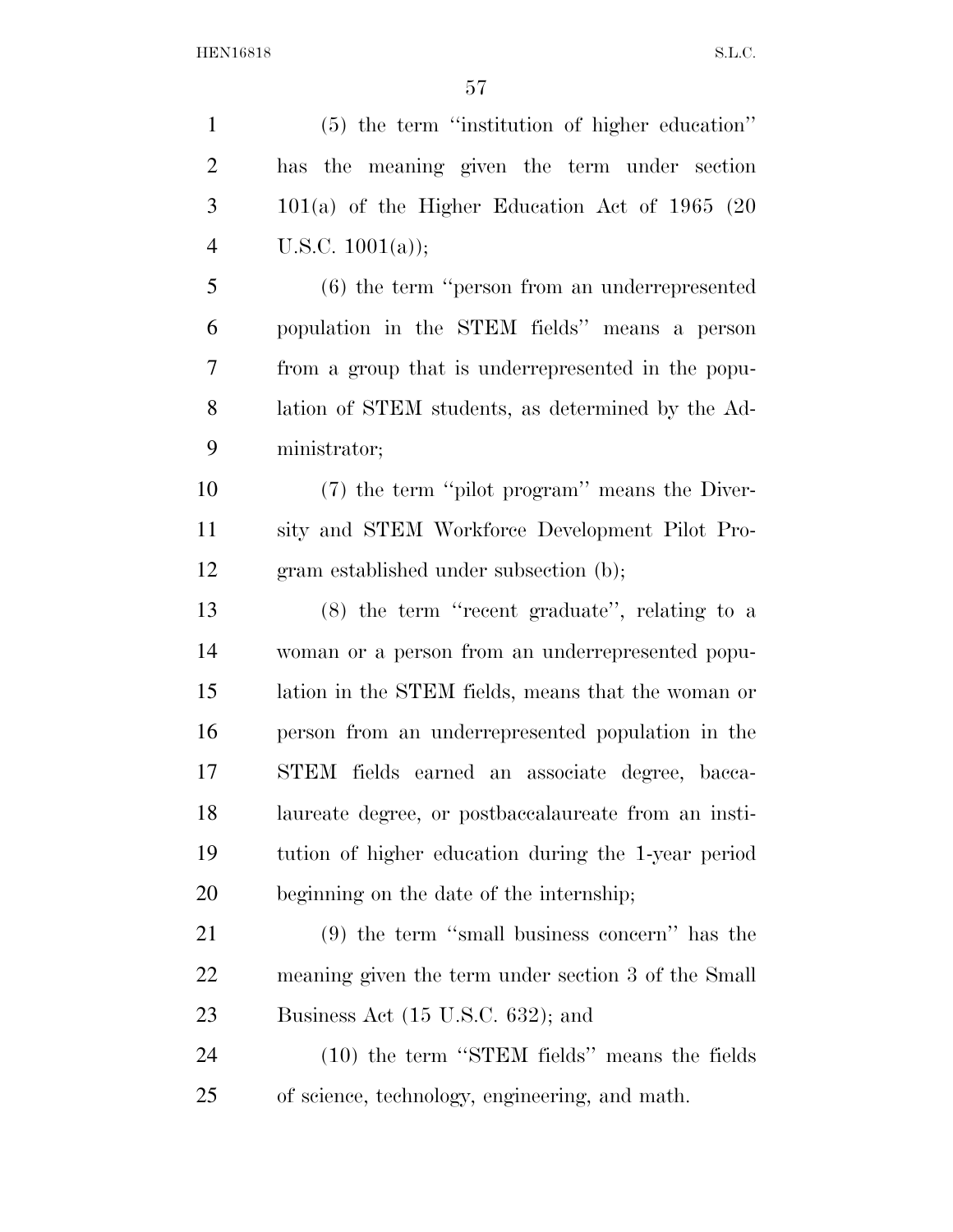| $\mathbf{1}$   | (5) the term "institution of higher education"       |
|----------------|------------------------------------------------------|
| $\overline{2}$ | has the meaning given the term under section         |
| 3              | $101(a)$ of the Higher Education Act of 1965 (20     |
| $\overline{4}$ | U.S.C. $1001(a)$ ;                                   |
| 5              | $(6)$ the term "person from an underrepresented      |
| 6              | population in the STEM fields" means a person        |
| $\overline{7}$ | from a group that is underrepresented in the popu-   |
| 8              | lation of STEM students, as determined by the Ad-    |
| 9              | ministrator;                                         |
| 10             | (7) the term "pilot program" means the Diver-        |
| 11             | sity and STEM Workforce Development Pilot Pro-       |
| 12             | gram established under subsection (b);               |
| 13             | $(8)$ the term "recent graduate", relating to a      |
| 14             | woman or a person from an underrepresented popu-     |
| 15             | lation in the STEM fields, means that the woman or   |
| 16             | person from an underrepresented population in the    |
| 17             | STEM fields earned an associate degree, bacca-       |
| 18             | laureate degree, or postbaccalaureate from an insti- |
| 19             | tution of higher education during the 1-year period  |
| <b>20</b>      | beginning on the date of the internship;             |
| 21             | $(9)$ the term "small business concern" has the      |
| <u>22</u>      | meaning given the term under section 3 of the Small  |
| 23             | Business Act (15 U.S.C. 632); and                    |
| 24             | (10) the term "STEM fields" means the fields         |
| 25             | of science, technology, engineering, and math.       |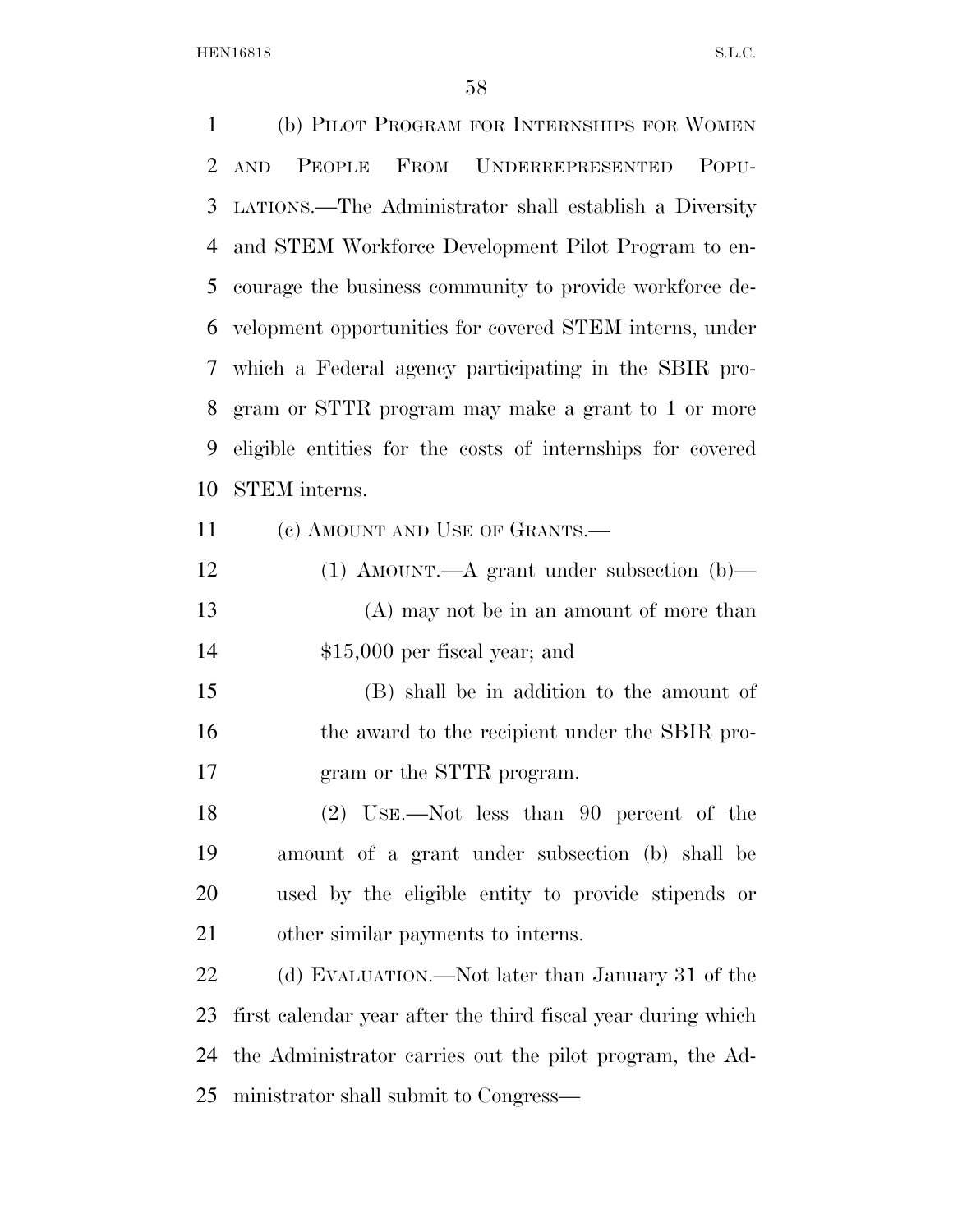(b) PILOT PROGRAM FOR INTERNSHIPS FOR WOMEN AND PEOPLE FROM UNDERREPRESENTED POPU- LATIONS.—The Administrator shall establish a Diversity and STEM Workforce Development Pilot Program to en- courage the business community to provide workforce de- velopment opportunities for covered STEM interns, under which a Federal agency participating in the SBIR pro- gram or STTR program may make a grant to 1 or more eligible entities for the costs of internships for covered STEM interns. 11 (c) AMOUNT AND USE OF GRANTS.— (1) AMOUNT.—A grant under subsection (b)— (A) may not be in an amount of more than \$15,000 per fiscal year; and (B) shall be in addition to the amount of

16 the award to the recipient under the SBIR pro-gram or the STTR program.

 (2) USE.—Not less than 90 percent of the amount of a grant under subsection (b) shall be used by the eligible entity to provide stipends or other similar payments to interns.

22 (d) EVALUATION.—Not later than January 31 of the first calendar year after the third fiscal year during which the Administrator carries out the pilot program, the Ad-ministrator shall submit to Congress—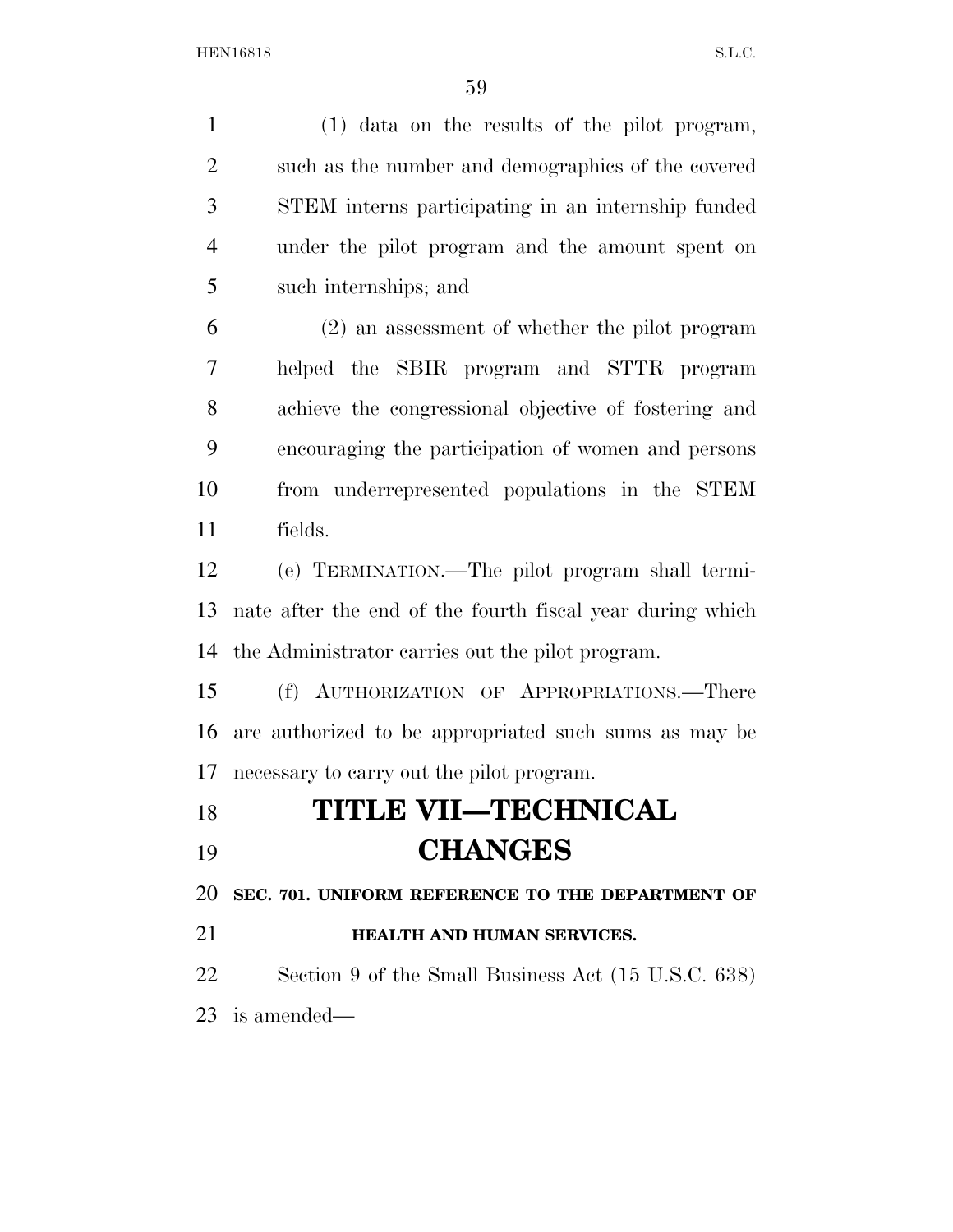| $\mathbf{1}$   | (1) data on the results of the pilot program,             |
|----------------|-----------------------------------------------------------|
| $\overline{2}$ | such as the number and demographics of the covered        |
| 3              | STEM interns participating in an internship funded        |
| $\overline{4}$ | under the pilot program and the amount spent on           |
| 5              | such internships; and                                     |
| 6              | (2) an assessment of whether the pilot program            |
| 7              | helped the SBIR program and STTR program                  |
| 8              | achieve the congressional objective of fostering and      |
| 9              | encouraging the participation of women and persons        |
| 10             | from underrepresented populations in the STEM             |
| 11             | fields.                                                   |
| 12             | (e) TERMINATION.—The pilot program shall termi-           |
| 13             | nate after the end of the fourth fiscal year during which |
| 14             | the Administrator carries out the pilot program.          |
| 15             | (f) AUTHORIZATION OF APPROPRIATIONS.—There                |
| 16             | are authorized to be appropriated such sums as may be     |
| 17             | necessary to carry out the pilot program.                 |
| 18             | <b>TITLE VII—TECHNICAL</b>                                |
| 19             | <b>CHANGES</b>                                            |
| 20             | SEC. 701. UNIFORM REFERENCE TO THE DEPARTMENT OF          |
| 21             | HEALTH AND HUMAN SERVICES.                                |
| 22             | Section 9 of the Small Business Act (15 U.S.C. 638)       |
|                | $23$ is amended—                                          |